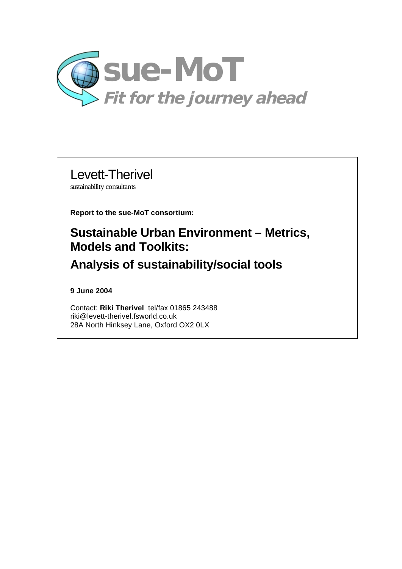

Levett-Therivel

sustainability consultants

**Report to the sue-MoT consortium:** 

# **Sustainable Urban Environment – Metrics, Models and Toolkits:**

**Analysis of sustainability/social tools** 

**9 June 2004** 

Contact: **Riki Therivel** tel/fax 01865 243488 riki@levett-therivel.fsworld.co.uk 28A North Hinksey Lane, Oxford OX2 0LX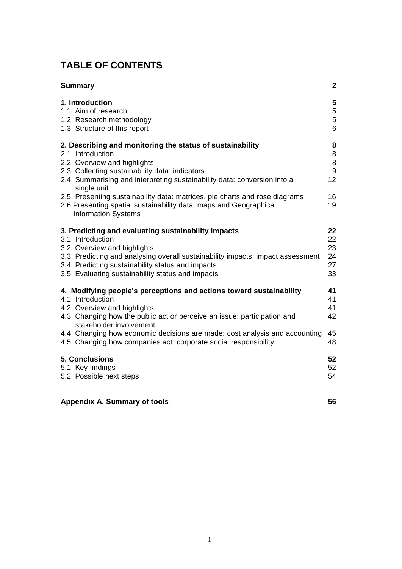# **TABLE OF CONTENTS**

| <b>Summary</b>                                                                                     |                                                                                                                                                                                                                                               | $\mathbf{2}$                     |
|----------------------------------------------------------------------------------------------------|-----------------------------------------------------------------------------------------------------------------------------------------------------------------------------------------------------------------------------------------------|----------------------------------|
| 1. Introduction<br>1.1 Aim of research<br>1.2 Research methodology<br>1.3 Structure of this report |                                                                                                                                                                                                                                               | 5<br>5<br>5<br>6                 |
| 2.1 Introduction<br>2.2 Overview and highlights<br>single unit                                     | 2. Describing and monitoring the status of sustainability<br>2.3 Collecting sustainability data: indicators<br>2.4 Summarising and interpreting sustainability data: conversion into a                                                        | 8<br>8<br>8<br>9<br>12           |
| <b>Information Systems</b>                                                                         | 2.5 Presenting sustainability data: matrices, pie charts and rose diagrams<br>2.6 Presenting spatial sustainability data: maps and Geographical                                                                                               | 16<br>19                         |
| 3.1 Introduction<br>3.2 Overview and highlights                                                    | 3. Predicting and evaluating sustainability impacts<br>3.3 Predicting and analysing overall sustainability impacts: impact assessment<br>3.4 Predicting sustainability status and impacts<br>3.5 Evaluating sustainability status and impacts | 22<br>22<br>23<br>24<br>27<br>33 |
| 4.1 Introduction<br>4.2 Overview and highlights<br>stakeholder involvement                         | 4. Modifying people's perceptions and actions toward sustainability<br>4.3 Changing how the public act or perceive an issue: participation and<br>4.4 Changing how economic decisions are made: cost analysis and accounting                  | 41<br>41<br>41<br>42<br>45       |
| <b>5. Conclusions</b><br>5.1 Key findings                                                          | 4.5 Changing how companies act: corporate social responsibility                                                                                                                                                                               | 48<br>52<br>52                   |
| 5.2 Possible next steps<br><b>Appendix A. Summary of tools</b>                                     |                                                                                                                                                                                                                                               | 54<br>56                         |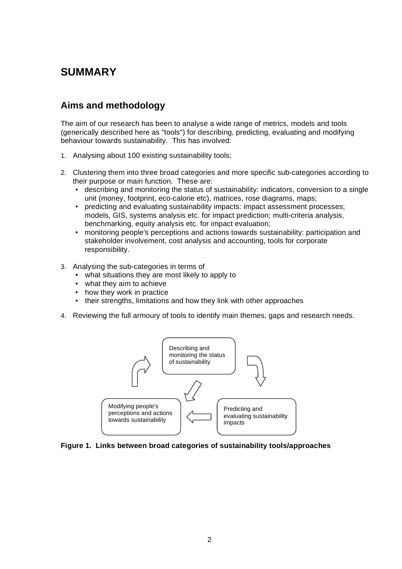# **SUMMARY**

### **Aims and methodology**

The aim of our research has been to analyse a wide range of metrics, models and tools (generically described here as "tools") for describing, predicting, evaluating and modifying behaviour towards sustainability. This has involved:

- 1. Analysing about 100 existing sustainability tools;
- 2. Clustering them into three broad categories and more specific sub-categories according to their purpose or main function. These are:
	- describing and monitoring the status of sustainability: indicators, conversion to a single unit (money, footprint, eco-calorie etc), matrices, rose diagrams, maps;
	- predicting and evaluating sustainability impacts: impact assessment processes; models, GIS, systems analysis etc. for impact prediction; multi-criteria analysis, benchmarking, equity analysis etc. for impact evaluation;
	- monitoring people's perceptions and actions towards sustainability: participation and stakeholder involvement, cost analysis and accounting, tools for corporate responsibility.
- 3. Analysing the sub-categories in terms of
	- what situations they are most likely to apply to
	- what they aim to achieve
	- how they work in practice
	- their strengths, limitations and how they link with other approaches
- 4. Reviewing the full armoury of tools to identify main themes, gaps and research needs.



#### **Figure 1. Links between broad categories of sustainability tools/approaches**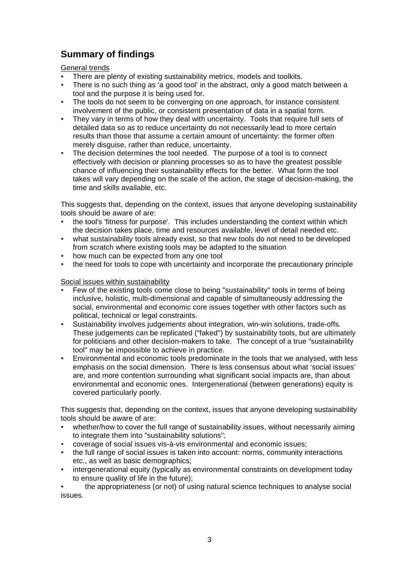## **Summary of findings**

General trends

- There are plenty of existing sustainability metrics, models and toolkits.
- There is no such thing as 'a good tool' in the abstract, only a good match between a tool and the purpose it is being used for.
- The tools do not seem to be converging on one approach, for instance consistent involvement of the public, or consistent presentation of data in a spatial form.
- They vary in terms of how they deal with uncertainty. Tools that require full sets of detailed data so as to reduce uncertainty do not necessarily lead to more certain results than those that assume a certain amount of uncertainty: the former often merely disguise, rather than reduce, uncertainty.
- The decision determines the tool needed. The purpose of a tool is to connect effectively with decision or planning processes so as to have the greatest possible chance of influencing their sustainability effects for the better. What form the tool takes will vary depending on the scale of the action, the stage of decision-making, the time and skills available, etc.

This suggests that, depending on the context, issues that anyone developing sustainability tools should be aware of are:

- the tool's 'fitness for purpose'. This includes understanding the context within which the decision takes place, time and resources available, level of detail needed etc.
- what sustainability tools already exist, so that new tools do not need to be developed from scratch where existing tools may be adapted to the situation
- how much can be expected from any one tool
- the need for tools to cope with uncertainty and incorporate the precautionary principle

#### Social issues within sustainability

- Few of the existing tools come close to being "sustainability" tools in terms of being inclusive, holistic, multi-dimensional and capable of simultaneously addressing the social, environmental and economic core issues together with other factors such as political, technical or legal constraints.
- Sustainability involves judgements about integration, win-win solutions, trade-offs. These judgements can be replicated ("faked") by sustainability tools, but are ultimately for politicians and other decision-makers to take. The concept of a true "sustainability tool" may be impossible to achieve in practice.
- Environmental and economic tools predominate in the tools that we analysed, with less emphasis on the social dimension. There is less consensus about what 'social issues' are, and more contention surrounding what significant social impacts are, than about environmental and economic ones. Intergenerational (between generations) equity is covered particularly poorly.

This suggests that, depending on the context, issues that anyone developing sustainability tools should be aware of are:

- whether/how to cover the full range of sustainability issues, without necessarily aiming to integrate them into "sustainability solutions";
- coverage of social issues vis-à-vis environmental and economic issues;
- the full range of social issues is taken into account: norms, community interactions etc., as well as basic demographics;
- intergenerational equity (typically as environmental constraints on development today to ensure quality of life in the future);

• the appropriateness (or not) of using natural science techniques to analyse social issues.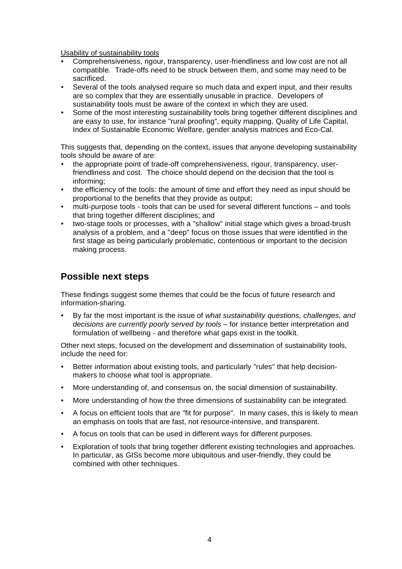Usability of sustainability tools

- Comprehensiveness, rigour, transparency, user-friendliness and low cost are not all compatible. Trade-offs need to be struck between them, and some may need to be sacrificed.
- Several of the tools analysed require so much data and expert input, and their results are so complex that they are essentially unusable in practice. Developers of sustainability tools must be aware of the context in which they are used.
- Some of the most interesting sustainability tools bring together different disciplines and are easy to use, for instance "rural proofing", equity mapping, Quality of Life Capital, Index of Sustainable Economic Welfare, gender analysis matrices and Eco-Cal.

This suggests that, depending on the context, issues that anyone developing sustainability tools should be aware of are:

- the appropriate point of trade-off comprehensiveness, rigour, transparency, userfriendliness and cost. The choice should depend on the decision that the tool is informing;
- the efficiency of the tools: the amount of time and effort they need as input should be proportional to the benefits that they provide as output;
- multi-purpose tools tools that can be used for several different functions and tools that bring together different disciplines; and
- two-stage tools or processes, with a "shallow" initial stage which gives a broad-brush analysis of a problem, and a "deep" focus on those issues that were identified in the first stage as being particularly problematic, contentious or important to the decision making process.

### **Possible next steps**

These findings suggest some themes that could be the focus of future research and information-sharing.

• By far the most important is the issue of *what sustainability questions, challenges, and decisions are currently poorly served by tools* – for instance better interpretation and formulation of wellbeing - and therefore what gaps exist in the toolkit.

Other next steps, focused on the development and dissemination of sustainability tools, include the need for:

- Better information about existing tools, and particularly "rules" that help decisionmakers to choose what tool is appropriate.
- More understanding of, and consensus on, the social dimension of sustainability.
- More understanding of how the three dimensions of sustainability can be integrated.
- A focus on efficient tools that are "fit for purpose". In many cases, this is likely to mean an emphasis on tools that are fast, not resource-intensive, and transparent.
- A focus on tools that can be used in different ways for different purposes.
- Exploration of tools that bring together different existing technologies and approaches. In particular, as GISs become more ubiquitous and user-friendly, they could be combined with other techniques.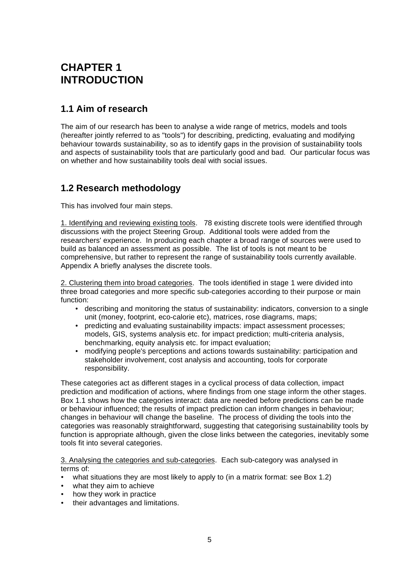# **CHAPTER 1 INTRODUCTION**

### **1.1 Aim of research**

The aim of our research has been to analyse a wide range of metrics, models and tools (hereafter jointly referred to as "tools") for describing, predicting, evaluating and modifying behaviour towards sustainability, so as to identify gaps in the provision of sustainability tools and aspects of sustainability tools that are particularly good and bad. Our particular focus was on whether and how sustainability tools deal with social issues.

### **1.2 Research methodology**

This has involved four main steps.

1. Identifying and reviewing existing tools. 78 existing discrete tools were identified through discussions with the project Steering Group. Additional tools were added from the researchers' experience. In producing each chapter a broad range of sources were used to build as balanced an assessment as possible. The list of tools is not meant to be comprehensive, but rather to represent the range of sustainability tools currently available. Appendix A briefly analyses the discrete tools.

2. Clustering them into broad categories. The tools identified in stage 1 were divided into three broad categories and more specific sub-categories according to their purpose or main function:

- describing and monitoring the status of sustainability: indicators, conversion to a single unit (money, footprint, eco-calorie etc), matrices, rose diagrams, maps;
- predicting and evaluating sustainability impacts: impact assessment processes; models, GIS, systems analysis etc. for impact prediction; multi-criteria analysis, benchmarking, equity analysis etc. for impact evaluation;
- modifying people's perceptions and actions towards sustainability: participation and stakeholder involvement, cost analysis and accounting, tools for corporate responsibility.

These categories act as different stages in a cyclical process of data collection, impact prediction and modification of actions, where findings from one stage inform the other stages. Box 1.1 shows how the categories interact: data are needed before predictions can be made or behaviour influenced; the results of impact prediction can inform changes in behaviour; changes in behaviour will change the baseline. The process of dividing the tools into the categories was reasonably straightforward, suggesting that categorising sustainability tools by function is appropriate although, given the close links between the categories, inevitably some tools fit into several categories.

3. Analysing the categories and sub-categories. Each sub-category was analysed in terms of:

- what situations they are most likely to apply to (in a matrix format: see Box 1.2)
- what they aim to achieve
- how they work in practice
- their advantages and limitations.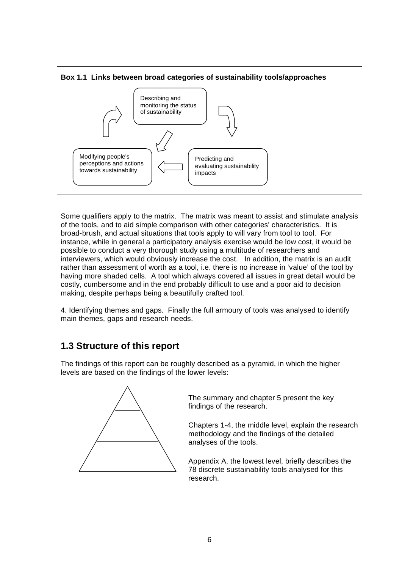

Some qualifiers apply to the matrix. The matrix was meant to assist and stimulate analysis of the tools, and to aid simple comparison with other categories' characteristics. It is broad-brush, and actual situations that tools apply to will vary from tool to tool. For instance, while in general a participatory analysis exercise would be low cost, it would be possible to conduct a very thorough study using a multitude of researchers and interviewers, which would obviously increase the cost. In addition, the matrix is an audit rather than assessment of worth as a tool, i.e. there is no increase in 'value' of the tool by having more shaded cells. A tool which always covered all issues in great detail would be costly, cumbersome and in the end probably difficult to use and a poor aid to decision making, despite perhaps being a beautifully crafted tool.

4. Identifying themes and gaps. Finally the full armoury of tools was analysed to identify main themes, gaps and research needs.

### **1.3 Structure of this report**

The findings of this report can be roughly described as a pyramid, in which the higher levels are based on the findings of the lower levels:



The summary and chapter 5 present the key findings of the research.

Chapters 1-4, the middle level, explain the research methodology and the findings of the detailed analyses of the tools.

Appendix A, the lowest level, briefly describes the 78 discrete sustainability tools analysed for this research.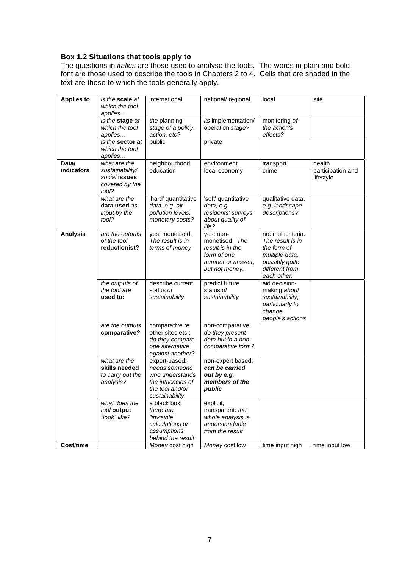### **Box 1.2 Situations that tools apply to**

The questions in *italics* are those used to analyse the tools. The words in plain and bold font are those used to describe the tools in Chapters 2 to 4. Cells that are shaded in the text are those to which the tools generally apply.

| <b>Applies to</b> | is the scale at<br>which the tool                              | international                                                                                                | national/ regional                                                                                    | local                                                                                                                      | site                           |
|-------------------|----------------------------------------------------------------|--------------------------------------------------------------------------------------------------------------|-------------------------------------------------------------------------------------------------------|----------------------------------------------------------------------------------------------------------------------------|--------------------------------|
|                   | applies                                                        |                                                                                                              |                                                                                                       |                                                                                                                            |                                |
|                   | is the stage at                                                | the planning                                                                                                 | its implementation/                                                                                   | monitoring of                                                                                                              |                                |
|                   | which the tool<br>applies                                      | stage of a policy,<br>action, etc?                                                                           | operation stage?                                                                                      | the action's<br>effects?                                                                                                   |                                |
|                   | is the sector at<br>which the tool<br>applies                  | public                                                                                                       | private                                                                                               |                                                                                                                            |                                |
| Data/             | what are the                                                   | neighbourhood                                                                                                | environment                                                                                           | transport                                                                                                                  | health                         |
| <b>indicators</b> | sustainability/<br>social issues<br>covered by the<br>tool?    | education                                                                                                    | local economy                                                                                         | crime                                                                                                                      | participation and<br>lifestyle |
|                   | what are the<br>data used as<br>input by the<br>tool?          | 'hard' quantitative<br>data, e.g. air<br>pollution levels,<br>monetary costs?                                | 'soft' quantitative<br>data, e.g.<br>residents' surveys<br>about quality of<br>life?                  | qualitative data,<br>e.g. landscape<br>descriptions?                                                                       |                                |
| <b>Analysis</b>   | are the outputs<br>of the tool<br>reductionist?                | yes: monetised.<br>The result is in<br>terms of money                                                        | yes: non-<br>monetised. The<br>result is in the<br>form of one<br>number or answer,<br>but not money. | no: multicriteria.<br>The result is in<br>the form of<br>multiple data,<br>possibly quite<br>different from<br>each other. |                                |
|                   | the outputs of<br>the tool are<br>used to:                     | describe current<br>status of<br>sustainability                                                              | predict future<br>status of<br>sustainability                                                         | aid decision-<br>making about<br>sustainability,<br>particularly to<br>change<br>people's actions                          |                                |
|                   | are the outputs<br>comparative?                                | comparative re.<br>other sites etc.:<br>do they compare<br>one alternative<br>against another?               | non-comparative:<br>do they present<br>data but in a non-<br>comparative form?                        |                                                                                                                            |                                |
|                   | what are the<br>skills needed<br>to carry out the<br>analysis? | expert-based:<br>needs someone<br>who understands<br>the intricacies of<br>the tool and/or<br>sustainability | non-expert based:<br>can be carried<br>out by e.g.<br>members of the<br>public                        |                                                                                                                            |                                |
|                   | what does the<br>tool output<br>"look" like?                   | a black box:<br>there are<br>"invisible"<br>calculations or<br>assumptions<br>behind the result              | explicit,<br>transparent: the<br>whole analysis is<br>understandable<br>from the result               |                                                                                                                            |                                |
| Cost/time         |                                                                | Money cost high                                                                                              | Money cost low                                                                                        | time input high                                                                                                            | time input low                 |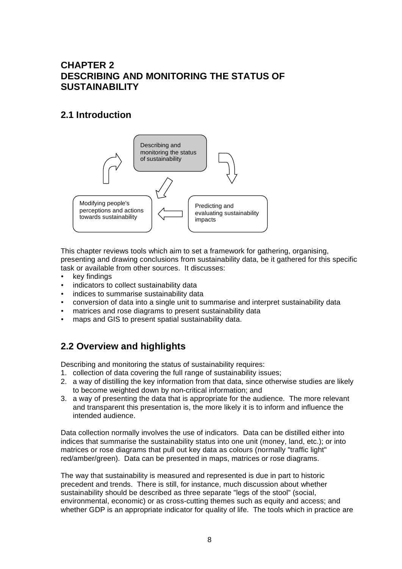### **CHAPTER 2 DESCRIBING AND MONITORING THE STATUS OF SUSTAINABILITY**

### **2.1 Introduction**



This chapter reviews tools which aim to set a framework for gathering, organising, presenting and drawing conclusions from sustainability data, be it gathered for this specific task or available from other sources. It discusses:

- key findings
- indicators to collect sustainability data
- indices to summarise sustainability data
- conversion of data into a single unit to summarise and interpret sustainability data
- matrices and rose diagrams to present sustainability data
- maps and GIS to present spatial sustainability data.

### **2.2 Overview and highlights**

Describing and monitoring the status of sustainability requires:

- 1. collection of data covering the full range of sustainability issues;
- 2. a way of distilling the key information from that data, since otherwise studies are likely to become weighted down by non-critical information; and
- 3. a way of presenting the data that is appropriate for the audience. The more relevant and transparent this presentation is, the more likely it is to inform and influence the intended audience.

Data collection normally involves the use of indicators. Data can be distilled either into indices that summarise the sustainability status into one unit (money, land, etc.); or into matrices or rose diagrams that pull out key data as colours (normally "traffic light" red/amber/green). Data can be presented in maps, matrices or rose diagrams.

The way that sustainability is measured and represented is due in part to historic precedent and trends. There is still, for instance, much discussion about whether sustainability should be described as three separate "legs of the stool" (social, environmental, economic) or as cross-cutting themes such as equity and access; and whether GDP is an appropriate indicator for quality of life. The tools which in practice are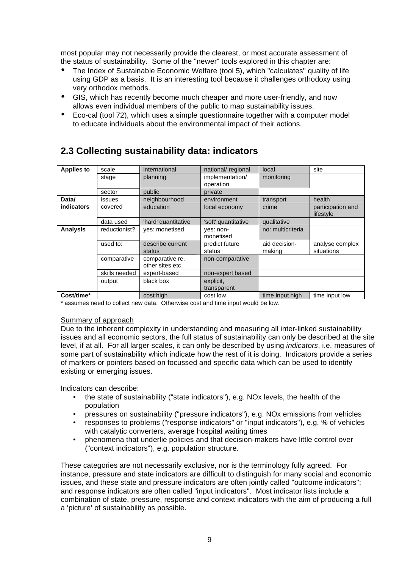most popular may not necessarily provide the clearest, or most accurate assessment of the status of sustainability. Some of the "newer" tools explored in this chapter are:

- The Index of Sustainable Economic Welfare (tool 5), which "calculates" quality of life using GDP as a basis. It is an interesting tool because it challenges orthodoxy using very orthodox methods.
- GIS, which has recently become much cheaper and more user-friendly, and now allows even individual members of the public to map sustainability issues.
- Eco-cal (tool 72), which uses a simple questionnaire together with a computer model to educate individuals about the environmental impact of their actions.

| <b>Applies to</b> | scale         | international                       | national/ regional       | local                   | site                           |
|-------------------|---------------|-------------------------------------|--------------------------|-------------------------|--------------------------------|
|                   | stage         | planning                            | implementation/          | monitoring              |                                |
|                   |               |                                     | operation                |                         |                                |
|                   | sector        | public                              | private                  |                         |                                |
| Data/             | issues        | neighbourhood                       | environment              | transport               | health                         |
| indicators        | covered       | education                           | local economy            | crime                   | participation and<br>lifestyle |
|                   | data used     | 'hard' quantitative                 | 'soft' quantitative      | qualitative             |                                |
| <b>Analysis</b>   | reductionist? | yes: monetised                      | yes: non-<br>monetised   | no: multicriteria       |                                |
|                   | used to:      | describe current<br>status          | predict future<br>status | aid decision-<br>making | analyse complex<br>situations  |
|                   | comparative   | comparative re.<br>other sites etc. | non-comparative          |                         |                                |
|                   | skills needed | expert-based                        | non-expert based         |                         |                                |
|                   | output        | black box                           | explicit,                |                         |                                |
|                   |               |                                     | transparent              |                         |                                |
| Cost/time*        |               | cost high                           | cost low                 | time input high         | time input low                 |

## **2.3 Collecting sustainability data: indicators**

\* assumes need to collect new data. Otherwise cost and time input would be low.

#### Summary of approach

Due to the inherent complexity in understanding and measuring all inter-linked sustainability issues and all economic sectors, the full status of sustainability can only be described at the site level, if at all. For all larger scales, it can only be described by using *indicators*, i.e. measures of some part of sustainability which indicate how the rest of it is doing. Indicators provide a series of markers or pointers based on focussed and specific data which can be used to identify existing or emerging issues.

Indicators can describe:

- the state of sustainability ("state indicators"), e.g. NOx levels, the health of the population
- pressures on sustainability ("pressure indicators"), e.g. NOx emissions from vehicles
- responses to problems ("response indicators" or "input indicators"), e.g. % of vehicles with catalytic converters, average hospital waiting times
- phenomena that underlie policies and that decision-makers have little control over ("context indicators"), e.g. population structure.

These categories are not necessarily exclusive, nor is the terminology fully agreed. For instance, pressure and state indicators are difficult to distinguish for many social and economic issues, and these state and pressure indicators are often jointly called "outcome indicators"; and response indicators are often called "input indicators". Most indicator lists include a combination of state, pressure, response and context indicators with the aim of producing a full a 'picture' of sustainability as possible.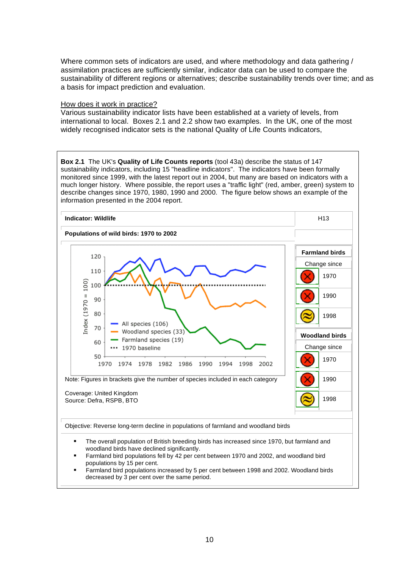Where common sets of indicators are used, and where methodology and data gathering / assimilation practices are sufficiently similar, indicator data can be used to compare the sustainability of different regions or alternatives; describe sustainability trends over time; and as a basis for impact prediction and evaluation.

#### How does it work in practice?

Various sustainability indicator lists have been established at a variety of levels, from international to local. Boxes 2.1 and 2.2 show two examples. In the UK, one of the most widely recognised indicator sets is the national Quality of Life Counts indicators,

**Box 2.1** The UK's **Quality of Life Counts reports** (tool 43a) describe the status of 147 sustainability indicators, including 15 "headline indicators". The indicators have been formally monitored since 1999, with the latest report out in 2004, but many are based on indicators with a much longer history. Where possible, the report uses a "traffic light" (red, amber, green) system to describe changes since 1970, 1980, 1990 and 2000. The figure below shows an example of the information presented in the 2004 report.

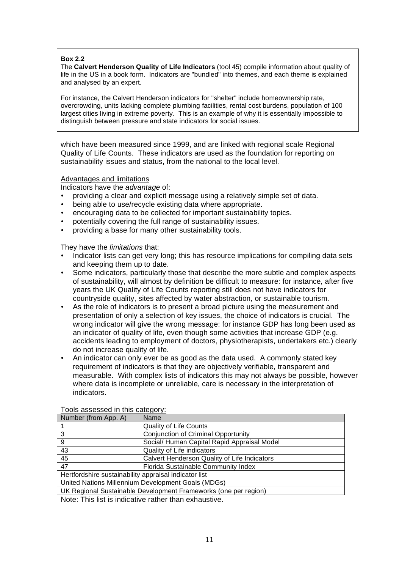#### **Box 2.2**

The **Calvert Henderson Quality of Life Indicators** (tool 45) compile information about quality of life in the US in a book form. Indicators are "bundled" into themes, and each theme is explained and analysed by an expert.

For instance, the Calvert Henderson indicators for "shelter" include homeownership rate, overcrowding, units lacking complete plumbing facilities, rental cost burdens, population of 100 largest cities living in extreme poverty. This is an example of why it is essentially impossible to distinguish between pressure and state indicators for social issues.

which have been measured since 1999, and are linked with regional scale Regional Quality of Life Counts. These indicators are used as the foundation for reporting on sustainability issues and status, from the national to the local level.

#### Advantages and limitations

Indicators have the *advantage* of:

- providing a clear and explicit message using a relatively simple set of data.
- being able to use/recycle existing data where appropriate.
- encouraging data to be collected for important sustainability topics.
- potentially covering the full range of sustainability issues.
- providing a base for many other sustainability tools.

They have the *limitations* that:

- Indicator lists can get very long; this has resource implications for compiling data sets and keeping them up to date.
- Some indicators, particularly those that describe the more subtle and complex aspects of sustainability, will almost by definition be difficult to measure: for instance, after five years the UK Quality of Life Counts reporting still does not have indicators for countryside quality, sites affected by water abstraction, or sustainable tourism.
- As the role of indicators is to present a broad picture using the measurement and presentation of only a selection of key issues, the choice of indicators is crucial. The wrong indicator will give the wrong message: for instance GDP has long been used as an indicator of quality of life, even though some activities that increase GDP (e.g. accidents leading to employment of doctors, physiotherapists, undertakers etc.) clearly do not increase quality of life.
- An indicator can only ever be as good as the data used. A commonly stated key requirement of indicators is that they are objectively verifiable, transparent and measurable. With complex lists of indicators this may not always be possible, however where data is incomplete or unreliable, care is necessary in the interpretation of indicators.

| Number (from App. A)                                  | Name                                                            |  |  |
|-------------------------------------------------------|-----------------------------------------------------------------|--|--|
|                                                       | <b>Quality of Life Counts</b>                                   |  |  |
| 3                                                     | <b>Conjunction of Criminal Opportunity</b>                      |  |  |
| 9                                                     | Social/ Human Capital Rapid Appraisal Model                     |  |  |
| 43                                                    | Quality of Life indicators                                      |  |  |
| 45                                                    | Calvert Henderson Quality of Life Indicators                    |  |  |
| $\overline{47}$                                       | Florida Sustainable Community Index                             |  |  |
| Hertfordshire sustainability appraisal indicator list |                                                                 |  |  |
| United Nations Millennium Development Goals (MDGs)    |                                                                 |  |  |
|                                                       | UK Regional Sustainable Development Frameworks (one per region) |  |  |

Tools assessed in this category:

Note: This list is indicative rather than exhaustive.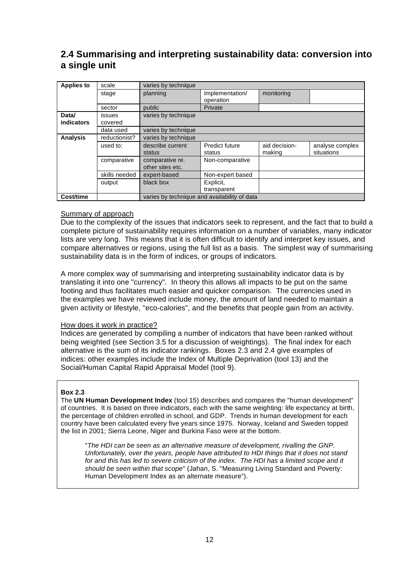### **2.4 Summarising and interpreting sustainability data: conversion into a single unit**

| <b>Applies to</b> | scale         | varies by technique                 |                                              |                         |                               |  |
|-------------------|---------------|-------------------------------------|----------------------------------------------|-------------------------|-------------------------------|--|
|                   | stage         | planning                            | Implementation/                              | monitoring              |                               |  |
|                   |               |                                     | operation                                    |                         |                               |  |
|                   | sector        | public                              | Private                                      |                         |                               |  |
| Data/             | issues        | varies by technique                 |                                              |                         |                               |  |
| indicators        | covered       |                                     |                                              |                         |                               |  |
|                   | data used     | varies by technique                 |                                              |                         |                               |  |
| <b>Analysis</b>   | reductionist? | varies by technique                 |                                              |                         |                               |  |
|                   | used to:      | describe current<br>status          | Predict future<br>status                     | aid decision-<br>making | analyse complex<br>situations |  |
|                   | comparative   | comparative re.<br>other sites etc. | Non-comparative                              |                         |                               |  |
|                   | skills needed | expert-based                        | Non-expert based                             |                         |                               |  |
|                   | output        | black box                           | Explicit.<br>transparent                     |                         |                               |  |
| Cost/time         |               |                                     | varies by technique and availability of data |                         |                               |  |

#### Summary of approach

Due to the complexity of the issues that indicators seek to represent, and the fact that to build a complete picture of sustainability requires information on a number of variables, many indicator lists are very long. This means that it is often difficult to identify and interpret key issues, and compare alternatives or regions, using the full list as a basis. The simplest way of summarising sustainability data is in the form of indices, or groups of indicators.

A more complex way of summarising and interpreting sustainability indicator data is by translating it into one "currency". In theory this allows all impacts to be put on the same footing and thus facilitates much easier and quicker comparison. The currencies used in the examples we have reviewed include money, the amount of land needed to maintain a given activity or lifestyle, "eco-calories", and the benefits that people gain from an activity.

#### How does it work in practice?

Indices are generated by compiling a number of indicators that have been ranked without being weighted (see Section 3.5 for a discussion of weightings). The final index for each alternative is the sum of its indicator rankings. Boxes 2.3 and 2.4 give examples of indices: other examples include the Index of Multiple Deprivation (tool 13) and the Social/Human Capital Rapid Appraisal Model (tool 9).

#### **Box 2.3**

The **UN Human Development Index** (tool 15) describes and compares the "human development" of countries. It is based on three indicators, each with the same weighting: life expectancy at birth, the percentage of children enrolled in school, and GDP. Trends in human development for each country have been calculated every five years since 1975. Norway, Iceland and Sweden topped the list in 2001; Sierra Leone, Niger and Burkina Faso were at the bottom.

"*The HDI can be seen as an alternative measure of development, rivalling the GNP. Unfortunately, over the years, people have attributed to HDI things that it does not stand*  for and this has led to severe criticism of the index. The HDI has a limited scope and it *should be seen within that scope*" (Jahan, S. "Measuring Living Standard and Poverty: Human Development Index as an alternate measure").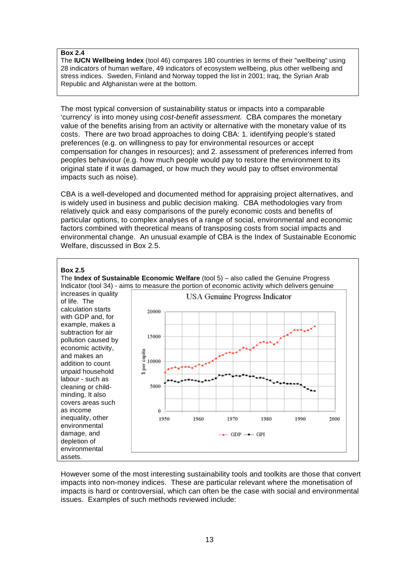#### **Box 2.4**

The **IUCN Wellbeing Index** (tool 46) compares 180 countries in terms of their "wellbeing" using 28 indicators of human welfare, 49 indicators of ecosystem wellbeing, plus other wellbeing and stress indices. Sweden, Finland and Norway topped the list in 2001; Iraq, the Syrian Arab Republic and Afghanistan were at the bottom.

The most typical conversion of sustainability status or impacts into a comparable 'currency' is into money using *cost-benefit assessment.* CBA compares the monetary value of the benefits arising from an activity or alternative with the monetary value of its costs. There are two broad approaches to doing CBA: 1. identifying people's stated preferences (e.g. on willingness to pay for environmental resources or accept compensation for changes in resources); and 2. assessment of preferences inferred from peoples behaviour (e.g. how much people would pay to restore the environment to its original state if it was damaged, or how much they would pay to offset environmental impacts such as noise).

CBA is a well-developed and documented method for appraising project alternatives, and is widely used in business and public decision making. CBA methodologies vary from relatively quick and easy comparisons of the purely economic costs and benefits of particular options, to complex analyses of a range of social, environmental and economic factors combined with theoretical means of transposing costs from social impacts and environmental change. An unusual example of CBA is the Index of Sustainable Economic Welfare, discussed in Box 2.5.



However some of the most interesting sustainability tools and toolkits are those that convert impacts into non-money indices. These are particular relevant where the monetisation of impacts is hard or controversial, which can often be the case with social and environmental issues. Examples of such methods reviewed include: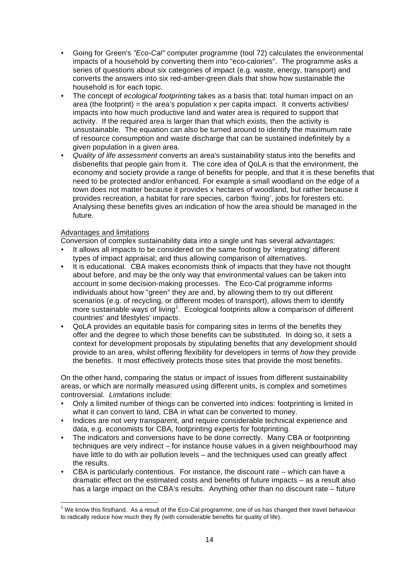- Going for Green's *"Eco-Cal"* computer programme (tool 72) calculates the environmental impacts of a household by converting them into "eco-calories". The programme asks a series of questions about six categories of impact (e.g. waste, energy, transport) and converts the answers into six red-amber-green dials that show how sustainable the household is for each topic.
- The concept of *ecological footprinting* takes as a basis that: total human impact on an area (the footprint) = the area's population x per capita impact. It converts activities/ impacts into how much productive land and water area is required to support that activity. If the required area is larger than that which exists, then the activity is unsustainable. The equation can also be turned around to identify the maximum rate of resource consumption and waste discharge that can be sustained indefinitely by a given population in a given area.
- *Quality of life assessment* converts an area's sustainability status into the benefits and disbenefits that people gain from it. The core idea of QoLA is that the environment, the economy and society provide a range of benefits for people, and that it is these benefits that need to be protected and/or enhanced. For example a small woodland on the edge of a town does not matter because it provides x hectares of woodland, but rather because it provides recreation, a habitat for rare species, carbon 'fixing', jobs for foresters etc. Analysing these benefits gives an indication of how the area should be managed in the future.

#### Advantages and limitations

Conversion of complex sustainability data into a single unit has several *advantages*:

- It allows all impacts to be considered on the same footing by 'integrating' different types of impact appraisal; and thus allowing comparison of alternatives.
- It is educational. CBA makes economists think of impacts that they have not thought about before, and may be the only way that environmental values can be taken into account in some decision-making processes. The Eco-Cal programme informs individuals about how "green" they are and, by allowing them to try out different scenarios (e.g. of recycling, or different modes of transport), allows them to identify more sustainable ways of living<sup>1</sup>. Ecological footprints allow a comparison of different countries' and lifestyles' impacts.
- QoLA provides an equitable basis for comparing sites in terms of the benefits they offer and the degree to which those benefits can be substituted. In doing so, it sets a context for development proposals by stipulating benefits that any development should provide to an area, whilst offering flexibility for developers in terms of *how* they provide the benefits. It most effectively protects those sites that provide the most benefits.

On the other hand, comparing the status or impact of issues from different sustainability areas, or which are normally measured using different units, is complex and sometimes controversial. *Limitations* include:

- Only a limited number of things can be converted into indices: footprinting is limited in what it can convert to land, CBA in what can be converted to money.
- Indices are not very transparent, and require considerable technical experience and data, e.g. economists for CBA, footprinting experts for footprinting.
- The indicators and conversions have to be done correctly. Many CBA or footprinting techniques are very indirect – for instance house values in a given neighbourhood may have little to do with air pollution levels – and the techniques used can greatly affect the results.
- CBA is particularly contentious. For instance, the discount rate which can have a dramatic effect on the estimated costs and benefits of future impacts – as a result also has a large impact on the CBA's results. Anything other than no discount rate – future

 $\frac{1}{1}$  $1$  We know this firsthand. As a result of the Eco-Cal programme, one of us has changed their travel behaviour to radically reduce how much they fly (with considerable benefits for quality of life).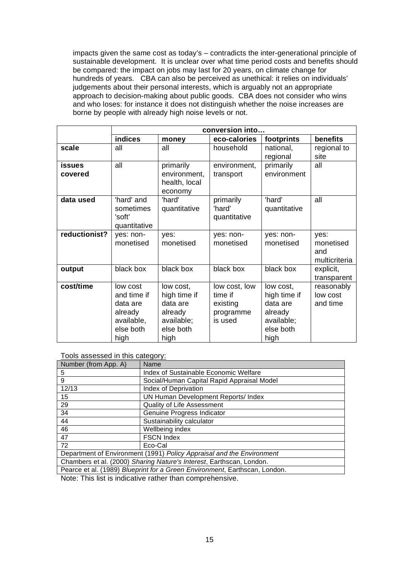impacts given the same cost as today's – contradicts the inter-generational principle of sustainable development. It is unclear over what time period costs and benefits should be compared: the impact on jobs may last for 20 years, on climate change for hundreds of years. CBA can also be perceived as unethical: it relies on individuals' judgements about their personal interests, which is arguably not an appropriate approach to decision-making about public goods. CBA does not consider who wins and who loses: for instance it does not distinguish whether the noise increases are borne by people with already high noise levels or not.

|               | conversion into |               |               |              |                 |  |
|---------------|-----------------|---------------|---------------|--------------|-----------------|--|
|               | indices         | money         | eco-calories  | footprints   | <b>benefits</b> |  |
| scale         | all             | all           | household     | national,    | regional to     |  |
|               |                 |               |               | regional     | site            |  |
| <b>issues</b> | all             | primarily     | environment,  | primarily    | all             |  |
| covered       |                 | environment,  | transport     | environment  |                 |  |
|               |                 | health, local |               |              |                 |  |
|               |                 | economy       |               |              |                 |  |
| data used     | 'hard' and      | 'hard'        | primarily     | 'hard'       | all             |  |
|               | sometimes       | quantitative  | 'hard'        | quantitative |                 |  |
|               | 'soft'          |               | quantitative  |              |                 |  |
|               | quantitative    |               |               |              |                 |  |
| reductionist? | yes: non-       | yes:          | yes: non-     | yes: non-    | yes:            |  |
|               | monetised       | monetised     | monetised     | monetised    | monetised       |  |
|               |                 |               |               |              | and             |  |
|               |                 |               |               |              | multicriteria   |  |
| output        | black box       | black box     | black box     | black box    | explicit,       |  |
|               |                 |               |               |              | transparent     |  |
| cost/time     | low cost        | low cost,     | low cost, low | low cost,    | reasonably      |  |
|               | and time if     | high time if  | time if       | high time if | low cost        |  |
|               | data are        | data are      | existing      | data are     | and time        |  |
|               | already         | already       | programme     | already      |                 |  |
|               | available,      | available;    | is used       | available;   |                 |  |
|               | else both       | else both     |               | else both    |                 |  |
|               | high            | high          |               | high         |                 |  |

#### Tools assessed in this category:

| Number (from App. A)                                                  | Name                                                                       |  |  |  |
|-----------------------------------------------------------------------|----------------------------------------------------------------------------|--|--|--|
| 5                                                                     | Index of Sustainable Economic Welfare                                      |  |  |  |
| 9                                                                     | Social/Human Capital Rapid Appraisal Model                                 |  |  |  |
| 12/13                                                                 | Index of Deprivation                                                       |  |  |  |
| 15                                                                    | UN Human Development Reports/ Index                                        |  |  |  |
| 29                                                                    | Quality of Life Assessment                                                 |  |  |  |
| 34                                                                    | Genuine Progress Indicator                                                 |  |  |  |
| 44                                                                    | Sustainability calculator                                                  |  |  |  |
| 46                                                                    | Wellbeing index                                                            |  |  |  |
| 47                                                                    | <b>FSCN Index</b>                                                          |  |  |  |
| 72                                                                    | Eco-Cal                                                                    |  |  |  |
| Department of Environment (1991) Policy Appraisal and the Environment |                                                                            |  |  |  |
| Chambers et al. (2000) Sharing Nature's Interest, Earthscan, London.  |                                                                            |  |  |  |
|                                                                       | Pearce et al. (1989) Blueprint for a Green Environment, Earthscan, London. |  |  |  |

Note: This list is indicative rather than comprehensive.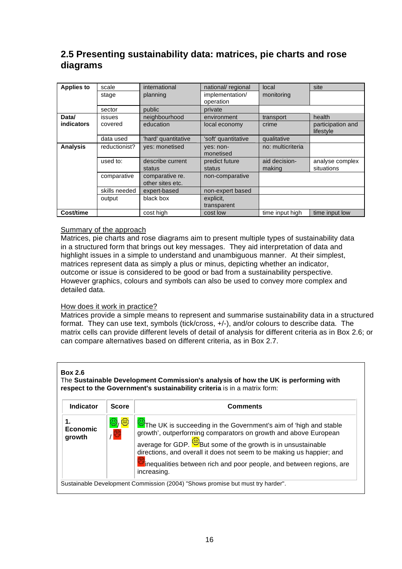## **2.5 Presenting sustainability data: matrices, pie charts and rose diagrams**

| <b>Applies to</b> | scale         | international                       | national/ regional           | local                   | site                           |
|-------------------|---------------|-------------------------------------|------------------------------|-------------------------|--------------------------------|
|                   | stage         | planning                            | implementation/<br>operation | monitoring              |                                |
|                   | sector        | public                              | private                      |                         |                                |
| Data/             | issues        | neighbourhood                       | environment                  | transport               | health                         |
| indicators        | covered       | education                           | local economy                | crime                   | participation and<br>lifestyle |
|                   | data used     | 'hard' quantitative                 | 'soft' quantitative          | qualitative             |                                |
| <b>Analysis</b>   | reductionist? | ves: monetised                      | yes: non-<br>monetised       | no: multicriteria       |                                |
|                   | used to:      | describe current<br>status          | predict future<br>status     | aid decision-<br>making | analyse complex<br>situations  |
|                   | comparative   | comparative re.<br>other sites etc. | non-comparative              |                         |                                |
|                   | skills needed | expert-based                        | non-expert based             |                         |                                |
|                   | output        | black box                           | explicit,<br>transparent     |                         |                                |
| Cost/time         |               | cost high                           | cost low                     | time input high         | time input low                 |

#### Summary of the approach

Matrices, pie charts and rose diagrams aim to present multiple types of sustainability data in a structured form that brings out key messages. They aid interpretation of data and highlight issues in a simple to understand and unambiguous manner. At their simplest, matrices represent data as simply a plus or minus, depicting whether an indicator, outcome or issue is considered to be good or bad from a sustainability perspective. However graphics, colours and symbols can also be used to convey more complex and detailed data.

#### How does it work in practice?

Matrices provide a simple means to represent and summarise sustainability data in a structured format. They can use text, symbols (tick/cross, +/-), and/or colours to describe data. The matrix cells can provide different levels of detail of analysis for different criteria as in Box 2.6; or can compare alternatives based on different criteria, as in Box 2.7.

#### **Box 2.6**

The **Sustainable Development Commission's analysis of how the UK is performing with respect to the Government's sustainability criteria** is in a matrix form:

| Indicator                       | <b>Score</b> | <b>Comments</b>                                                                                                                                                                                                                                                                                                                                                           |
|---------------------------------|--------------|---------------------------------------------------------------------------------------------------------------------------------------------------------------------------------------------------------------------------------------------------------------------------------------------------------------------------------------------------------------------------|
| 1.<br><b>Economic</b><br>growth | ©/©<br>, B   | <b>OThe UK</b> is succeeding in the Government's aim of 'high and stable<br>growth', outperforming comparators on growth and above European<br>average for GDP. But some of the growth is in unsustainable<br>directions, and overall it does not seem to be making us happier; and<br>inequalities between rich and poor people, and between regions, are<br>increasing. |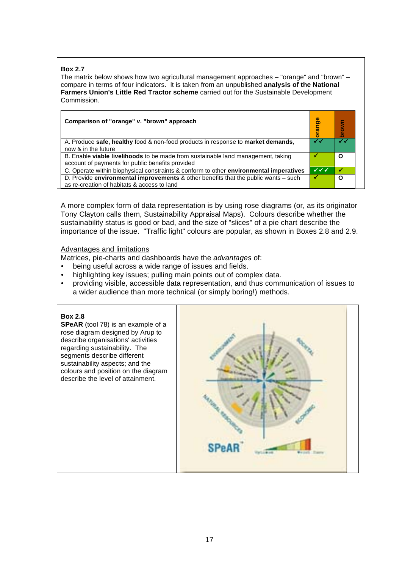#### **Box 2.7**

The matrix below shows how two agricultural management approaches – "orange" and "brown" – compare in terms of four indicators. It is taken from an unpublished **analysis of the National Farmers Union's Little Red Tractor scheme** carried out for the Sustainable Development Commission.

| Comparison of "orange" v. "brown" approach                                                                                           | orange                                 |      |  |
|--------------------------------------------------------------------------------------------------------------------------------------|----------------------------------------|------|--|
| A. Produce safe, healthy food & non-food products in response to market demands,<br>now & in the future                              |                                        | J 31 |  |
| B. Enable viable livelihoods to be made from sustainable land management, taking<br>account of payments for public benefits provided |                                        |      |  |
| C. Operate within biophysical constraints & conform to other environmental imperatives                                               | $\checkmark$ $\checkmark$ $\checkmark$ |      |  |
| D. Provide environmental improvements & other benefits that the public wants – such<br>as re-creation of habitats & access to land   |                                        | O    |  |

A more complex form of data representation is by using rose diagrams (or, as its originator Tony Clayton calls them, Sustainability Appraisal Maps). Colours describe whether the sustainability status is good or bad, and the size of "slices" of a pie chart describe the importance of the issue. "Traffic light" colours are popular, as shown in Boxes 2.8 and 2.9.

#### Advantages and limitations

Matrices, pie-charts and dashboards have the *advantages* of:

- being useful across a wide range of issues and fields.
- highlighting key issues; pulling main points out of complex data.
- providing visible, accessible data representation, and thus communication of issues to a wider audience than more technical (or simply boring!) methods.

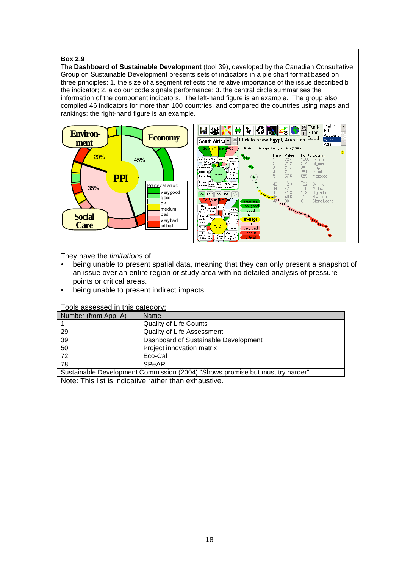#### **Box 2.9**

The **Dashboard of Sustainable Development** (tool 39), developed by the Canadian Consultative Group on Sustainable Development presents sets of indicators in a pie chart format based on three principles: 1. the size of a segment reflects the relative importance of the issue described b the indicator; 2. a colour code signals performance; 3. the central circle summarises the information of the component indicators. The left-hand figure is an example. The group also compiled 46 indicators for more than 100 countries, and compared the countries using maps and rankings: the right-hand figure is an example.



They have the *limitations* of:

- being unable to present spatial data, meaning that they can only present a snapshot of an issue over an entire region or study area with no detailed analysis of pressure points or critical areas.
- being unable to present indirect impacts.

| Number (from App. A) | Name                                 |  |  |  |
|----------------------|--------------------------------------|--|--|--|
|                      | <b>Quality of Life Counts</b>        |  |  |  |
| 29                   | <b>Quality of Life Assessment</b>    |  |  |  |
| 39                   | Dashboard of Sustainable Development |  |  |  |
| 50                   | Project innovation matrix            |  |  |  |
| 72                   | Eco-Cal                              |  |  |  |
| 78                   | <b>SPeAR</b>                         |  |  |  |
|                      |                                      |  |  |  |

### Tools assessed in this category:

Sustainable Development Commission (2004) "Shows promise but must try harder". Note: This list is indicative rather than exhaustive.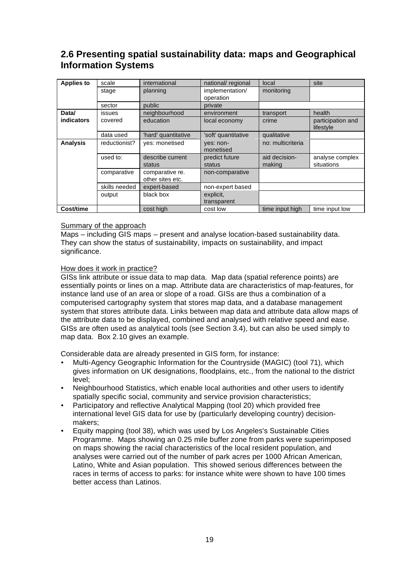### **2.6 Presenting spatial sustainability data: maps and Geographical Information Systems**

| <b>Applies to</b> | scale         | international                       | national/ regional           | local                   | site                           |
|-------------------|---------------|-------------------------------------|------------------------------|-------------------------|--------------------------------|
|                   | stage         | planning                            | implementation/<br>operation | monitoring              |                                |
|                   | sector        | public                              | private                      |                         |                                |
| Data/             | issues        | neighbourhood                       | environment                  | transport               | health                         |
| <b>indicators</b> | covered       | education                           | local economy                | crime                   | participation and<br>lifestyle |
|                   | data used     | 'hard' quantitative                 | 'soft' quantitative          | qualitative             |                                |
| <b>Analysis</b>   | reductionist? | yes: monetised                      | ves: non-<br>monetised       | no: multicriteria       |                                |
|                   | used to:      | describe current<br>status          | predict future<br>status     | aid decision-<br>making | analyse complex<br>situations  |
|                   | comparative   | comparative re.<br>other sites etc. | non-comparative              |                         |                                |
|                   | skills needed | expert-based                        | non-expert based             |                         |                                |
|                   | output        | black box                           | explicit,<br>transparent     |                         |                                |
| Cost/time         |               | cost high                           | cost low                     | time input high         | time input low                 |

#### Summary of the approach

Maps – including GIS maps – present and analyse location-based sustainability data. They can show the status of sustainability, impacts on sustainability, and impact significance.

#### How does it work in practice?

GISs link attribute or issue data to map data. Map data (spatial reference points) are essentially points or lines on a map. Attribute data are characteristics of map-features, for instance land use of an area or slope of a road. GISs are thus a combination of a computerised cartography system that stores map data, and a database management system that stores attribute data. Links between map data and attribute data allow maps of the attribute data to be displayed, combined and analysed with relative speed and ease. GISs are often used as analytical tools (see Section 3.4), but can also be used simply to map data. Box 2.10 gives an example.

Considerable data are already presented in GIS form, for instance:

- Multi-Agency Geographic Information for the Countryside (MAGIC) (tool 71), which gives information on UK designations, floodplains, etc., from the national to the district level;
- Neighbourhood Statistics, which enable local authorities and other users to identify spatially specific social, community and service provision characteristics;
- Participatory and reflective Analytical Mapping (tool 20) which provided free international level GIS data for use by (particularly developing country) decisionmakers;
- Equity mapping (tool 38), which was used by Los Angeles's Sustainable Cities Programme. Maps showing an 0.25 mile buffer zone from parks were superimposed on maps showing the racial characteristics of the local resident population, and analyses were carried out of the number of park acres per 1000 African American, Latino, White and Asian population. This showed serious differences between the races in terms of access to parks: for instance white were shown to have 100 times better access than Latinos.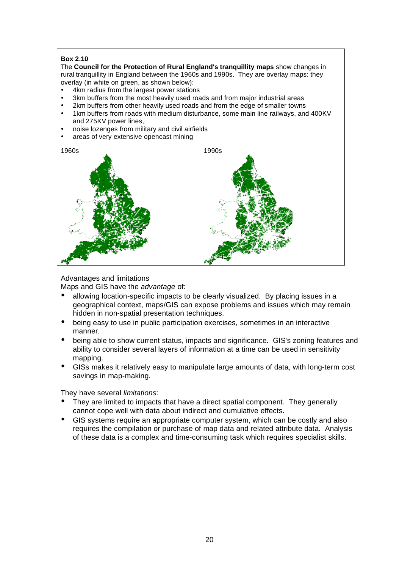#### **Box 2.10**

The **Council for the Protection of Rural England's tranquillity maps** show changes in rural tranquillity in England between the 1960s and 1990s. They are overlay maps: they overlay (in white on green, as shown below):

- 4km radius from the largest power stations
- 3km buffers from the most heavily used roads and from major industrial areas
- 2km buffers from other heavily used roads and from the edge of smaller towns<br>• 1km buffers from roads with medium disturbance, some main line railways, and
- 1km buffers from roads with medium disturbance, some main line railways, and 400KV and 275KV power lines,
- noise lozenges from military and civil airfields
- areas of very extensive opencast mining



#### Advantages and limitations

Maps and GIS have the *advantage* of:

- allowing location-specific impacts to be clearly visualized. By placing issues in a geographical context, maps/GIS can expose problems and issues which may remain hidden in non-spatial presentation techniques.
- being easy to use in public participation exercises, sometimes in an interactive manner.
- being able to show current status, impacts and significance. GIS's zoning features and ability to consider several layers of information at a time can be used in sensitivity mapping.
- GISs makes it relatively easy to manipulate large amounts of data, with long-term cost savings in map-making.

They have several *limitations*:

- They are limited to impacts that have a direct spatial component. They generally cannot cope well with data about indirect and cumulative effects.
- GIS systems require an appropriate computer system, which can be costly and also requires the compilation or purchase of map data and related attribute data. Analysis of these data is a complex and time-consuming task which requires specialist skills.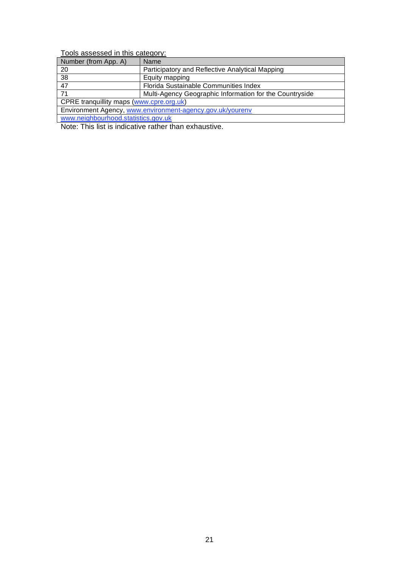Tools assessed in this category:

| Number (from App. A)                                      | <b>Name</b>                                             |  |  |  |
|-----------------------------------------------------------|---------------------------------------------------------|--|--|--|
| 20                                                        | Participatory and Reflective Analytical Mapping         |  |  |  |
| 38                                                        | Equity mapping                                          |  |  |  |
| $\overline{47}$                                           | Florida Sustainable Communities Index                   |  |  |  |
| 71                                                        | Multi-Agency Geographic Information for the Countryside |  |  |  |
| CPRE tranquillity maps (www.cpre.org.uk)                  |                                                         |  |  |  |
| Environment Agency, www.environment-agency.gov.uk/yourenv |                                                         |  |  |  |
| www.neighbourhood.statistics.gov.uk                       |                                                         |  |  |  |
|                                                           |                                                         |  |  |  |

Note: This list is indicative rather than exhaustive.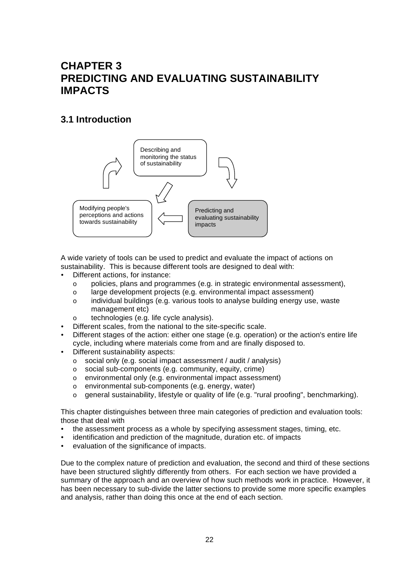# **CHAPTER 3 PREDICTING AND EVALUATING SUSTAINABILITY IMPACTS**

### **3.1 Introduction**



A wide variety of tools can be used to predict and evaluate the impact of actions on sustainability. This is because different tools are designed to deal with:

- Different actions, for instance:
	- o policies, plans and programmes (e.g. in strategic environmental assessment),
	- o large development projects (e.g. environmental impact assessment)
	- $\circ$  individual buildings (e.g. various tools to analyse building energy use, waste management etc)
	- o technologies (e.g. life cycle analysis).
- Different scales, from the national to the site-specific scale.
- Different stages of the action: either one stage (e.g. operation) or the action's entire life cycle, including where materials come from and are finally disposed to.
- Different sustainability aspects:
	- o social only (e.g. social impact assessment / audit / analysis)
	- o social sub-components (e.g. community, equity, crime)
	- o environmental only (e.g. environmental impact assessment)
	- o environmental sub-components (e.g. energy, water)
	- o general sustainability, lifestyle or quality of life (e.g. "rural proofing", benchmarking).

This chapter distinguishes between three main categories of prediction and evaluation tools: those that deal with

- the assessment process as a whole by specifying assessment stages, timing, etc.
- identification and prediction of the magnitude, duration etc. of impacts
- evaluation of the significance of impacts.

Due to the complex nature of prediction and evaluation, the second and third of these sections have been structured slightly differently from others. For each section we have provided a summary of the approach and an overview of how such methods work in practice. However, it has been necessary to sub-divide the latter sections to provide some more specific examples and analysis, rather than doing this once at the end of each section.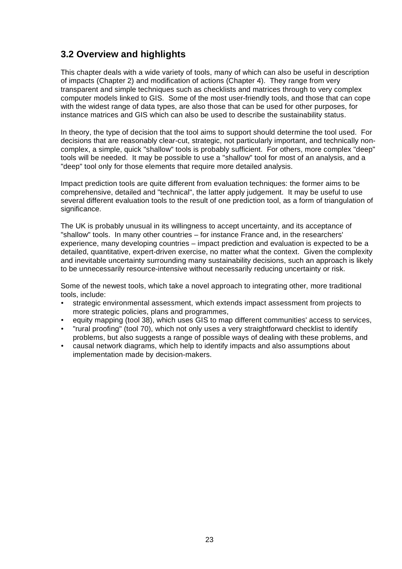## **3.2 Overview and highlights**

This chapter deals with a wide variety of tools, many of which can also be useful in description of impacts (Chapter 2) and modification of actions (Chapter 4). They range from very transparent and simple techniques such as checklists and matrices through to very complex computer models linked to GIS. Some of the most user-friendly tools, and those that can cope with the widest range of data types, are also those that can be used for other purposes, for instance matrices and GIS which can also be used to describe the sustainability status.

In theory, the type of decision that the tool aims to support should determine the tool used. For decisions that are reasonably clear-cut, strategic, not particularly important, and technically noncomplex, a simple, quick "shallow" tools is probably sufficient. For others, more complex "deep" tools will be needed. It may be possible to use a "shallow" tool for most of an analysis, and a "deep" tool only for those elements that require more detailed analysis.

Impact prediction tools are quite different from evaluation techniques: the former aims to be comprehensive, detailed and "technical", the latter apply judgement. It may be useful to use several different evaluation tools to the result of one prediction tool, as a form of triangulation of significance.

The UK is probably unusual in its willingness to accept uncertainty, and its acceptance of "shallow" tools. In many other countries – for instance France and, in the researchers' experience, many developing countries – impact prediction and evaluation is expected to be a detailed, quantitative, expert-driven exercise, no matter what the context. Given the complexity and inevitable uncertainty surrounding many sustainability decisions, such an approach is likely to be unnecessarily resource-intensive without necessarily reducing uncertainty or risk.

Some of the newest tools, which take a novel approach to integrating other, more traditional tools, include:

- strategic environmental assessment, which extends impact assessment from projects to more strategic policies, plans and programmes,
- equity mapping (tool 38), which uses GIS to map different communities' access to services,
- "rural proofing" (tool 70), which not only uses a very straightforward checklist to identify problems, but also suggests a range of possible ways of dealing with these problems, and
- causal network diagrams, which help to identify impacts and also assumptions about implementation made by decision-makers.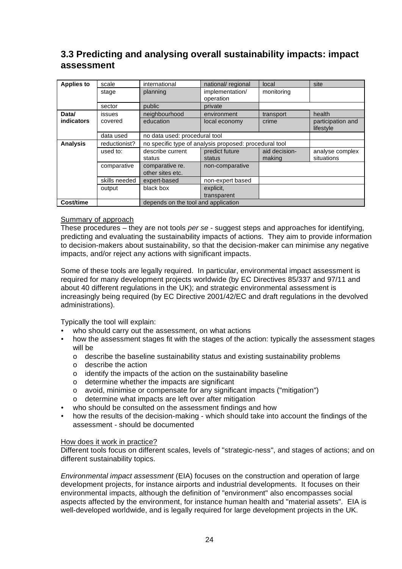### **3.3 Predicting and analysing overall sustainability impacts: impact assessment**

| <b>Applies to</b> | scale                                           | international                       | national/ regional                                     | local                   | site                           |
|-------------------|-------------------------------------------------|-------------------------------------|--------------------------------------------------------|-------------------------|--------------------------------|
|                   | stage                                           | planning                            | implementation/<br>operation                           | monitoring              |                                |
|                   | sector                                          | public                              | private                                                |                         |                                |
| Data/             | issues                                          | neighbourhood                       | environment                                            | transport               | health                         |
| <b>indicators</b> | covered                                         | education                           | local economy                                          | crime                   | participation and<br>lifestyle |
|                   | data used                                       | no data used: procedural tool       |                                                        |                         |                                |
| <b>Analysis</b>   | reductionist?                                   |                                     | no specific type of analysis proposed: procedural tool |                         |                                |
|                   | used to:                                        | describe current<br>status          | predict future<br>status                               | aid decision-<br>making | analyse complex<br>situations  |
|                   | comparative                                     | comparative re.<br>other sites etc. | non-comparative                                        |                         |                                |
|                   | skills needed                                   | expert-based                        | non-expert based                                       |                         |                                |
|                   | black box<br>output<br>explicit.<br>transparent |                                     |                                                        |                         |                                |
| Cost/time         |                                                 | depends on the tool and application |                                                        |                         |                                |

#### Summary of approach

These procedures – they are not tools *per se* - suggest steps and approaches for identifying, predicting and evaluating the sustainability impacts of actions. They aim to provide information to decision-makers about sustainability, so that the decision-maker can minimise any negative impacts, and/or reject any actions with significant impacts.

Some of these tools are legally required. In particular, environmental impact assessment is required for many development projects worldwide (by EC Directives 85/337 and 97/11 and about 40 different regulations in the UK); and strategic environmental assessment is increasingly being required (by EC Directive 2001/42/EC and draft regulations in the devolved administrations).

Typically the tool will explain:

- who should carry out the assessment, on what actions
- how the assessment stages fit with the stages of the action: typically the assessment stages will be
	- $\circ$  describe the baseline sustainability status and existing sustainability problems
	- o describe the action
	- o identify the impacts of the action on the sustainability baseline
	- o determine whether the impacts are significant
	- o avoid, minimise or compensate for any significant impacts ("mitigation")
	- o determine what impacts are left over after mitigation
- who should be consulted on the assessment findings and how
- how the results of the decision-making which should take into account the findings of the assessment - should be documented

#### How does it work in practice?

Different tools focus on different scales, levels of "strategic-ness", and stages of actions; and on different sustainability topics.

*Environmental impact assessment* (EIA) focuses on the construction and operation of large development projects, for instance airports and industrial developments. It focuses on their environmental impacts, although the definition of "environment" also encompasses social aspects affected by the environment, for instance human health and "material assets". EIA is well-developed worldwide, and is legally required for large development projects in the UK.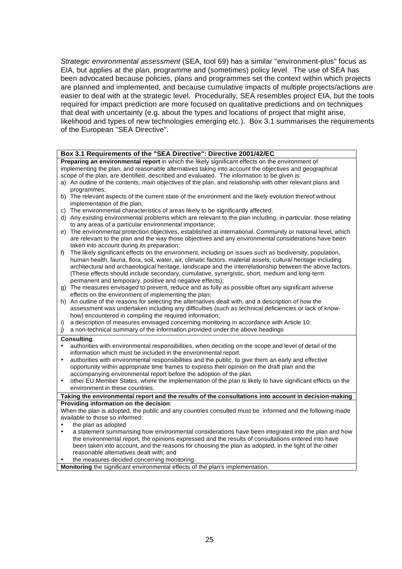*Strategic environmental assessment* (SEA, tool 69) has a similar "environment-plus" focus as EIA, but applies at the plan, programme and (sometimes) policy level. The use of SEA has been advocated because policies, plans and programmes set the context within which projects are planned and implemented, and because cumulative impacts of multiple projects/actions are easier to deal with at the strategic level. Procedurally, SEA resembles project EIA, but the tools required for impact prediction are more focused on qualitative predictions and on techniques that deal with uncertainty (e.g. about the types and locations of project that might arise, likelihood and types of new technologies emerging etc.). Box 3.1 summarises the requirements of the European "SEA Directive".

### **Box 3.1 Requirements of the "SEA Directive": Directive 2001/42/EC**

**Preparing an environmental report** in which the likely significant effects on the environment of implementing the plan, and reasonable alternatives taking into account the objectives and geographical scope of the plan, are identified, described and evaluated. The information to be given is:

- a) An outline of the contents, main objectives of the plan, and relationship with other relevant plans and programmes;
- b) The relevant aspects of the current state of the environment and the likely evolution thereof without implementation of the plan;
- c) The environmental characteristics of areas likely to be significantly affected;
- d) Any existing environmental problems which are relevant to the plan including, in particular, those relating to any areas of a particular environmental importance;
- e) The environmental protection objectives, established at international, Community or national level, which are relevant to the plan and the way those objectives and any environmental considerations have been taken into account during its preparation;
- f) The likely significant effects on the environment, including on issues such as biodiversity, population, human health, fauna, flora, soil, water, air, climatic factors, material assets, cultural heritage including architectural and archaeological heritage, landscape and the interrelationship between the above factors. (These effects should include secondary, cumulative, synergistic, short, medium and long-term permanent and temporary, positive and negative effects);
- g) The measures envisaged to prevent, reduce and as fully as possible offset any significant adverse effects on the environment of implementing the plan;
- h) An outline of the reasons for selecting the alternatives dealt with, and a description of how the assessment was undertaken including any difficulties (such as technical deficiencies or lack of knowhow) encountered in compiling the required information;
- i) a description of measures envisaged concerning monitoring in accordance with Article 10;
- j) a non-technical summary of the information provided under the above headings

#### **Consulting**:

- authorities with environmental responsibilities, when deciding on the scope and level of detail of the information which must be included in the environmental report.
- authorities with environmental responsibilities and the public, to give them an early and effective opportunity within appropriate time frames to express their opinion on the draft plan and the accompanying environmental report before the adoption of the plan.
- other EU Member States, where the implementation of the plan is likely to have significant effects on the environment in these countries.

#### **Taking the environmental report and the results of the consultations into account in decision-making Providing information on the decision**:

When the plan is adopted, the public and any countries consulted must be informed and the following made available to those so informed:

- the plan as adopted
- a statement summarising how environmental considerations have been integrated into the plan and how the environmental report, the opinions expressed and the results of consultations entered into have been taken into account, and the reasons for choosing the plan as adopted, in the light of the other reasonable alternatives dealt with; and
- the measures decided concerning monitoring.

**Monitoring** the significant environmental effects of the plan's implementation.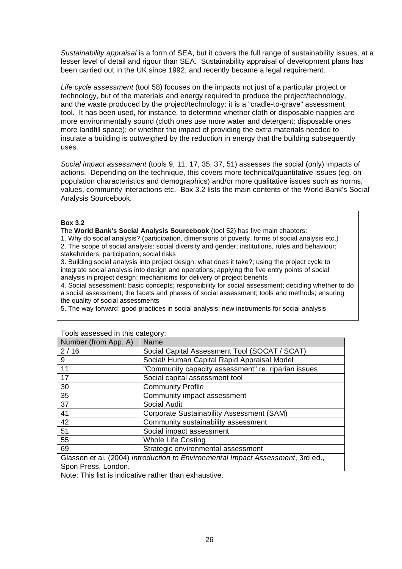*Sustainability appraisal* is a form of SEA, but it covers the full range of sustainability issues, at a lesser level of detail and rigour than SEA. Sustainability appraisal of development plans has been carried out in the UK since 1992, and recently became a legal requirement.

*Life cycle assessment* (tool 58) focuses on the impacts not just of a particular project or technology, but of the materials and energy required to produce the project/technology, and the waste produced by the project/technology: it is a "cradle-to-grave" assessment tool. It has been used, for instance, to determine whether cloth or disposable nappies are more environmentally sound (cloth ones use more water and detergent; disposable ones more landfill space); or whether the impact of providing the extra materials needed to insulate a building is outweighed by the reduction in energy that the building subsequently uses.

*Social impact assessment* (tools 9, 11, 17, 35, 37, 51) assesses the social (only) impacts of actions. Depending on the technique, this covers more technical/quantitative issues (eg. on population characteristics and demographics) and/or more qualitative issues such as norms, values, community interactions etc. Box 3.2 lists the main contents of the World Bank's Social Analysis Sourcebook.

#### **Box 3.2**

The **World Bank's Social Analysis Sourcebook** (tool 52) has five main chapters:

1. Why do social analysis? (participation, dimensions of poverty, forms of social analysis etc.) 2. The scope of social analysis: social diversity and gender; institutions, rules and behaviour; stakeholders; participation; social risks

3. Building social analysis into project design: what does it take?; using the project cycle to integrate social analysis into design and operations; applying the five entry points of social analysis in project design; mechanisms for delivery of project benefits

4. Social assessment: basic concepts; responsibility for social assessment; deciding whether to do a social assessment; the facets and phases of social assessment; tools and methods; ensuring the quality of social assessments

5. The way forward: good practices in social analysis; new instruments for social analysis

| Number (from App. A) | Name                                                                            |
|----------------------|---------------------------------------------------------------------------------|
| 2/16                 | Social Capital Assessment Tool (SOCAT / SCAT)                                   |
| 9                    | Social/ Human Capital Rapid Appraisal Model                                     |
| 11                   | "Community capacity assessment" re. riparian issues                             |
| $\overline{17}$      | Social capital assessment tool                                                  |
| 30                   | <b>Community Profile</b>                                                        |
| 35                   | Community impact assessment                                                     |
| $\overline{37}$      | <b>Social Audit</b>                                                             |
| 41                   | <b>Corporate Sustainability Assessment (SAM)</b>                                |
| 42                   | Community sustainability assessment                                             |
| 51                   | Social impact assessment                                                        |
| 55                   | <b>Whole Life Costing</b>                                                       |
| 69                   | Strategic environmental assessment                                              |
|                      | Glasson et al. (2004) Introduction to Environmental Impact Assessment, 3rd ed., |

Tools assessed in this category:

Spon Press, London.

Note: This list is indicative rather than exhaustive.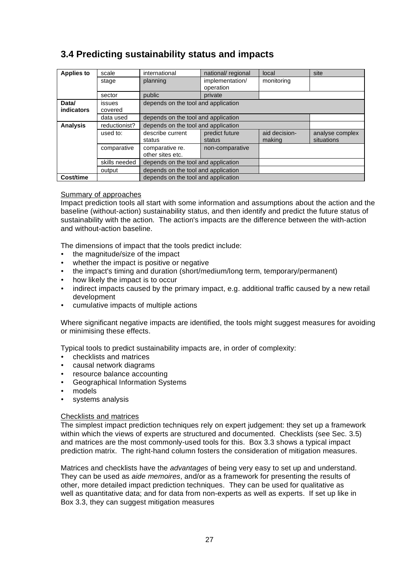## **3.4 Predicting sustainability status and impacts**

| <b>Applies to</b>   | scale             | international                                          | national/ regional           | local      | site                          |
|---------------------|-------------------|--------------------------------------------------------|------------------------------|------------|-------------------------------|
|                     | stage             | planning                                               | implementation/<br>operation | monitoring |                               |
|                     | sector            | public                                                 | private                      |            |                               |
| Data/<br>indicators | issues<br>covered | depends on the tool and application                    |                              |            |                               |
|                     | data used         | depends on the tool and application                    |                              |            |                               |
| <b>Analysis</b>     | reductionist?     | depends on the tool and application                    |                              |            |                               |
|                     | used to:          | describe current<br>status                             | predict future<br>status     |            | analyse complex<br>situations |
|                     | comparative       | non-comparative<br>comparative re.<br>other sites etc. |                              |            |                               |
|                     | skills needed     | depends on the tool and application                    |                              |            |                               |
|                     | output            | depends on the tool and application                    |                              |            |                               |
| Cost/time           |                   | depends on the tool and application                    |                              |            |                               |

#### Summary of approaches

Impact prediction tools all start with some information and assumptions about the action and the baseline (without-action) sustainability status, and then identify and predict the future status of sustainability with the action. The action's impacts are the difference between the with-action and without-action baseline.

The dimensions of impact that the tools predict include:

- the magnitude/size of the impact
- whether the impact is positive or negative<br>• the impact's timing and duration (short/me
- the impact's timing and duration (short/medium/long term, temporary/permanent)
- how likely the impact is to occur
- indirect impacts caused by the primary impact, e.g. additional traffic caused by a new retail development
- cumulative impacts of multiple actions

Where significant negative impacts are identified, the tools might suggest measures for avoiding or minimising these effects.

Typical tools to predict sustainability impacts are, in order of complexity:

- 
- checklists and matrices<br>• causal network diagram • causal network diagrams
- resource balance accounting
- Geographical Information Systems
- models
- systems analysis

#### Checklists and matrices

The simplest impact prediction techniques rely on expert judgement: they set up a framework within which the views of experts are structured and documented. Checklists (see Sec. 3.5) and matrices are the most commonly-used tools for this. Box 3.3 shows a typical impact prediction matrix. The right-hand column fosters the consideration of mitigation measures.

Matrices and checklists have the *advantages* of being very easy to set up and understand. They can be used as *aide memoires*, and/or as a framework for presenting the results of other, more detailed impact prediction techniques. They can be used for qualitative as well as quantitative data; and for data from non-experts as well as experts. If set up like in Box 3.3, they can suggest mitigation measures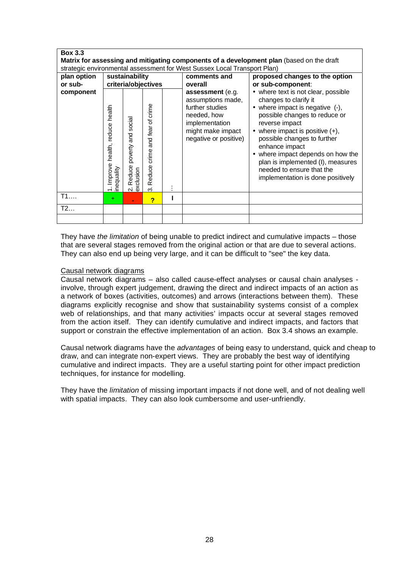| <b>Box 3.3</b><br>Matrix for assessing and mitigating components of a development plan (based on the draft<br>strategic environmental assessment for West Sussex Local Transport Plan) |                                               |                                                                          |                                                                   |  |                                                                                                                                                                    |                                                                                                                                                                                                                                                                                                                                                                                                                                                      |  |
|----------------------------------------------------------------------------------------------------------------------------------------------------------------------------------------|-----------------------------------------------|--------------------------------------------------------------------------|-------------------------------------------------------------------|--|--------------------------------------------------------------------------------------------------------------------------------------------------------------------|------------------------------------------------------------------------------------------------------------------------------------------------------------------------------------------------------------------------------------------------------------------------------------------------------------------------------------------------------------------------------------------------------------------------------------------------------|--|
| plan option<br>or sub-<br>component                                                                                                                                                    | health, reduce health<br>Improve<br>nequality | sustainability<br>poverty and social<br>Reduce<br>2. Reduce<br>exclusion | criteria/objectives<br>and fear of crime<br>crime<br>Reduce<br>ო. |  | comments and<br>overall<br>assessment (e.g.<br>assumptions made,<br>further studies<br>needed, how<br>implementation<br>might make impact<br>negative or positive) | proposed changes to the option<br>or sub-component:<br>• where text is not clear, possible<br>changes to clarify it<br>• where impact is negative (-),<br>possible changes to reduce or<br>reverse impact<br>$\bullet$ where impact is positive $(+)$ ,<br>possible changes to further<br>enhance impact<br>• where impact depends on how the<br>plan is implemented (I), measures<br>needed to ensure that the<br>implementation is done positively |  |
| T1                                                                                                                                                                                     | ÷                                             |                                                                          | 2                                                                 |  |                                                                                                                                                                    |                                                                                                                                                                                                                                                                                                                                                                                                                                                      |  |
| T2                                                                                                                                                                                     |                                               |                                                                          |                                                                   |  |                                                                                                                                                                    |                                                                                                                                                                                                                                                                                                                                                                                                                                                      |  |
|                                                                                                                                                                                        |                                               |                                                                          |                                                                   |  |                                                                                                                                                                    |                                                                                                                                                                                                                                                                                                                                                                                                                                                      |  |

They have *the limitation* of being unable to predict indirect and cumulative impacts – those that are several stages removed from the original action or that are due to several actions. They can also end up being very large, and it can be difficult to "see" the key data.

#### Causal network diagrams

Causal network diagrams – also called cause-effect analyses or causal chain analyses involve, through expert judgement, drawing the direct and indirect impacts of an action as a network of boxes (activities, outcomes) and arrows (interactions between them). These diagrams explicitly recognise and show that sustainability systems consist of a complex web of relationships, and that many activities' impacts occur at several stages removed from the action itself. They can identify cumulative and indirect impacts, and factors that support or constrain the effective implementation of an action. Box 3.4 shows an example.

Causal network diagrams have the *advantages* of being easy to understand, quick and cheap to draw, and can integrate non-expert views. They are probably the best way of identifying cumulative and indirect impacts. They are a useful starting point for other impact prediction techniques, for instance for modelling.

They have the *limitation* of missing important impacts if not done well, and of not dealing well with spatial impacts. They can also look cumbersome and user-unfriendly.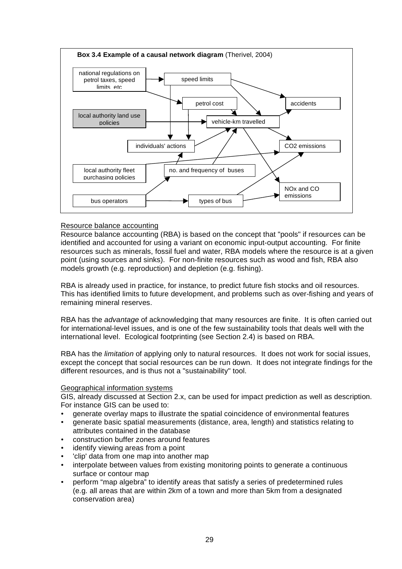

#### Resource balance accounting

Resource balance accounting (RBA) is based on the concept that "pools" if resources can be identified and accounted for using a variant on economic input-output accounting. For finite resources such as minerals, fossil fuel and water, RBA models where the resource is at a given point (using sources and sinks). For non-finite resources such as wood and fish, RBA also models growth (e.g. reproduction) and depletion (e.g. fishing).

RBA is already used in practice, for instance, to predict future fish stocks and oil resources. This has identified limits to future development, and problems such as over-fishing and years of remaining mineral reserves.

RBA has the *advantage* of acknowledging that many resources are finite. It is often carried out for international-level issues, and is one of the few sustainability tools that deals well with the international level. Ecological footprinting (see Section 2.4) is based on RBA.

RBA has the *limitation* of applying only to natural resources. It does not work for social issues, except the concept that social resources can be run down. It does not integrate findings for the different resources, and is thus not a "sustainability" tool.

#### Geographical information systems

GIS, already discussed at Section 2.x, can be used for impact prediction as well as description. For instance GIS can be used to:

- generate overlay maps to illustrate the spatial coincidence of environmental features
- generate basic spatial measurements (distance, area, length) and statistics relating to attributes contained in the database
- construction buffer zones around features
- identify viewing areas from a point
- 'clip' data from one map into another map
- interpolate between values from existing monitoring points to generate a continuous surface or contour map
- perform "map algebra" to identify areas that satisfy a series of predetermined rules (e.g. all areas that are within 2km of a town and more than 5km from a designated conservation area)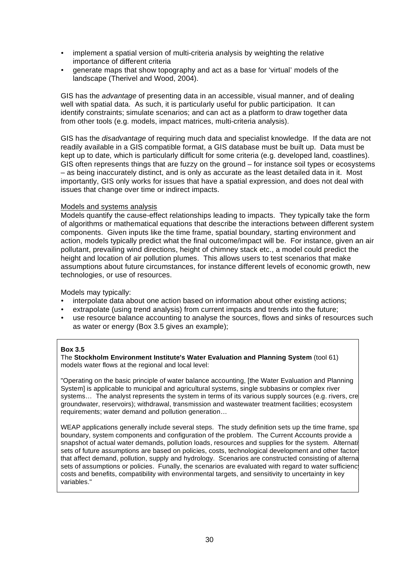- implement a spatial version of multi-criteria analysis by weighting the relative importance of different criteria
- generate maps that show topography and act as a base for 'virtual' models of the landscape (Therivel and Wood, 2004).

GIS has the *advantage* of presenting data in an accessible, visual manner, and of dealing well with spatial data. As such, it is particularly useful for public participation. It can identify constraints; simulate scenarios; and can act as a platform to draw together data from other tools (e.g. models, impact matrices, multi-criteria analysis).

GIS has the *disadvantage* of requiring much data and specialist knowledge. If the data are not readily available in a GIS compatible format, a GIS database must be built up. Data must be kept up to date, which is particularly difficult for some criteria (e.g. developed land, coastlines). GIS often represents things that are fuzzy on the ground – for instance soil types or ecosystems – as being inaccurately distinct, and is only as accurate as the least detailed data in it. Most importantly, GIS only works for issues that have a spatial expression, and does not deal with issues that change over time or indirect impacts.

#### Models and systems analysis

Models quantify the cause-effect relationships leading to impacts. They typically take the form of algorithms or mathematical equations that describe the interactions between different system components. Given inputs like the time frame, spatial boundary, starting environment and action, models typically predict what the final outcome/impact will be. For instance, given an air pollutant, prevailing wind directions, height of chimney stack etc., a model could predict the height and location of air pollution plumes. This allows users to test scenarios that make assumptions about future circumstances, for instance different levels of economic growth, new technologies, or use of resources.

Models may typically:

- interpolate data about one action based on information about other existing actions;
- extrapolate (using trend analysis) from current impacts and trends into the future;
- use resource balance accounting to analyse the sources, flows and sinks of resources such as water or energy (Box 3.5 gives an example);

#### **Box 3.5**

The **Stockholm Environment Institute's Water Evaluation and Planning System** (tool 61) models water flows at the regional and local level:

"Operating on the basic principle of water balance accounting, [the Water Evaluation and Planning System] is applicable to municipal and agricultural systems, single subbasins or complex river systems... The analyst represents the system in terms of its various supply sources (e.g. rivers, cre groundwater, reservoirs); withdrawal, transmission and wastewater treatment facilities; ecosystem requirements; water demand and pollution generation…

WEAP applications generally include several steps. The study definition sets up the time frame, spa boundary, system components and configuration of the problem. The Current Accounts provide a snapshot of actual water demands, pollution loads, resources and supplies for the system. Alternati sets of future assumptions are based on policies, costs, technological development and other factor that affect demand, pollution, supply and hydrology. Scenarios are constructed consisting of alterna sets of assumptions or policies. Funally, the scenarios are evaluated with regard to water sufficiency costs and benefits, compatibility with environmental targets, and sensitivity to uncertainty in key variables."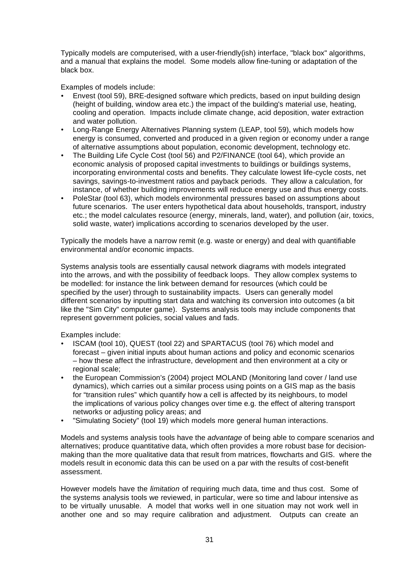Typically models are computerised, with a user-friendly(ish) interface, "black box" algorithms, and a manual that explains the model. Some models allow fine-tuning or adaptation of the black box.

Examples of models include:

- Envest (tool 59), BRE-designed software which predicts, based on input building design (height of building, window area etc.) the impact of the building's material use, heating, cooling and operation. Impacts include climate change, acid deposition, water extraction and water pollution.
- Long-Range Energy Alternatives Planning system (LEAP, tool 59), which models how energy is consumed, converted and produced in a given region or economy under a range of alternative assumptions about population, economic development, technology etc.
- The Building Life Cycle Cost (tool 56) and P2/FINANCE (tool 64), which provide an economic analysis of proposed capital investments to buildings or buildings systems, incorporating environmental costs and benefits. They calculate lowest life-cycle costs, net savings, savings-to-investment ratios and payback periods. They allow a calculation, for instance, of whether building improvements will reduce energy use and thus energy costs.
- PoleStar (tool 63), which models environmental pressures based on assumptions about future scenarios. The user enters hypothetical data about households, transport, industry etc.; the model calculates resource (energy, minerals, land, water), and pollution (air, toxics, solid waste, water) implications according to scenarios developed by the user.

Typically the models have a narrow remit (e.g. waste or energy) and deal with quantifiable environmental and/or economic impacts.

Systems analysis tools are essentially causal network diagrams with models integrated into the arrows, and with the possibility of feedback loops. They allow complex systems to be modelled: for instance the link between demand for resources (which could be specified by the user) through to sustainability impacts. Users can generally model different scenarios by inputting start data and watching its conversion into outcomes (a bit like the "Sim City" computer game). Systems analysis tools may include components that represent government policies, social values and fads.

Examples include:

- ISCAM (tool 10), QUEST (tool 22) and SPARTACUS (tool 76) which model and forecast – given initial inputs about human actions and policy and economic scenarios – how these affect the infrastructure, development and then environment at a city or regional scale;
- the European Commission's (2004) project MOLAND (Monitoring land cover / land use dynamics), which carries out a similar process using points on a GIS map as the basis for "transition rules" which quantify how a cell is affected by its neighbours, to model the implications of various policy changes over time e.g. the effect of altering transport networks or adjusting policy areas; and
- "Simulating Society" (tool 19) which models more general human interactions.

Models and systems analysis tools have the *advantage* of being able to compare scenarios and alternatives; produce quantitative data, which often provides a more robust base for decisionmaking than the more qualitative data that result from matrices, flowcharts and GIS. where the models result in economic data this can be used on a par with the results of cost-benefit assessment.

However models have the *limitation* of requiring much data, time and thus cost. Some of the systems analysis tools we reviewed, in particular, were so time and labour intensive as to be virtually unusable. A model that works well in one situation may not work well in another one and so may require calibration and adjustment. Outputs can create an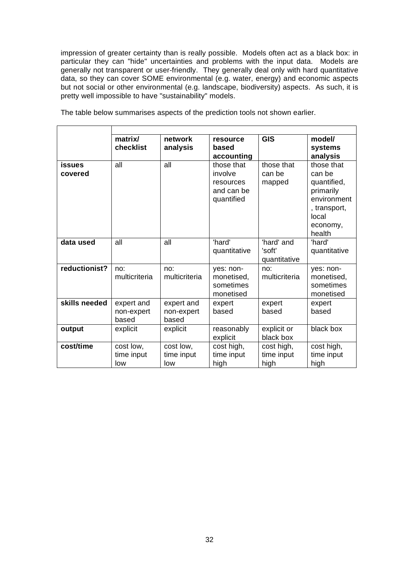impression of greater certainty than is really possible. Models often act as a black box: in particular they can "hide" uncertainties and problems with the input data. Models are generally not transparent or user-friendly. They generally deal only with hard quantitative data, so they can cover SOME environmental (e.g. water, energy) and economic aspects but not social or other environmental (e.g. landscape, biodiversity) aspects. As such, it is pretty well impossible to have "sustainability" models.

|               | matrix/       | network       | resource                | <b>GIS</b>          | model/                  |  |
|---------------|---------------|---------------|-------------------------|---------------------|-------------------------|--|
|               | checklist     | analysis      | based                   |                     | systems                 |  |
|               |               |               | accounting              |                     | analysis                |  |
| issues        | all           | all           | those that              | those that          | those that              |  |
| covered       |               |               | involve                 | can be              | can be                  |  |
|               |               |               | resources               | mapped              | quantified,             |  |
|               |               |               | and can be              |                     | primarily               |  |
|               |               |               | quantified              |                     | environment             |  |
|               |               |               |                         |                     | , transport,            |  |
|               |               |               |                         |                     | local                   |  |
|               |               |               |                         |                     | economy,<br>health      |  |
|               |               |               | 'hard'                  | 'hard' and          |                         |  |
| data used     | all           | all           |                         | 'soft'              | 'hard'                  |  |
|               |               |               | quantitative            |                     | quantitative            |  |
| reductionist? | no:           | no:           |                         | quantitative<br>no: |                         |  |
|               | multicriteria | multicriteria | yes: non-<br>monetised, | multicriteria       | yes: non-<br>monetised, |  |
|               |               |               | sometimes               |                     | sometimes               |  |
|               |               |               | monetised               |                     | monetised               |  |
| skills needed | expert and    | expert and    | expert                  | expert              | expert                  |  |
|               | non-expert    | non-expert    | based                   | based               | based                   |  |
|               | based         | based         |                         |                     |                         |  |
| output        | explicit      | explicit      | reasonably              | explicit or         | black box               |  |
|               |               |               | explicit                | black box           |                         |  |
| cost/time     | cost low,     | cost low,     | cost high,              | cost high,          | cost high,              |  |
|               | time input    | time input    | time input              | time input          | time input              |  |
|               | low           | low           | high                    | high                | high                    |  |

The table below summarises aspects of the prediction tools not shown earlier.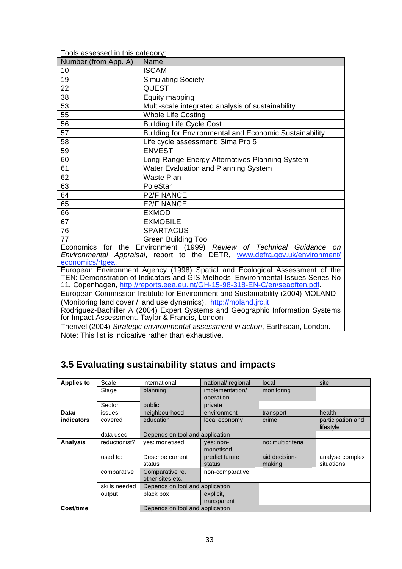| <u>10013 assessed in this category.</u><br>Number (from App. A)                                                                                       | Name                                                                                                                              |  |  |  |
|-------------------------------------------------------------------------------------------------------------------------------------------------------|-----------------------------------------------------------------------------------------------------------------------------------|--|--|--|
| 10                                                                                                                                                    | <b>ISCAM</b>                                                                                                                      |  |  |  |
| 19                                                                                                                                                    | <b>Simulating Society</b>                                                                                                         |  |  |  |
| 22                                                                                                                                                    | <b>QUEST</b>                                                                                                                      |  |  |  |
| 38                                                                                                                                                    | Equity mapping                                                                                                                    |  |  |  |
| 53                                                                                                                                                    | Multi-scale integrated analysis of sustainability                                                                                 |  |  |  |
| 55                                                                                                                                                    | <b>Whole Life Costing</b>                                                                                                         |  |  |  |
| 56                                                                                                                                                    | <b>Building Life Cycle Cost</b>                                                                                                   |  |  |  |
| 57                                                                                                                                                    | Building for Environmental and Economic Sustainability                                                                            |  |  |  |
| 58                                                                                                                                                    | Life cycle assessment: Sima Pro 5                                                                                                 |  |  |  |
| 59                                                                                                                                                    | <b>ENVEST</b>                                                                                                                     |  |  |  |
| 60                                                                                                                                                    | Long-Range Energy Alternatives Planning System                                                                                    |  |  |  |
| 61                                                                                                                                                    | Water Evaluation and Planning System                                                                                              |  |  |  |
| 62                                                                                                                                                    | <b>Waste Plan</b>                                                                                                                 |  |  |  |
| 63                                                                                                                                                    | PoleStar                                                                                                                          |  |  |  |
| 64                                                                                                                                                    | P2/FINANCE                                                                                                                        |  |  |  |
| 65                                                                                                                                                    | E2/FINANCE                                                                                                                        |  |  |  |
| 66                                                                                                                                                    | <b>EXMOD</b>                                                                                                                      |  |  |  |
| 67                                                                                                                                                    | <b>EXMOBILE</b>                                                                                                                   |  |  |  |
| 76                                                                                                                                                    | <b>SPARTACUS</b>                                                                                                                  |  |  |  |
| 77                                                                                                                                                    | <b>Green Building Tool</b>                                                                                                        |  |  |  |
| Economics for the Environment (1999) Review of Technical Guidance<br>on<br>Environmental Appraisal, report to the DETR, www.defra.gov.uk/environment/ |                                                                                                                                   |  |  |  |
| economics/rtgea                                                                                                                                       | European Environment Agency (1998) Spatial and Ecological Assessment of the                                                       |  |  |  |
|                                                                                                                                                       | TEN: Demonstration of Indicators and GIS Methods, Environmental Issues Series No                                                  |  |  |  |
| 11, Copenhagen, http://reports.eea.eu.int/GH-15-98-318-EN-C/en/seaoften.pdf.                                                                          |                                                                                                                                   |  |  |  |
| European Commission Institute for Environment and Sustainability (2004) MOLAND                                                                        |                                                                                                                                   |  |  |  |
| (Monitoring land cover / land use dynamics), http://moland.jrc.it                                                                                     |                                                                                                                                   |  |  |  |
|                                                                                                                                                       | Rodriguez-Bachiller A (2004) Expert Systems and Geographic Information Systems<br>for Impact Assessment. Taylor & Francis, London |  |  |  |
|                                                                                                                                                       | Therivel (2004) Strategic environmental assessment in action, Earthscan, London.                                                  |  |  |  |

Tools assessed in this category:

Note: This list is indicative rather than exhaustive.

# **3.5 Evaluating sustainability status and impacts**

| <b>Applies to</b> | Scale                           | international                       | national/ regional              | local                   | site                            |  |  |  |  |  |
|-------------------|---------------------------------|-------------------------------------|---------------------------------|-------------------------|---------------------------------|--|--|--|--|--|
|                   | Stage                           | planning                            | implementation/                 | monitoring              |                                 |  |  |  |  |  |
|                   |                                 |                                     | operation                       |                         |                                 |  |  |  |  |  |
|                   | Sector                          | public                              | private                         |                         |                                 |  |  |  |  |  |
| Data/             | issues                          | neighbourhood                       | environment                     | transport               | health                          |  |  |  |  |  |
| <b>indicators</b> | covered                         | education                           | local economy                   | crime                   | participation and<br>lifestyle  |  |  |  |  |  |
|                   | data used                       | Depends on tool and application     |                                 |                         |                                 |  |  |  |  |  |
| <b>Analysis</b>   | reductionist?<br>yes: monetised |                                     | yes: non-<br>monetised          | no: multicriteria       |                                 |  |  |  |  |  |
|                   | used to:                        | Describe current<br>status          | predict future<br>status        | aid decision-<br>making | analyse complex<br>situations   |  |  |  |  |  |
|                   | comparative                     | Comparative re.<br>other sites etc. | non-comparative                 |                         |                                 |  |  |  |  |  |
|                   | skills needed                   |                                     | Depends on tool and application |                         |                                 |  |  |  |  |  |
|                   | output                          | black box                           | explicit,                       |                         |                                 |  |  |  |  |  |
|                   |                                 |                                     | transparent                     |                         |                                 |  |  |  |  |  |
| Cost/time         |                                 |                                     |                                 |                         | Depends on tool and application |  |  |  |  |  |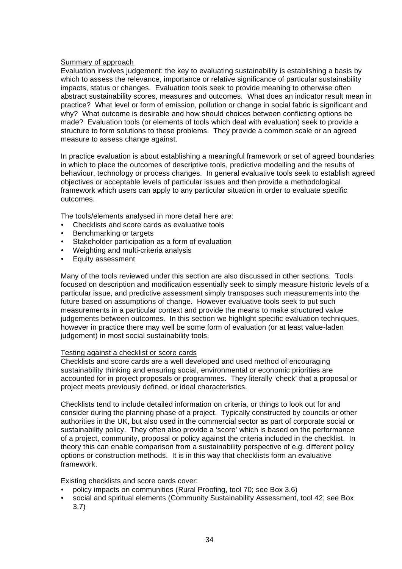#### Summary of approach

Evaluation involves judgement: the key to evaluating sustainability is establishing a basis by which to assess the relevance, importance or relative significance of particular sustainability impacts, status or changes. Evaluation tools seek to provide meaning to otherwise often abstract sustainability scores, measures and outcomes. What does an indicator result mean in practice? What level or form of emission, pollution or change in social fabric is significant and why? What outcome is desirable and how should choices between conflicting options be made? Evaluation tools (or elements of tools which deal with evaluation) seek to provide a structure to form solutions to these problems. They provide a common scale or an agreed measure to assess change against.

In practice evaluation is about establishing a meaningful framework or set of agreed boundaries in which to place the outcomes of descriptive tools, predictive modelling and the results of behaviour, technology or process changes. In general evaluative tools seek to establish agreed objectives or acceptable levels of particular issues and then provide a methodological framework which users can apply to any particular situation in order to evaluate specific outcomes.

The tools/elements analysed in more detail here are:

- Checklists and score cards as evaluative tools
- Benchmarking or targets
- Stakeholder participation as a form of evaluation
- Weighting and multi-criteria analysis
- Equity assessment

Many of the tools reviewed under this section are also discussed in other sections. Tools focused on description and modification essentially seek to simply measure historic levels of a particular issue, and predictive assessment simply transposes such measurements into the future based on assumptions of change. However evaluative tools seek to put such measurements in a particular context and provide the means to make structured value judgements between outcomes. In this section we highlight specific evaluation techniques, however in practice there may well be some form of evaluation (or at least value-laden judgement) in most social sustainability tools.

#### Testing against a checklist or score cards

Checklists and score cards are a well developed and used method of encouraging sustainability thinking and ensuring social, environmental or economic priorities are accounted for in project proposals or programmes. They literally 'check' that a proposal or project meets previously defined, or ideal characteristics.

Checklists tend to include detailed information on criteria, or things to look out for and consider during the planning phase of a project. Typically constructed by councils or other authorities in the UK, but also used in the commercial sector as part of corporate social or sustainability policy. They often also provide a 'score' which is based on the performance of a project, community, proposal or policy against the criteria included in the checklist. In theory this can enable comparison from a sustainability perspective of e.g. different policy options or construction methods. It is in this way that checklists form an evaluative framework.

Existing checklists and score cards cover:

- policy impacts on communities (Rural Proofing, tool 70; see Box 3.6)
- social and spiritual elements (Community Sustainability Assessment, tool 42; see Box 3.7)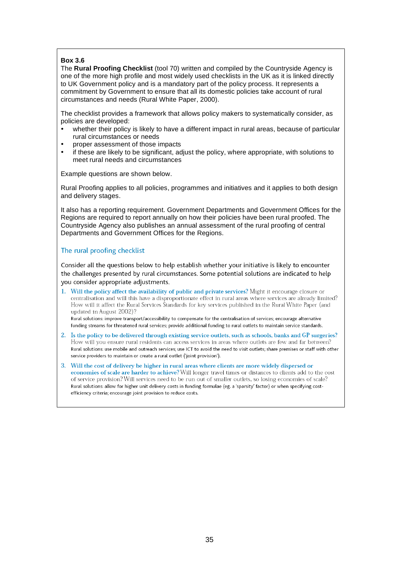#### **Box 3.6**

The **Rural Proofing Checklist** (tool 70) written and compiled by the Countryside Agency is one of the more high profile and most widely used checklists in the UK as it is linked directly to UK Government policy and is a mandatory part of the policy process. It represents a commitment by Government to ensure that all its domestic policies take account of rural circumstances and needs (Rural White Paper, 2000).

The checklist provides a framework that allows policy makers to systematically consider, as policies are developed:

- whether their policy is likely to have a different impact in rural areas, because of particular rural circumstances or needs
- proper assessment of those impacts
- if these are likely to be significant, adjust the policy, where appropriate, with solutions to meet rural needs and circumstances

Example questions are shown below.

Rural Proofing applies to all policies, programmes and initiatives and it applies to both design and delivery stages.

It also has a reporting requirement. Government Departments and Government Offices for the Regions are required to report annually on how their policies have been rural proofed. The Countryside Agency also publishes an annual assessment of the rural proofing of central Departments and Government Offices for the Regions.

#### The rural proofing checklist

Consider all the questions below to help establish whether your initiative is likely to encounter the challenges presented by rural circumstances. Some potential solutions are indicated to help you consider appropriate adjustments.

1. Will the policy affect the availability of public and private services? Might it encourage closure or centralisation and will this have a disproportionate effect in rural areas where services are already limited? How will it affect the Rural Services Standards for key services published in the Rural White Paper (and updated in August 2002)?

Rural solutions: improve transport/accessibility to compensate for the centralisation of services; encourage alternative funding streams for threatened rural services; provide additional funding to rural outlets to maintain service standards.

- 2. Is the policy to be delivered through existing service outlets, such as schools, banks and GP surgeries? How will you ensure rural residents can access services in areas where outlets are few and far between? Rural solutions: use mobile and outreach services; use ICT to avoid the need to visit outlets; share premises or staff with other service providers to maintain or create a rural outlet ('joint provision').
- 3. Will the cost of delivery be higher in rural areas where clients are more widely dispersed or economies of scale are harder to achieve? Will longer travel times or distances to clients add to the cost of service provision? Will services need to be run out of smaller outlets, so losing economies of scale? Rural solutions: allow for higher unit delivery costs in funding formulae (eg. a 'sparsity' factor) or when specifying costefficiency criteria; encourage joint provision to reduce costs.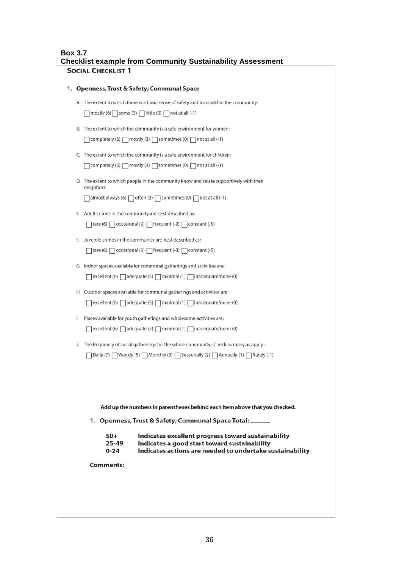### **Box 3.7 Checklist example from Community Sustainability Assessment**

#### **SOCIAL CHECKLIST 1**

|  |  |  |  | 1. Openness, Trust & Safety; Communal Space |  |  |
|--|--|--|--|---------------------------------------------|--|--|
|--|--|--|--|---------------------------------------------|--|--|

- A. The extent to which there is a basic sense of safety and trust within the community:  $\Box$  mostly (6)  $\Box$  some (3)  $\Box$  little (0)  $\Box$  not at all (-1)
- B. The extent to which the community is a safe environment for women: completely (6) mostly (3) sometimes (0) not at all (-1)
- C. The extent to which the community is a safe environment for children: □ completely (6) □ mostly (3) □ sometimes (0) □ not at all (-1)
- D. The extent to which people in the community know and relate supportively with their neighbors: almost always (6) often (3) sometimes (0) not at all (-1)
- E. Adult crimes in the community are best described as:  $\Box$  rare (6)  $\Box$  occasional (3)  $\Box$  frequent (-3)  $\Box$  constant (-5)
- F. Juvenile crimes in the community are best described as: Trare (6) occasional (3) frequent (-3) constant (-5)
- G. Indoor spaces available for communal gatherings and activities are: □ excellent (6) □ adequate (3) □ minimal (1) □ inadequate/none (0)
- H. Outdoor spaces available for communal gatherings and activities are: □ excellent (6) □ adequate (3) □ minimal (1) □ inadequate/none (0)
- I. Places available for youth gatherings and wholesome activities are: □ excellent (6) □ adequate (3) □ minimal (1) □ inadequate/none (0)
- J. The frequency of social gatherings for the whole community: Check as many as apply -□ Daily (7) Weekly (5) Monthly (3) Seasonally (2) Annually (1) Rarely (-1)

Add up the numbers in parentheses behind each item above that you checked.

1. Openness, Trust & Safety; Communal Space Total:

| $50+$     | Indicates excellent progress toward sustainability       |
|-----------|----------------------------------------------------------|
| $25 - 49$ | Indicates a good start toward sustainability             |
| $0 - 24$  | Indicates actions are needed to undertake sustainability |

**Comments:**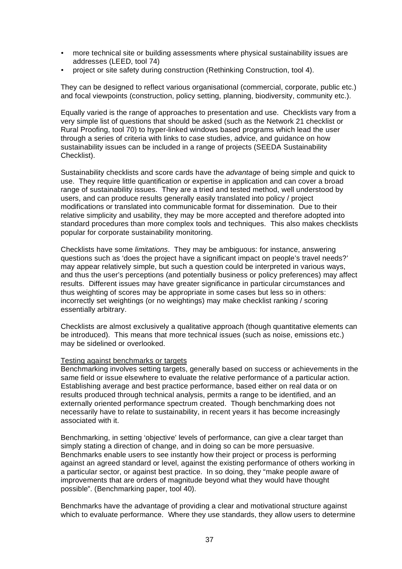- more technical site or building assessments where physical sustainability issues are addresses (LEED, tool 74)
- project or site safety during construction (Rethinking Construction, tool 4).

They can be designed to reflect various organisational (commercial, corporate, public etc.) and focal viewpoints (construction, policy setting, planning, biodiversity, community etc.).

Equally varied is the range of approaches to presentation and use. Checklists vary from a very simple list of questions that should be asked (such as the Network 21 checklist or Rural Proofing, tool 70) to hyper-linked windows based programs which lead the user through a series of criteria with links to case studies, advice, and guidance on how sustainability issues can be included in a range of projects (SEEDA Sustainability Checklist).

Sustainability checklists and score cards have the *advantage* of being simple and quick to use. They require little quantification or expertise in application and can cover a broad range of sustainability issues. They are a tried and tested method, well understood by users, and can produce results generally easily translated into policy / project modifications or translated into communicable format for dissemination. Due to their relative simplicity and usability, they may be more accepted and therefore adopted into standard procedures than more complex tools and techniques. This also makes checklists popular for corporate sustainability monitoring.

Checklists have some *limitations*. They may be ambiguous: for instance, answering questions such as 'does the project have a significant impact on people's travel needs?' may appear relatively simple, but such a question could be interpreted in various ways, and thus the user's perceptions (and potentially business or policy preferences) may affect results. Different issues may have greater significance in particular circumstances and thus weighting of scores may be appropriate in some cases but less so in others: incorrectly set weightings (or no weightings) may make checklist ranking / scoring essentially arbitrary.

Checklists are almost exclusively a qualitative approach (though quantitative elements can be introduced). This means that more technical issues (such as noise, emissions etc.) may be sidelined or overlooked.

#### Testing against benchmarks or targets

Benchmarking involves setting targets, generally based on success or achievements in the same field or issue elsewhere to evaluate the relative performance of a particular action. Establishing average and best practice performance, based either on real data or on results produced through technical analysis, permits a range to be identified, and an externally oriented performance spectrum created. Though benchmarking does not necessarily have to relate to sustainability, in recent years it has become increasingly associated with it.

Benchmarking, in setting 'objective' levels of performance, can give a clear target than simply stating a direction of change, and in doing so can be more persuasive. Benchmarks enable users to see instantly how their project or process is performing against an agreed standard or level, against the existing performance of others working in a particular sector, or against best practice. In so doing, they "make people aware of improvements that are orders of magnitude beyond what they would have thought possible". (Benchmarking paper, tool 40).

Benchmarks have the advantage of providing a clear and motivational structure against which to evaluate performance. Where they use standards, they allow users to determine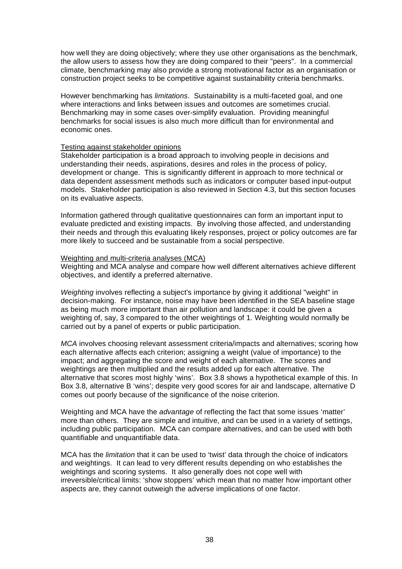how well they are doing objectively; where they use other organisations as the benchmark, the allow users to assess how they are doing compared to their "peers". In a commercial climate, benchmarking may also provide a strong motivational factor as an organisation or construction project seeks to be competitive against sustainability criteria benchmarks.

However benchmarking has *limitations*. Sustainability is a multi-faceted goal, and one where interactions and links between issues and outcomes are sometimes crucial. Benchmarking may in some cases over-simplify evaluation. Providing meaningful benchmarks for social issues is also much more difficult than for environmental and economic ones.

#### Testing against stakeholder opinions

Stakeholder participation is a broad approach to involving people in decisions and understanding their needs, aspirations, desires and roles in the process of policy, development or change. This is significantly different in approach to more technical or data dependent assessment methods such as indicators or computer based input-output models. Stakeholder participation is also reviewed in Section 4.3, but this section focuses on its evaluative aspects.

Information gathered through qualitative questionnaires can form an important input to evaluate predicted and existing impacts. By involving those affected, and understanding their needs and through this evaluating likely responses, project or policy outcomes are far more likely to succeed and be sustainable from a social perspective.

#### Weighting and multi-criteria analyses (MCA)

Weighting and MCA analyse and compare how well different alternatives achieve different objectives, and identify a preferred alternative.

*Weighting* involves reflecting a subject's importance by giving it additional "weight" in decision-making. For instance, noise may have been identified in the SEA baseline stage as being much more important than air pollution and landscape: it could be given a weighting of, say, 3 compared to the other weightings of 1. Weighting would normally be carried out by a panel of experts or public participation.

*MCA* involves choosing relevant assessment criteria/impacts and alternatives; scoring how each alternative affects each criterion; assigning a weight (value of importance) to the impact; and aggregating the score and weight of each alternative. The scores and weightings are then multiplied and the results added up for each alternative. The alternative that scores most highly 'wins'. Box 3.8 shows a hypothetical example of this. In Box 3.8, alternative B 'wins'; despite very good scores for air and landscape, alternative D comes out poorly because of the significance of the noise criterion.

Weighting and MCA have the *advantage* of reflecting the fact that some issues 'matter' more than others. They are simple and intuitive, and can be used in a variety of settings, including public participation. MCA can compare alternatives, and can be used with both quantifiable and unquantifiable data.

MCA has the *limitation* that it can be used to 'twist' data through the choice of indicators and weightings. It can lead to very different results depending on who establishes the weightings and scoring systems. It also generally does not cope well with irreversible/critical limits: 'show stoppers' which mean that no matter how important other aspects are, they cannot outweigh the adverse implications of one factor.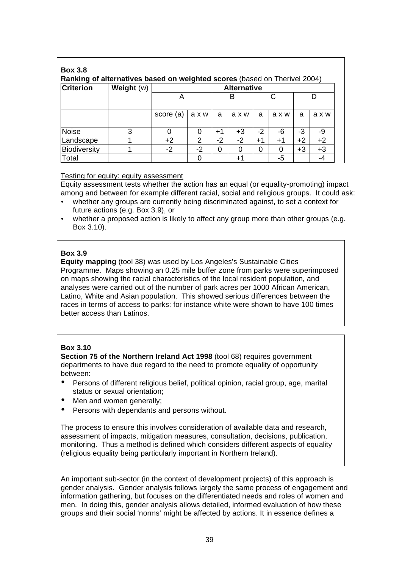| <b>Box 3.8</b>                                                                                                                    |   |           |      |    |      |      |      |      |      |
|-----------------------------------------------------------------------------------------------------------------------------------|---|-----------|------|----|------|------|------|------|------|
| Ranking of alternatives based on weighted scores (based on Therivel 2004)<br><b>Criterion</b><br>Weight (w)<br><b>Alternative</b> |   |           |      |    |      |      |      |      |      |
|                                                                                                                                   |   | Α         |      | в  |      | С    |      |      |      |
|                                                                                                                                   |   | score (a) | axw  | a  | axw  | a    | axw  | a    | axw  |
| <b>Noise</b>                                                                                                                      | 3 |           |      | +1 | $+3$ | -2   | -6   | -3   | -9   |
| Landscape                                                                                                                         |   | $+2$      | 2    | -2 | $-2$ | $+1$ | $+1$ | $+2$ | $+2$ |
| Biodiversity                                                                                                                      |   | $-2$      | $-2$ | 0  | 0    | 0    | 0    | $+3$ | $+3$ |
| Total                                                                                                                             |   |           |      |    | +1   |      | -5   |      | -4   |

#### Testing for equity: equity assessment

Equity assessment tests whether the action has an equal (or equality-promoting) impact among and between for example different racial, social and religious groups. It could ask:

- whether any groups are currently being discriminated against, to set a context for future actions (e.g. Box 3.9), or
- whether a proposed action is likely to affect any group more than other groups (e.g. Box 3.10).

#### **Box 3.9**

**Equity mapping** (tool 38) was used by Los Angeles's Sustainable Cities Programme. Maps showing an 0.25 mile buffer zone from parks were superimposed on maps showing the racial characteristics of the local resident population, and analyses were carried out of the number of park acres per 1000 African American, Latino, White and Asian population. This showed serious differences between the races in terms of access to parks: for instance white were shown to have 100 times better access than Latinos.

#### **Box 3.10**

**Section 75 of the Northern Ireland Act 1998** (tool 68) requires government departments to have due regard to the need to promote equality of opportunity between:

- Persons of different religious belief, political opinion, racial group, age, marital status or sexual orientation;
- Men and women generally;<br>• Persons with dependants a
- Persons with dependants and persons without.

The process to ensure this involves consideration of available data and research, assessment of impacts, mitigation measures, consultation, decisions, publication, monitoring. Thus a method is defined which considers different aspects of equality (religious equality being particularly important in Northern Ireland).

An important sub-sector (in the context of development projects) of this approach is gender analysis. Gender analysis follows largely the same process of engagement and information gathering, but focuses on the differentiated needs and roles of women and men. In doing this, gender analysis allows detailed, informed evaluation of how these groups and their social 'norms' might be affected by actions. It in essence defines a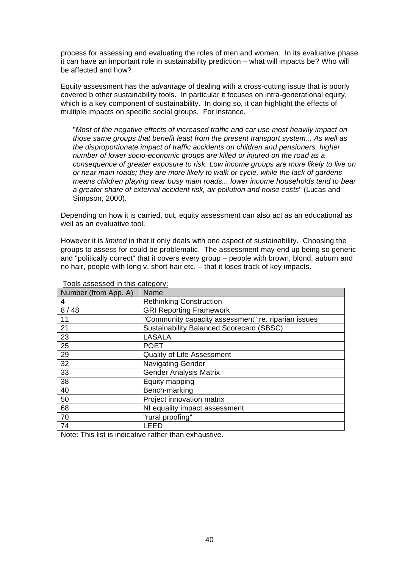process for assessing and evaluating the roles of men and women. In its evaluative phase it can have an important role in sustainability prediction – what will impacts be? Who will be affected and how?

Equity assessment has the *advantage* of dealing with a cross-cutting issue that is poorly covered b other sustainability tools. In particular it focuses on intra-generational equity, which is a key component of sustainability. In doing so, it can highlight the effects of multiple impacts on specific social groups. For instance,

"*Most of the negative effects of increased traffic and car use most heavily impact on those same groups that benefit least from the present transport system... As well as the disproportionate impact of traffic accidents on children and pensioners, higher number of lower socio-economic groups are killed or injured on the road as a consequence of greater exposure to risk. Low income groups are more likely to live on or near main roads; they are more likely to walk or cycle, while the lack of gardens means children playing near busy main roads... lower income households tend to bear a greater share of external accident risk, air pollution and noise costs*" (Lucas and Simpson, 2000).

Depending on how it is carried, out, equity assessment can also act as an educational as well as an evaluative tool.

However it is *limited* in that it only deals with one aspect of sustainability. Choosing the groups to assess for could be problematic. The assessment may end up being so generic and "politically correct" that it covers every group – people with brown, blond, auburn and no hair, people with long v. short hair etc. – that it loses track of key impacts.

| TOOIS assocssed in this category.<br>Number (from App. A) | Name                                                |
|-----------------------------------------------------------|-----------------------------------------------------|
| 4                                                         | <b>Rethinking Construction</b>                      |
| 8/48                                                      | <b>GRI Reporting Framework</b>                      |
| 11                                                        | "Community capacity assessment" re. riparian issues |
| 21                                                        | <b>Sustainability Balanced Scorecard (SBSC)</b>     |
| 23                                                        | <b>LASALA</b>                                       |
| 25                                                        | <b>POET</b>                                         |
| 29                                                        | <b>Quality of Life Assessment</b>                   |
| 32                                                        | <b>Navigating Gender</b>                            |
| 33                                                        | <b>Gender Analysis Matrix</b>                       |
| 38                                                        | Equity mapping                                      |
| 40                                                        | Bench-marking                                       |
| 50                                                        | Project innovation matrix                           |
| 68                                                        | NI equality impact assessment                       |
| 70                                                        | "rural proofing"                                    |
| 74                                                        | <b>LEED</b>                                         |

Tools assessed in this category:

Note: This list is indicative rather than exhaustive.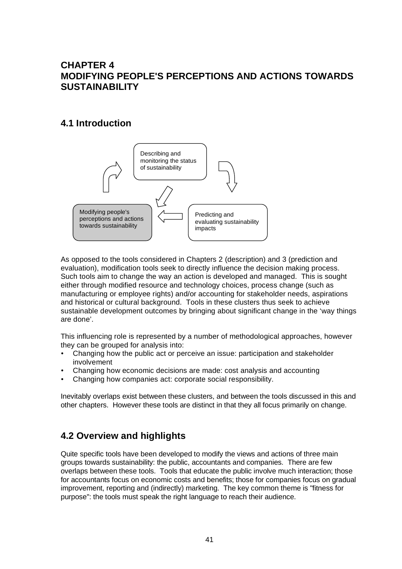### **CHAPTER 4 MODIFYING PEOPLE'S PERCEPTIONS AND ACTIONS TOWARDS SUSTAINABILITY**

### **4.1 Introduction**



As opposed to the tools considered in Chapters 2 (description) and 3 (prediction and evaluation), modification tools seek to directly influence the decision making process. Such tools aim to change the way an action is developed and managed. This is sought either through modified resource and technology choices, process change (such as manufacturing or employee rights) and/or accounting for stakeholder needs, aspirations and historical or cultural background. Tools in these clusters thus seek to achieve sustainable development outcomes by bringing about significant change in the 'way things are done'.

This influencing role is represented by a number of methodological approaches, however they can be grouped for analysis into:

- Changing how the public act or perceive an issue: participation and stakeholder involvement
- Changing how economic decisions are made: cost analysis and accounting
- Changing how companies act: corporate social responsibility.

Inevitably overlaps exist between these clusters, and between the tools discussed in this and other chapters. However these tools are distinct in that they all focus primarily on change.

### **4.2 Overview and highlights**

Quite specific tools have been developed to modify the views and actions of three main groups towards sustainability: the public, accountants and companies. There are few overlaps between these tools. Tools that educate the public involve much interaction; those for accountants focus on economic costs and benefits; those for companies focus on gradual improvement, reporting and (indirectly) marketing. The key common theme is "fitness for purpose": the tools must speak the right language to reach their audience.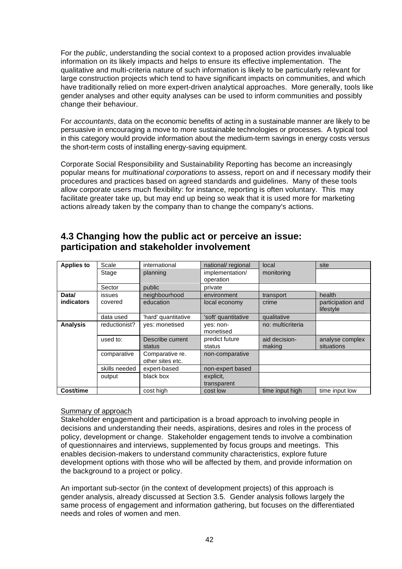For the *public*, understanding the social context to a proposed action provides invaluable information on its likely impacts and helps to ensure its effective implementation. The qualitative and multi-criteria nature of such information is likely to be particularly relevant for large construction projects which tend to have significant impacts on communities, and which have traditionally relied on more expert-driven analytical approaches. More generally, tools like gender analyses and other equity analyses can be used to inform communities and possibly change their behaviour.

For *accountants*, data on the economic benefits of acting in a sustainable manner are likely to be persuasive in encouraging a move to more sustainable technologies or processes. A typical tool in this category would provide information about the medium-term savings in energy costs versus the short-term costs of installing energy-saving equipment.

Corporate Social Responsibility and Sustainability Reporting has become an increasingly popular means for *multinational corporations* to assess, report on and if necessary modify their procedures and practices based on agreed standards and guidelines. Many of these tools allow corporate users much flexibility: for instance, reporting is often voluntary. This may facilitate greater take up, but may end up being so weak that it is used more for marketing actions already taken by the company than to change the company's actions.

| <b>Applies to</b> | Scale         | international                       | national/ regional       | local                   | site                           |
|-------------------|---------------|-------------------------------------|--------------------------|-------------------------|--------------------------------|
|                   |               |                                     |                          |                         |                                |
|                   | Stage         | planning                            | implementation/          | monitoring              |                                |
|                   |               |                                     | operation                |                         |                                |
|                   | Sector        | public                              | private                  |                         |                                |
| Data/             | issues        | neighbourhood                       | environment              | transport               | health                         |
| <b>indicators</b> | covered       | education                           | local economy            | crime                   | participation and<br>lifestyle |
|                   | data used     | 'hard' quantitative                 | 'soft' quantitative      | qualitative             |                                |
| <b>Analysis</b>   | reductionist? | yes: monetised                      | yes: non-<br>monetised   | no: multicriteria       |                                |
|                   | used to:      | Describe current<br>status          | predict future<br>status | aid decision-<br>making | analyse complex<br>situations  |
|                   | comparative   | Comparative re.<br>other sites etc. | non-comparative          |                         |                                |
|                   | skills needed | expert-based                        | non-expert based         |                         |                                |
|                   | output        | black box                           | explicit,<br>transparent |                         |                                |
| Cost/time         |               | cost high                           | cost low                 | time input high         | time input low                 |

### **4.3 Changing how the public act or perceive an issue: participation and stakeholder involvement**

#### Summary of approach

Stakeholder engagement and participation is a broad approach to involving people in decisions and understanding their needs, aspirations, desires and roles in the process of policy, development or change. Stakeholder engagement tends to involve a combination of questionnaires and interviews, supplemented by focus groups and meetings. This enables decision-makers to understand community characteristics, explore future development options with those who will be affected by them, and provide information on the background to a project or policy.

An important sub-sector (in the context of development projects) of this approach is gender analysis, already discussed at Section 3.5. Gender analysis follows largely the same process of engagement and information gathering, but focuses on the differentiated needs and roles of women and men.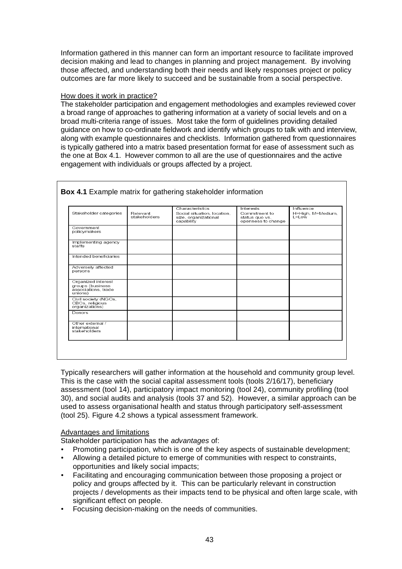Information gathered in this manner can form an important resource to facilitate improved decision making and lead to changes in planning and project management. By involving those affected, and understanding both their needs and likely responses project or policy outcomes are far more likely to succeed and be sustainable from a social perspective.

#### How does it work in practice?

The stakeholder participation and engagement methodologies and examples reviewed cover a broad range of approaches to gathering information at a variety of social levels and on a broad multi-criteria range of issues. Most take the form of guidelines providing detailed guidance on how to co-ordinate fieldwork and identify which groups to talk with and interview, along with example questionnaires and checklists. Information gathered from questionnaires is typically gathered into a matrix based presentation format for ease of assessment such as the one at Box 4.1. However common to all are the use of questionnaires and the active engagement with individuals or groups affected by a project.

| Stakeholder categories                                                   | Relevant<br>stakeholders | Characteristics<br>Social situation, location,<br>size, organizational<br>capability | Interests<br>Commitment to<br>status quo vs.<br>openness to change | Influence<br>H=High, M=Medium,<br>$L = Low$ |
|--------------------------------------------------------------------------|--------------------------|--------------------------------------------------------------------------------------|--------------------------------------------------------------------|---------------------------------------------|
| Government<br>policymakers                                               |                          |                                                                                      |                                                                    |                                             |
| Implementing agency<br>staffs                                            |                          |                                                                                      |                                                                    |                                             |
| Intended beneficiaries                                                   |                          |                                                                                      |                                                                    |                                             |
| Adversely affected<br>persons                                            |                          |                                                                                      |                                                                    |                                             |
| Organized interest<br>groups (business<br>associations, trade<br>unions) |                          |                                                                                      |                                                                    |                                             |
| Civil society (NGOs,<br>CBOs, religious<br>organizations)                |                          |                                                                                      |                                                                    |                                             |
| Donors                                                                   |                          |                                                                                      |                                                                    |                                             |
| Other external /<br>international<br>stakeholders                        |                          |                                                                                      |                                                                    |                                             |

Typically researchers will gather information at the household and community group level. This is the case with the social capital assessment tools (tools 2/16/17), beneficiary assessment (tool 14), participatory impact monitoring (tool 24), community profiling (tool 30), and social audits and analysis (tools 37 and 52). However, a similar approach can be used to assess organisational health and status through participatory self-assessment (tool 25). Figure 4.2 shows a typical assessment framework.

#### Advantages and limitations

Stakeholder participation has the *advantages* of:

- Promoting participation, which is one of the key aspects of sustainable development;
- Allowing a detailed picture to emerge of communities with respect to constraints, opportunities and likely social impacts;
- Facilitating and encouraging communication between those proposing a project or policy and groups affected by it. This can be particularly relevant in construction projects / developments as their impacts tend to be physical and often large scale, with significant effect on people.
- Focusing decision-making on the needs of communities.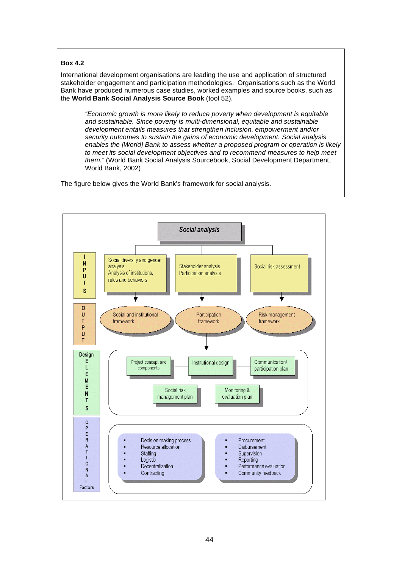#### **Box 4.2**

International development organisations are leading the use and application of structured stakeholder engagement and participation methodologies. Organisations such as the World Bank have produced numerous case studies, worked examples and source books, such as the **World Bank Social Analysis Source Book** (tool 52).

*"Economic growth is more likely to reduce poverty when development is equitable and sustainable. Since poverty is multi-dimensional, equitable and sustainable development entails measures that strengthen inclusion, empowerment and/or security outcomes to sustain the gains of economic development. Social analysis enables the [World] Bank to assess whether a proposed program or operation is likely to meet its social development objectives and to recommend measures to help meet them."* (World Bank Social Analysis Sourcebook, Social Development Department, World Bank, 2002)

The figure below gives the World Bank's framework for social analysis.

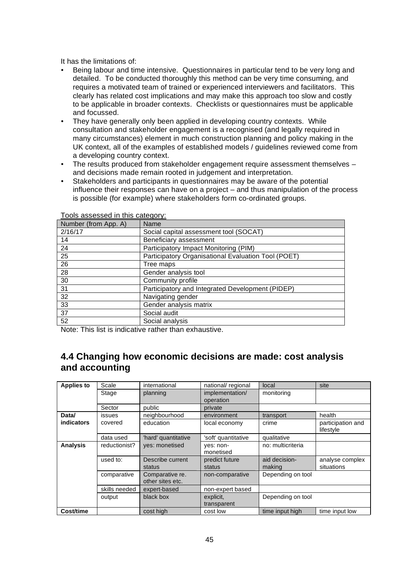It has the limitations of:

- Being labour and time intensive. Questionnaires in particular tend to be very long and detailed. To be conducted thoroughly this method can be very time consuming, and requires a motivated team of trained or experienced interviewers and facilitators. This clearly has related cost implications and may make this approach too slow and costly to be applicable in broader contexts. Checklists or questionnaires must be applicable and focussed.
- They have generally only been applied in developing country contexts. While consultation and stakeholder engagement is a recognised (and legally required in many circumstances) element in much construction planning and policy making in the UK context, all of the examples of established models / guidelines reviewed come from a developing country context.
- The results produced from stakeholder engagement require assessment themselves and decisions made remain rooted in judgement and interpretation.
- Stakeholders and participants in questionnaires may be aware of the potential influence their responses can have on a project – and thus manipulation of the process is possible (for example) where stakeholders form co-ordinated groups.

| Number (from App. A) | Name                                                |
|----------------------|-----------------------------------------------------|
| 2/16/17              | Social capital assessment tool (SOCAT)              |
| 14                   | Beneficiary assessment                              |
| 24                   | Participatory Impact Monitoring (PIM)               |
| 25                   | Participatory Organisational Evaluation Tool (POET) |
| 26                   | Tree maps                                           |
| 28                   | Gender analysis tool                                |
| 30                   | Community profile                                   |
| 31                   | Participatory and Integrated Development (PIDEP)    |
| 32                   | Navigating gender                                   |
| 33                   | Gender analysis matrix                              |
| 37                   | Social audit                                        |
| 52                   | Social analysis                                     |

Tools assessed in this category:

Note: This list is indicative rather than exhaustive.

### **4.4 Changing how economic decisions are made: cost analysis and accounting**

| <b>Applies to</b> | Scale         | international                       | national/ regional           | local                             | site                           |
|-------------------|---------------|-------------------------------------|------------------------------|-----------------------------------|--------------------------------|
|                   | Stage         | planning                            | implementation/<br>operation | monitoring                        |                                |
|                   | Sector        | public                              | private                      |                                   |                                |
| Data/             | issues        | neighbourhood                       | environment                  | transport                         | health                         |
| <b>indicators</b> | covered       | education                           | local economy                | crime                             | participation and<br>lifestyle |
|                   | data used     | 'hard' quantitative                 | 'soft' quantitative          | qualitative                       |                                |
| <b>Analysis</b>   | reductionist? | ves: monetised                      | yes: non-<br>monetised       | no: multicriteria                 |                                |
|                   | used to:      | Describe current<br>status          | predict future<br>status     | aid decision-<br>making           | analyse complex<br>situations  |
|                   | comparative   | Comparative re.<br>other sites etc. | non-comparative              | Depending on tool                 |                                |
|                   | skills needed | expert-based                        | non-expert based             |                                   |                                |
|                   | output        | black box                           | explicit,<br>transparent     | Depending on tool                 |                                |
| Cost/time         |               | cost high                           | cost low                     | time input high<br>time input low |                                |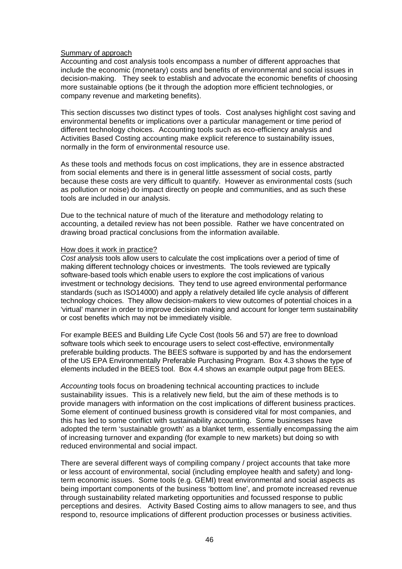#### Summary of approach

Accounting and cost analysis tools encompass a number of different approaches that include the economic (monetary) costs and benefits of environmental and social issues in decision-making. They seek to establish and advocate the economic benefits of choosing more sustainable options (be it through the adoption more efficient technologies, or company revenue and marketing benefits).

This section discusses two distinct types of tools. Cost analyses highlight cost saving and environmental benefits or implications over a particular management or time period of different technology choices. Accounting tools such as eco-efficiency analysis and Activities Based Costing accounting make explicit reference to sustainability issues, normally in the form of environmental resource use.

As these tools and methods focus on cost implications, they are in essence abstracted from social elements and there is in general little assessment of social costs, partly because these costs are very difficult to quantify. However as environmental costs (such as pollution or noise) do impact directly on people and communities, and as such these tools are included in our analysis.

Due to the technical nature of much of the literature and methodology relating to accounting, a detailed review has not been possible. Rather we have concentrated on drawing broad practical conclusions from the information available.

#### How does it work in practice?

*Cost analysis* tools allow users to calculate the cost implications over a period of time of making different technology choices or investments. The tools reviewed are typically software-based tools which enable users to explore the cost implications of various investment or technology decisions. They tend to use agreed environmental performance standards (such as ISO14000) and apply a relatively detailed life cycle analysis of different technology choices. They allow decision-makers to view outcomes of potential choices in a 'virtual' manner in order to improve decision making and account for longer term sustainability or cost benefits which may not be immediately visible.

For example BEES and Building Life Cycle Cost (tools 56 and 57) are free to download software tools which seek to encourage users to select cost-effective, environmentally preferable building products. The BEES software is supported by and has the endorsement of the US EPA Environmentally Preferable Purchasing Program. Box 4.3 shows the type of elements included in the BEES tool. Box 4.4 shows an example output page from BEES.

*Accounting* tools focus on broadening technical accounting practices to include sustainability issues. This is a relatively new field, but the aim of these methods is to provide managers with information on the cost implications of different business practices. Some element of continued business growth is considered vital for most companies, and this has led to some conflict with sustainability accounting. Some businesses have adopted the term 'sustainable growth' as a blanket term, essentially encompassing the aim of increasing turnover and expanding (for example to new markets) but doing so with reduced environmental and social impact.

There are several different ways of compiling company / project accounts that take more or less account of environmental, social (including employee health and safety) and longterm economic issues. Some tools (e.g. GEMI) treat environmental and social aspects as being important components of the business 'bottom line', and promote increased revenue through sustainability related marketing opportunities and focussed response to public perceptions and desires. Activity Based Costing aims to allow managers to see, and thus respond to, resource implications of different production processes or business activities.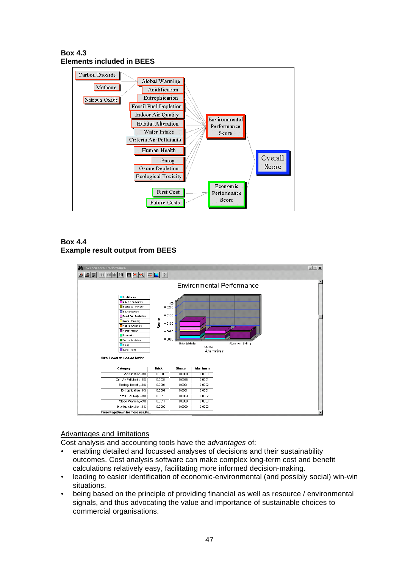**Box 4.3 Elements included in BEES** 



#### **Box 4.4 Example result output from BEES**



#### Advantages and limitations

Cost analysis and accounting tools have the *advantages* of:

- enabling detailed and focussed analyses of decisions and their sustainability outcomes. Cost analysis software can make complex long-term cost and benefit calculations relatively easy, facilitating more informed decision-making.
- leading to easier identification of economic-environmental (and possibly social) win-win situations.
- being based on the principle of providing financial as well as resource / environmental signals, and thus advocating the value and importance of sustainable choices to commercial organisations.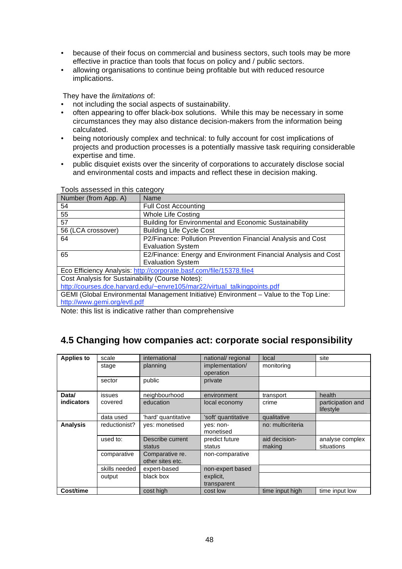- because of their focus on commercial and business sectors, such tools may be more effective in practice than tools that focus on policy and / public sectors.
- allowing organisations to continue being profitable but with reduced resource implications.

They have the *limitations* of:

- not including the social aspects of sustainability.
- often appearing to offer black-box solutions. While this may be necessary in some circumstances they may also distance decision-makers from the information being calculated.
- being notoriously complex and technical: to fully account for cost implications of projects and production processes is a potentially massive task requiring considerable expertise and time.
- public disquiet exists over the sincerity of corporations to accurately disclose social and environmental costs and impacts and reflect these in decision making.

| Number (from App. A)                                                     | Name                                                                                   |  |  |  |  |
|--------------------------------------------------------------------------|----------------------------------------------------------------------------------------|--|--|--|--|
| 54                                                                       | <b>Full Cost Accounting</b>                                                            |  |  |  |  |
| 55                                                                       | <b>Whole Life Costing</b>                                                              |  |  |  |  |
| 57                                                                       | Building for Environmental and Economic Sustainability                                 |  |  |  |  |
| 56 (LCA crossover)                                                       | <b>Building Life Cycle Cost</b>                                                        |  |  |  |  |
| 64                                                                       | P2/Finance: Pollution Prevention Financial Analysis and Cost                           |  |  |  |  |
|                                                                          | <b>Evaluation System</b>                                                               |  |  |  |  |
| 65                                                                       | E2/Finance: Energy and Environment Financial Analysis and Cost                         |  |  |  |  |
|                                                                          | <b>Evaluation System</b>                                                               |  |  |  |  |
|                                                                          | Eco Efficiency Analysis: http://corporate.basf.com/file/15378.file4                    |  |  |  |  |
|                                                                          | Cost Analysis for Sustainability (Course Notes):                                       |  |  |  |  |
| http://courses.dce.harvard.edu/~envre105/mar22/virtual_talkingpoints.pdf |                                                                                        |  |  |  |  |
|                                                                          | GEMI (Global Environmental Management Initiative) Environment - Value to the Top Line: |  |  |  |  |
| http://www.gemi.org/evtl.pdf                                             |                                                                                        |  |  |  |  |

Tools assessed in this category

Note: this list is indicative rather than comprehensive

### **4.5 Changing how companies act: corporate social responsibility**

| <b>Applies to</b> | scale         | international                       | national/ regional           | local                   | site                           |
|-------------------|---------------|-------------------------------------|------------------------------|-------------------------|--------------------------------|
|                   | stage         | planning                            | implementation/<br>operation | monitoring              |                                |
|                   | sector        | public                              | private                      |                         |                                |
| Data/             | issues        | neighbourhood                       | environment                  | transport               | health                         |
| <b>indicators</b> | covered       | education                           | local economy                | crime                   | participation and<br>lifestyle |
|                   | data used     | 'hard' quantitative                 | 'soft' quantitative          | qualitative             |                                |
| <b>Analysis</b>   | reductionist? | yes: monetised                      | yes: non-<br>monetised       | no: multicriteria       |                                |
|                   | used to:      | Describe current<br>status          | predict future<br>status     | aid decision-<br>making | analyse complex<br>situations  |
|                   | comparative   | Comparative re.<br>other sites etc. | non-comparative              |                         |                                |
|                   | skills needed | expert-based                        | non-expert based             |                         |                                |
|                   | output        | black box                           | explicit,<br>transparent     |                         |                                |
| Cost/time         |               | cost high                           | cost low                     | time input high         | time input low                 |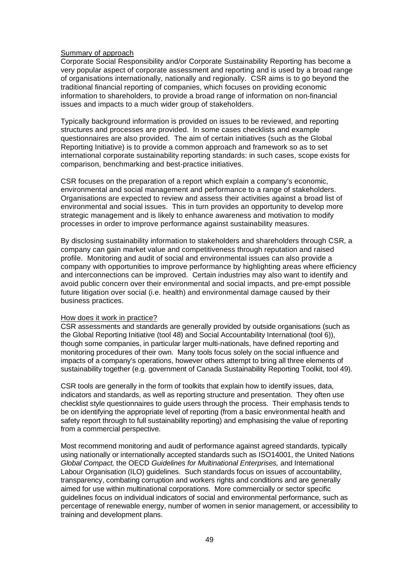#### Summary of approach

Corporate Social Responsibility and/or Corporate Sustainability Reporting has become a very popular aspect of corporate assessment and reporting and is used by a broad range of organisations internationally, nationally and regionally. CSR aims is to go beyond the traditional financial reporting of companies, which focuses on providing economic information to shareholders, to provide a broad range of information on non-financial issues and impacts to a much wider group of stakeholders.

Typically background information is provided on issues to be reviewed, and reporting structures and processes are provided. In some cases checklists and example questionnaires are also provided. The aim of certain initiatives (such as the Global Reporting Initiative) is to provide a common approach and framework so as to set international corporate sustainability reporting standards: in such cases, scope exists for comparison, benchmarking and best-practice initiatives.

CSR focuses on the preparation of a report which explain a company's economic, environmental and social management and performance to a range of stakeholders. Organisations are expected to review and assess their activities against a broad list of environmental and social issues. This in turn provides an opportunity to develop more strategic management and is likely to enhance awareness and motivation to modify processes in order to improve performance against sustainability measures.

By disclosing sustainability information to stakeholders and shareholders through CSR, a company can gain market value and competitiveness through reputation and raised profile. Monitoring and audit of social and environmental issues can also provide a company with opportunities to improve performance by highlighting areas where efficiency and interconnections can be improved. Certain industries may also want to identify and avoid public concern over their environmental and social impacts, and pre-empt possible future litigation over social (i.e. health) and environmental damage caused by their business practices.

#### How does it work in practice?

CSR assessments and standards are generally provided by outside organisations (such as the Global Reporting Initiative (tool 48) and Social Accountability International (tool 6)), though some companies, in particular larger multi-nationals, have defined reporting and monitoring procedures of their own. Many tools focus solely on the social influence and impacts of a company's operations, however others attempt to bring all three elements of sustainability together (e.g. government of Canada Sustainability Reporting Toolkit, tool 49).

CSR tools are generally in the form of toolkits that explain how to identify issues, data, indicators and standards, as well as reporting structure and presentation. They often use checklist style questionnaires to guide users through the process. Their emphasis tends to be on identifying the appropriate level of reporting (from a basic environmental health and safety report through to full sustainability reporting) and emphasising the value of reporting from a commercial perspective.

Most recommend monitoring and audit of performance against agreed standards, typically using nationally or internationally accepted standards such as ISO14001, the United Nations *Global Compact,* the OECD *Guidelines for Multinational Enterprises,* and International Labour Organisation (ILO) guidelines. Such standards focus on issues of accountability, transparency, combating corruption and workers rights and conditions and are generally aimed for use within multinational corporations. More commercially or sector specific guidelines focus on individual indicators of social and environmental performance, such as percentage of renewable energy, number of women in senior management, or accessibility to training and development plans.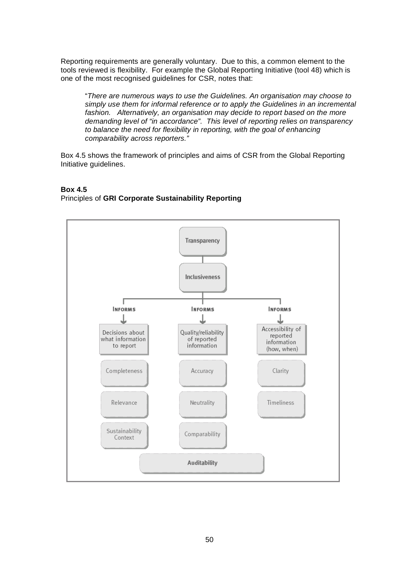Reporting requirements are generally voluntary. Due to this, a common element to the tools reviewed is flexibility. For example the Global Reporting Initiative (tool 48) which is one of the most recognised guidelines for CSR, notes that:

"*There are numerous ways to use the Guidelines. An organisation may choose to simply use them for informal reference or to apply the Guidelines in an incremental fashion. Alternatively, an organisation may decide to report based on the more demanding level of "in accordance". This level of reporting relies on transparency to balance the need for flexibility in reporting, with the goal of enhancing comparability across reporters."*

Box 4.5 shows the framework of principles and aims of CSR from the Global Reporting Initiative guidelines.



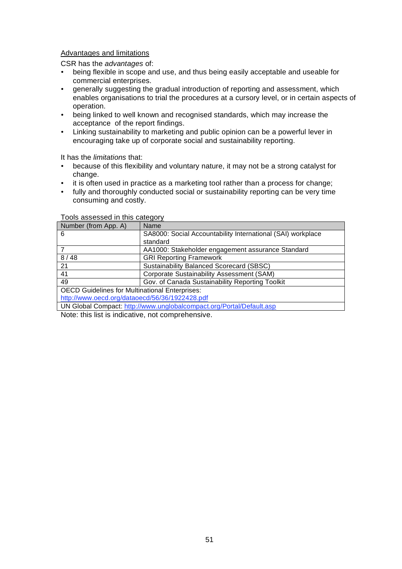#### Advantages and limitations

CSR has the *advantages* of:

- being flexible in scope and use, and thus being easily acceptable and useable for commercial enterprises.
- generally suggesting the gradual introduction of reporting and assessment, which enables organisations to trial the procedures at a cursory level, or in certain aspects of operation.
- being linked to well known and recognised standards, which may increase the acceptance of the report findings.
- Linking sustainability to marketing and public opinion can be a powerful lever in encouraging take up of corporate social and sustainability reporting.

It has the *limitations* that:

- because of this flexibility and voluntary nature, it may not be a strong catalyst for change.
- it is often used in practice as a marketing tool rather than a process for change;
- fully and thoroughly conducted social or sustainability reporting can be very time consuming and costly.

| Number (from App. A)                                  | Name                                                                 |  |  |  |
|-------------------------------------------------------|----------------------------------------------------------------------|--|--|--|
| 6                                                     | SA8000: Social Accountability International (SAI) workplace          |  |  |  |
|                                                       | standard                                                             |  |  |  |
|                                                       | AA1000: Stakeholder engagement assurance Standard                    |  |  |  |
| 8/48                                                  | <b>GRI Reporting Framework</b>                                       |  |  |  |
| 21                                                    | <b>Sustainability Balanced Scorecard (SBSC)</b>                      |  |  |  |
| 41                                                    | <b>Corporate Sustainability Assessment (SAM)</b>                     |  |  |  |
| 49                                                    | Gov. of Canada Sustainability Reporting Toolkit                      |  |  |  |
| <b>OECD Guidelines for Multinational Enterprises:</b> |                                                                      |  |  |  |
| http://www.oecd.org/dataoecd/56/36/1922428.pdf        |                                                                      |  |  |  |
|                                                       | UN Global Compact: http://www.unglobalcompact.org/Portal/Default.asp |  |  |  |

#### Tools assessed in this category

Note: this list is indicative, not comprehensive.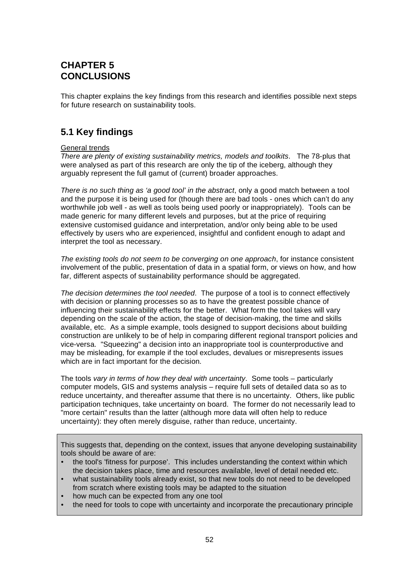## **CHAPTER 5 CONCLUSIONS**

This chapter explains the key findings from this research and identifies possible next steps for future research on sustainability tools.

## **5.1 Key findings**

#### General trends

*There are plenty of existing sustainability metrics, models and toolkits*. The 78-plus that were analysed as part of this research are only the tip of the iceberg, although they arguably represent the full gamut of (current) broader approaches.

*There is no such thing as 'a good tool' in the abstract*, only a good match between a tool and the purpose it is being used for (though there are bad tools - ones which can't do any worthwhile job well - as well as tools being used poorly or inappropriately). Tools can be made generic for many different levels and purposes, but at the price of requiring extensive customised guidance and interpretation, and/or only being able to be used effectively by users who are experienced, insightful and confident enough to adapt and interpret the tool as necessary.

*The existing tools do not seem to be converging on one approach*, for instance consistent involvement of the public, presentation of data in a spatial form, or views on how, and how far, different aspects of sustainability performance should be aggregated.

*The decision determines the tool needed*. The purpose of a tool is to connect effectively with decision or planning processes so as to have the greatest possible chance of influencing their sustainability effects for the better. What form the tool takes will vary depending on the scale of the action, the stage of decision-making, the time and skills available, etc. As a simple example, tools designed to support decisions about building construction are unlikely to be of help in comparing different regional transport policies and vice-versa. "Squeezing" a decision into an inappropriate tool is counterproductive and may be misleading, for example if the tool excludes, devalues or misrepresents issues which are in fact important for the decision.

The tools *vary in terms of how they deal with uncertainty*. Some tools – particularly computer models, GIS and systems analysis – require full sets of detailed data so as to reduce uncertainty, and thereafter assume that there is no uncertainty. Others, like public participation techniques, take uncertainty on board. The former do not necessarily lead to "more certain" results than the latter (although more data will often help to reduce uncertainty): they often merely disguise, rather than reduce, uncertainty.

This suggests that, depending on the context, issues that anyone developing sustainability tools should be aware of are:

- the tool's 'fitness for purpose'. This includes understanding the context within which the decision takes place, time and resources available, level of detail needed etc.
- what sustainability tools already exist, so that new tools do not need to be developed from scratch where existing tools may be adapted to the situation
- how much can be expected from any one tool
- the need for tools to cope with uncertainty and incorporate the precautionary principle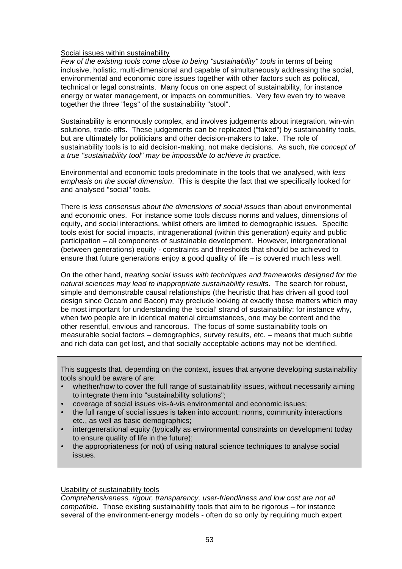#### Social issues within sustainability

*Few of the existing tools come close to being "sustainability" tools* in terms of being inclusive, holistic, multi-dimensional and capable of simultaneously addressing the social, environmental and economic core issues together with other factors such as political, technical or legal constraints. Many focus on one aspect of sustainability, for instance energy or water management, or impacts on communities. Very few even try to weave together the three "legs" of the sustainability "stool".

Sustainability is enormously complex, and involves judgements about integration, win-win solutions, trade-offs. These judgements can be replicated ("faked") by sustainability tools, but are ultimately for politicians and other decision-makers to take. The role of sustainability tools is to aid decision-making, not make decisions. As such, *the concept of a true "sustainability tool" may be impossible to achieve in practice*.

Environmental and economic tools predominate in the tools that we analysed, with *less emphasis on the social dimension*. This is despite the fact that we specifically looked for and analysed "social" tools.

There is *less consensus about the dimensions of social issues* than about environmental and economic ones. For instance some tools discuss norms and values, dimensions of equity, and social interactions, whilst others are limited to demographic issues. Specific tools exist for social impacts, intragenerational (within this generation) equity and public participation – all components of sustainable development. However, intergenerational (between generations) equity - constraints and thresholds that should be achieved to ensure that future generations enjoy a good quality of life – is covered much less well.

On the other hand, *treating social issues with techniques and frameworks designed for the natural sciences may lead to inappropriate sustainability results*. The search for robust, simple and demonstrable causal relationships (the heuristic that has driven all good tool design since Occam and Bacon) may preclude looking at exactly those matters which may be most important for understanding the 'social' strand of sustainability: for instance why, when two people are in identical material circumstances, one may be content and the other resentful, envious and rancorous. The focus of some sustainability tools on measurable social factors – demographics, survey results, etc. – means that much subtle and rich data can get lost, and that socially acceptable actions may not be identified.

This suggests that, depending on the context, issues that anyone developing sustainability tools should be aware of are:

- whether/how to cover the full range of sustainability issues, without necessarily aiming to integrate them into "sustainability solutions";
- coverage of social issues vis-à-vis environmental and economic issues;
- the full range of social issues is taken into account: norms, community interactions etc., as well as basic demographics;
- intergenerational equity (typically as environmental constraints on development today to ensure quality of life in the future);
- the appropriateness (or not) of using natural science techniques to analyse social issues.

#### Usability of sustainability tools

*Comprehensiveness, rigour, transparency, user-friendliness and low cost are not all compatible*. Those existing sustainability tools that aim to be rigorous – for instance several of the environment-energy models - often do so only by requiring much expert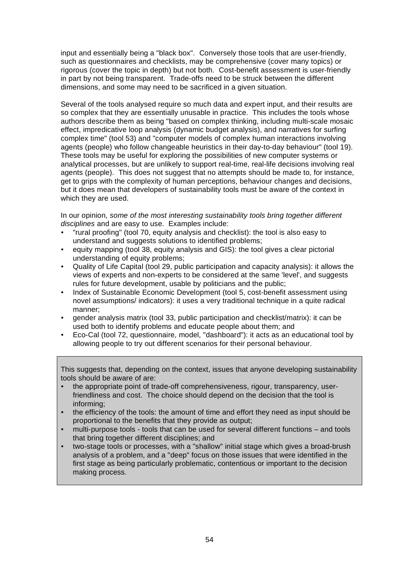input and essentially being a "black box". Conversely those tools that are user-friendly, such as questionnaires and checklists, may be comprehensive (cover many topics) or rigorous (cover the topic in depth) but not both. Cost-benefit assessment is user-friendly in part by not being transparent. Trade-offs need to be struck between the different dimensions, and some may need to be sacrificed in a given situation.

Several of the tools analysed require so much data and expert input, and their results are so complex that they are essentially unusable in practice. This includes the tools whose authors describe them as being "based on complex thinking, including multi-scale mosaic effect, impredicative loop analysis (dynamic budget analysis), and narratives for surfing complex time" (tool 53) and "computer models of complex human interactions involving agents (people) who follow changeable heuristics in their day-to-day behaviour" (tool 19). These tools may be useful for exploring the possibilities of new computer systems or analytical processes, but are unlikely to support real-time, real-life decisions involving real agents (people). This does not suggest that no attempts should be made to, for instance, get to grips with the complexity of human perceptions, behaviour changes and decisions, but it does mean that developers of sustainability tools must be aware of the context in which they are used.

In our opinion, *some of the most interesting sustainability tools bring together different disciplines* and are easy to use. Examples include:

- "rural proofing" (tool 70, equity analysis and checklist): the tool is also easy to understand and suggests solutions to identified problems;
- equity mapping (tool 38, equity analysis and GIS): the tool gives a clear pictorial understanding of equity problems;
- Quality of Life Capital (tool 29, public participation and capacity analysis): it allows the views of experts and non-experts to be considered at the same 'level', and suggests rules for future development, usable by politicians and the public;
- Index of Sustainable Economic Development (tool 5, cost-benefit assessment using novel assumptions/ indicators): it uses a very traditional technique in a quite radical manner;
- gender analysis matrix (tool 33, public participation and checklist/matrix): it can be used both to identify problems and educate people about them; and
- Eco-Cal (tool 72, questionnaire, model, "dashboard"): it acts as an educational tool by allowing people to try out different scenarios for their personal behaviour.

This suggests that, depending on the context, issues that anyone developing sustainability tools should be aware of are:

- the appropriate point of trade-off comprehensiveness, rigour, transparency, userfriendliness and cost. The choice should depend on the decision that the tool is informing;
- the efficiency of the tools: the amount of time and effort they need as input should be proportional to the benefits that they provide as output;
- multi-purpose tools tools that can be used for several different functions and tools that bring together different disciplines; and
- two-stage tools or processes, with a "shallow" initial stage which gives a broad-brush analysis of a problem, and a "deep" focus on those issues that were identified in the first stage as being particularly problematic, contentious or important to the decision making process.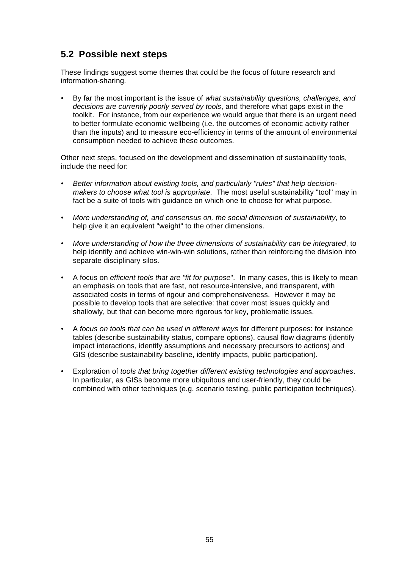### **5.2 Possible next steps**

These findings suggest some themes that could be the focus of future research and information-sharing.

• By far the most important is the issue of *what sustainability questions, challenges, and decisions are currently poorly served by tools*, and therefore what gaps exist in the toolkit. For instance, from our experience we would argue that there is an urgent need to better formulate economic wellbeing (i.e. the outcomes of economic activity rather than the inputs) and to measure eco-efficiency in terms of the amount of environmental consumption needed to achieve these outcomes.

Other next steps, focused on the development and dissemination of sustainability tools, include the need for:

- *Better information about existing tools, and particularly "rules" that help decisionmakers to choose what tool is appropriate*. The most useful sustainability "tool" may in fact be a suite of tools with guidance on which one to choose for what purpose.
- *More understanding of, and consensus on, the social dimension of sustainability*, to help give it an equivalent "weight" to the other dimensions.
- *More understanding of how the three dimensions of sustainability can be integrated*, to help identify and achieve win-win-win solutions, rather than reinforcing the division into separate disciplinary silos.
- A focus on *efficient tools that are "fit for purpose*". In many cases, this is likely to mean an emphasis on tools that are fast, not resource-intensive, and transparent, with associated costs in terms of rigour and comprehensiveness. However it may be possible to develop tools that are selective: that cover most issues quickly and shallowly, but that can become more rigorous for key, problematic issues.
- A *focus on tools that can be used in different ways* for different purposes: for instance tables (describe sustainability status, compare options), causal flow diagrams (identify impact interactions, identify assumptions and necessary precursors to actions) and GIS (describe sustainability baseline, identify impacts, public participation).
- Exploration of *tools that bring together different existing technologies and approaches*. In particular, as GISs become more ubiquitous and user-friendly, they could be combined with other techniques (e.g. scenario testing, public participation techniques).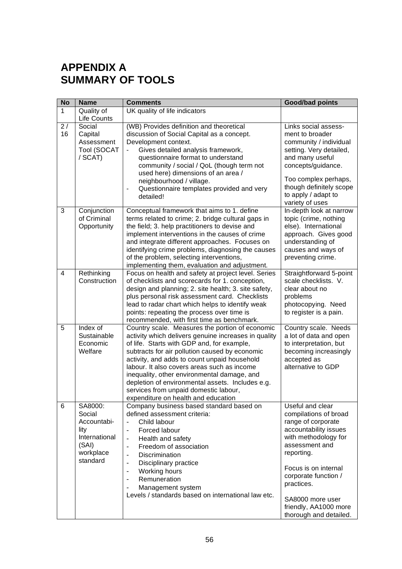# **APPENDIX A SUMMARY OF TOOLS**

| <b>No</b> | <b>Name</b>                                                                                 | <b>Comments</b>                                                                                                                                                                                                                                                                                                                                                                                                                                                                                           | Good/bad points                                                                                                                                                                                                                                                                       |
|-----------|---------------------------------------------------------------------------------------------|-----------------------------------------------------------------------------------------------------------------------------------------------------------------------------------------------------------------------------------------------------------------------------------------------------------------------------------------------------------------------------------------------------------------------------------------------------------------------------------------------------------|---------------------------------------------------------------------------------------------------------------------------------------------------------------------------------------------------------------------------------------------------------------------------------------|
| 1         | Quality of<br>Life Counts                                                                   | UK quality of life indicators                                                                                                                                                                                                                                                                                                                                                                                                                                                                             |                                                                                                                                                                                                                                                                                       |
| 2/<br>16  | Social<br>Capital<br>Assessment<br>Tool (SOCAT<br>/ SCAT)                                   | (WB) Provides definition and theoretical<br>discussion of Social Capital as a concept.<br>Development context.<br>Gives detailed analysis framework,<br>questionnaire format to understand<br>community / social / QoL (though term not<br>used here) dimensions of an area /<br>neighbourhood / village.<br>Questionnaire templates provided and very<br>$\overline{\phantom{a}}$<br>detailed!                                                                                                           | Links social assess-<br>ment to broader<br>community / individual<br>setting. Very detailed,<br>and many useful<br>concepts/guidance.<br>Too complex perhaps,<br>though definitely scope<br>to apply / adapt to<br>variety of uses                                                    |
| 3         | Conjunction<br>of Criminal<br>Opportunity                                                   | Conceptual framework that aims to 1. define<br>terms related to crime; 2. bridge cultural gaps in<br>the field; 3. help practitioners to devise and<br>implement interventions in the causes of crime<br>and integrate different approaches. Focuses on<br>identifying crime problems, diagnosing the causes<br>of the problem, selecting interventions,<br>implementing them, evaluation and adjustment.                                                                                                 | In-depth look at narrow<br>topic (crime, nothing<br>else). International<br>approach. Gives good<br>understanding of<br>causes and ways of<br>preventing crime.                                                                                                                       |
| 4         | Rethinking<br>Construction                                                                  | Focus on health and safety at project level. Series<br>of checklists and scorecards for 1. conception,<br>design and planning; 2. site health; 3. site safety,<br>plus personal risk assessment card. Checklists<br>lead to radar chart which helps to identify weak<br>points: repeating the process over time is<br>recommended, with first time as benchmark.                                                                                                                                          | Straightforward 5-point<br>scale checklists. V.<br>clear about no<br>problems<br>photocopying. Need<br>to register is a pain.                                                                                                                                                         |
| 5         | Index of<br>Sustainable<br>Economic<br>Welfare                                              | Country scale. Measures the portion of economic<br>activity which delivers genuine increases in quality<br>of life. Starts with GDP and, for example,<br>subtracts for air pollution caused by economic<br>activity, and adds to count unpaid household<br>labour. It also covers areas such as income<br>inequality, other environmental damage, and<br>depletion of environmental assets. Includes e.g.<br>services from unpaid domestic labour,<br>expenditure on health and education                 | Country scale. Needs<br>a lot of data and open<br>to interpretation, but<br>becoming increasingly<br>accepted as<br>alternative to GDP                                                                                                                                                |
| 6         | SA8000:<br>Social<br>Accountabi-<br>lity<br>International<br>(SAI)<br>workplace<br>standard | Company business based standard based on<br>defined assessment criteria:<br>Child labour<br>$\blacksquare$<br>Forced labour<br>$\overline{\phantom{a}}$<br>Health and safety<br>$\overline{\phantom{a}}$<br>Freedom of association<br>$\overline{\phantom{a}}$<br>Discrimination<br>$\blacksquare$<br>Disciplinary practice<br>$\overline{\phantom{a}}$<br>Working hours<br>$\overline{\phantom{a}}$<br>Remuneration<br>$\Box$<br>Management system<br>Levels / standards based on international law etc. | Useful and clear<br>compilations of broad<br>range of corporate<br>accountability issues<br>with methodology for<br>assessment and<br>reporting.<br>Focus is on internal<br>corporate function /<br>practices.<br>SA8000 more user<br>friendly, AA1000 more<br>thorough and detailed. |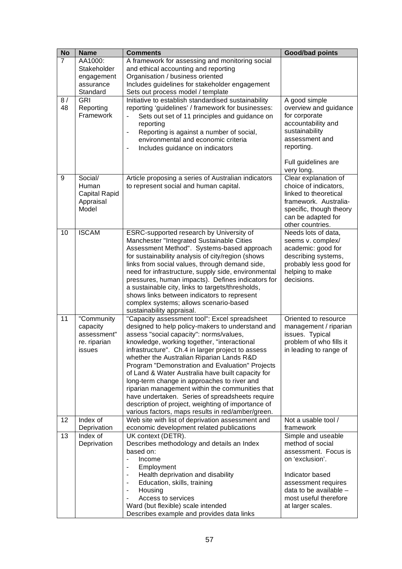| <b>No</b> | <b>Name</b>             | <b>Comments</b>                                                                                     | Good/bad points                                  |
|-----------|-------------------------|-----------------------------------------------------------------------------------------------------|--------------------------------------------------|
| 7         | AA1000:<br>Stakeholder  | A framework for assessing and monitoring social                                                     |                                                  |
|           | engagement              | and ethical accounting and reporting<br>Organisation / business oriented                            |                                                  |
|           | assurance               | Includes guidelines for stakeholder engagement                                                      |                                                  |
|           | Standard                | Sets out process model / template                                                                   |                                                  |
| 8/        | <b>GRI</b>              | Initiative to establish standardised sustainability                                                 | A good simple                                    |
| 48        | Reporting               | reporting 'guidelines' / framework for businesses:                                                  | overview and guidance                            |
|           | Framework               | Sets out set of 11 principles and guidance on                                                       | for corporate                                    |
|           |                         | reporting                                                                                           | accountability and                               |
|           |                         | Reporting is against a number of social,                                                            | sustainability                                   |
|           |                         | environmental and economic criteria                                                                 | assessment and<br>reporting.                     |
|           |                         | Includes guidance on indicators<br>$\overline{\phantom{m}}$                                         |                                                  |
|           |                         |                                                                                                     | Full guidelines are                              |
|           |                         |                                                                                                     | very long.                                       |
| 9         | Social/                 | Article proposing a series of Australian indicators                                                 | Clear explanation of                             |
|           | Human                   | to represent social and human capital.                                                              | choice of indicators,                            |
|           | <b>Capital Rapid</b>    |                                                                                                     | linked to theoretical                            |
|           | Appraisal<br>Model      |                                                                                                     | framework. Australia-<br>specific, though theory |
|           |                         |                                                                                                     | can be adapted for                               |
|           |                         |                                                                                                     | other countries.                                 |
| 10        | <b>ISCAM</b>            | ESRC-supported research by University of                                                            | Needs lots of data,                              |
|           |                         | Manchester "Integrated Sustainable Cities                                                           | seems v. complex/                                |
|           |                         | Assessment Method". Systems-based approach                                                          | academic: good for                               |
|           |                         | for sustainability analysis of city/region (shows<br>links from social values, through demand side, | describing systems,<br>probably less good for    |
|           |                         | need for infrastructure, supply side, environmental                                                 | helping to make                                  |
|           |                         | pressures, human impacts). Defines indicators for                                                   | decisions.                                       |
|           |                         | a sustainable city, links to targets/thresholds,                                                    |                                                  |
|           |                         | shows links between indicators to represent                                                         |                                                  |
|           |                         | complex systems; allows scenario-based                                                              |                                                  |
| 11        | "Community              | sustainability appraisal.<br>"Capacity assessment tool": Excel spreadsheet                          | Oriented to resource                             |
|           | capacity                | designed to help policy-makers to understand and                                                    | management / riparian                            |
|           | assessment"             | assess "social capacity": norms/values,                                                             | issues. Typical                                  |
|           | re. riparian            | knowledge, working together, "interactional                                                         | problem of who fills it                          |
|           | issues                  | infrastructure". Ch.4 in larger project to assess                                                   | in leading to range of                           |
|           |                         | whether the Australian Riparian Lands R&D                                                           |                                                  |
|           |                         | Program "Demonstration and Evaluation" Projects                                                     |                                                  |
|           |                         | of Land & Water Australia have built capacity for<br>long-term change in approaches to river and    |                                                  |
|           |                         | riparian management within the communities that                                                     |                                                  |
|           |                         | have undertaken. Series of spreadsheets require                                                     |                                                  |
|           |                         | description of project, weighting of importance of                                                  |                                                  |
|           |                         | various factors, maps results in red/amber/green.                                                   |                                                  |
| 12        | Index of                | Web site with list of deprivation assessment and                                                    | Not a usable tool /                              |
| 13        | Deprivation<br>Index of | economic development related publications<br>UK context (DETR).                                     | framework<br>Simple and useable                  |
|           | Deprivation             | Describes methodology and details an Index                                                          | method of social                                 |
|           |                         | based on:                                                                                           | assessment. Focus is                             |
|           |                         | Income<br>$\blacksquare$                                                                            | on 'exclusion'.                                  |
|           |                         | Employment<br>$\overline{\phantom{a}}$                                                              |                                                  |
|           |                         | Health deprivation and disability<br>$\overline{\phantom{a}}$                                       | Indicator based                                  |
|           |                         | Education, skills, training<br>$\overline{\phantom{a}}$<br>$\overline{\phantom{a}}$                 | assessment requires<br>data to be available $-$  |
|           |                         | Housing<br>Access to services                                                                       | most useful therefore                            |
|           |                         | Ward (but flexible) scale intended                                                                  | at larger scales.                                |
|           |                         | Describes example and provides data links                                                           |                                                  |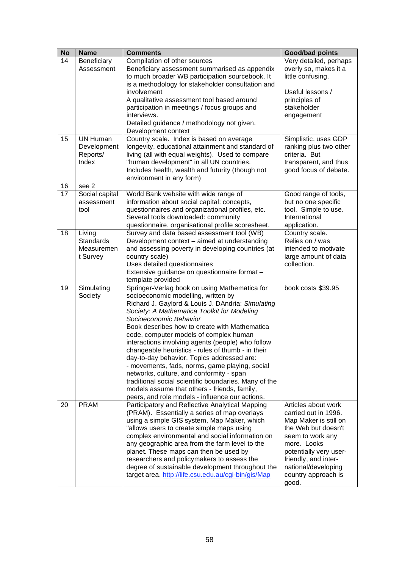| <b>No</b> | <b>Name</b>                                          | <b>Comments</b>                                                                                                                                                                                                                                                                                                                                                                                                                                                                                                                                                                                                                                                                                                                 | <b>Good/bad points</b>                                                                                                                                                                                                                  |
|-----------|------------------------------------------------------|---------------------------------------------------------------------------------------------------------------------------------------------------------------------------------------------------------------------------------------------------------------------------------------------------------------------------------------------------------------------------------------------------------------------------------------------------------------------------------------------------------------------------------------------------------------------------------------------------------------------------------------------------------------------------------------------------------------------------------|-----------------------------------------------------------------------------------------------------------------------------------------------------------------------------------------------------------------------------------------|
| 14        | Beneficiary<br>Assessment                            | Compilation of other sources<br>Beneficiary assessment summarised as appendix<br>to much broader WB participation sourcebook. It<br>is a methodology for stakeholder consultation and<br>involvement<br>A qualitative assessment tool based around<br>participation in meetings / focus groups and<br>interviews.<br>Detailed guidance / methodology not given.<br>Development context                                                                                                                                                                                                                                                                                                                                          | Very detailed, perhaps<br>overly so, makes it a<br>little confusing.<br>Useful lessons /<br>principles of<br>stakeholder<br>engagement                                                                                                  |
| 15        | <b>UN Human</b><br>Development<br>Reports/<br>Index  | Country scale. Index is based on average<br>longevity, educational attainment and standard of<br>living (all with equal weights). Used to compare<br>"human development" in all UN countries.<br>Includes health, wealth and futurity (though not<br>environment in any form)                                                                                                                                                                                                                                                                                                                                                                                                                                                   | Simplistic, uses GDP<br>ranking plus two other<br>criteria. But<br>transparent, and thus<br>good focus of debate.                                                                                                                       |
| 16        | see 2                                                |                                                                                                                                                                                                                                                                                                                                                                                                                                                                                                                                                                                                                                                                                                                                 |                                                                                                                                                                                                                                         |
| 17        | Social capital<br>assessment<br>tool                 | World Bank website with wide range of<br>information about social capital: concepts,<br>questionnaires and organizational profiles, etc.<br>Several tools downloaded: community<br>questionnaire, organisational profile scoresheet.                                                                                                                                                                                                                                                                                                                                                                                                                                                                                            | Good range of tools,<br>but no one specific<br>tool. Simple to use.<br>International<br>application.                                                                                                                                    |
| 18        | Living<br><b>Standards</b><br>Measuremen<br>t Survey | Survey and data based assessment tool (WB)<br>Development context - aimed at understanding<br>and assessing poverty in developing countries (at<br>country scale)<br>Uses detailed questionnaires<br>Extensive guidance on questionnaire format -<br>template provided                                                                                                                                                                                                                                                                                                                                                                                                                                                          | Country scale.<br>Relies on / was<br>intended to motivate<br>large amount of data<br>collection.                                                                                                                                        |
| 19        | Simulating<br>Society                                | Springer-Verlag book on using Mathematica for<br>socioeconomic modelling, written by<br>Richard J. Gaylord & Louis J. DAndria: Simulating<br>Society: A Mathematica Toolkit for Modeling<br>Socioeconomic Behavior<br>Book describes how to create with Mathematica<br>code, computer models of complex human<br>interactions involving agents (people) who follow<br>changeable heuristics - rules of thumb - in their<br>day-to-day behavior. Topics addressed are:<br>- movements, fads, norms, game playing, social<br>networks, culture, and conformity - span<br>traditional social scientific boundaries. Many of the<br>models assume that others - friends, family,<br>peers, and role models - influence our actions. | book costs \$39.95                                                                                                                                                                                                                      |
| 20        | <b>PRAM</b>                                          | Participatory and Reflective Analytical Mapping<br>(PRAM). Essentially a series of map overlays<br>using a simple GIS system, Map Maker, which<br>"allows users to create simple maps using<br>complex environmental and social information on<br>any geographic area from the farm level to the<br>planet. These maps can then be used by<br>researchers and policymakers to assess the<br>degree of sustainable development throughout the<br>target area. http://life.csu.edu.au/cgi-bin/gis/Map                                                                                                                                                                                                                             | Articles about work<br>carried out in 1996.<br>Map Maker is still on<br>the Web but doesn't<br>seem to work any<br>more. Looks<br>potentially very user-<br>friendly, and inter-<br>national/developing<br>country approach is<br>good. |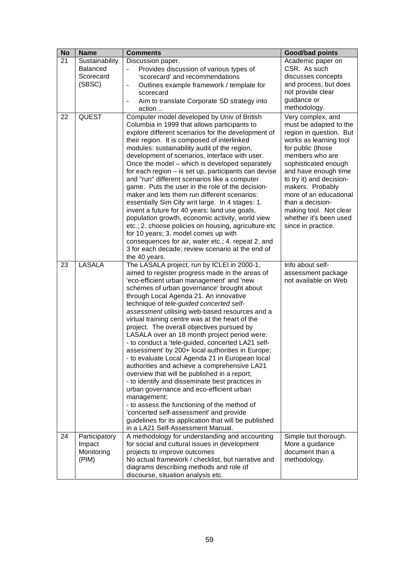| <b>No</b> | <b>Name</b>    | <b>Comments</b>                                                         | Good/bad points          |
|-----------|----------------|-------------------------------------------------------------------------|--------------------------|
| 21        | Sustainability | Discussion paper.                                                       | Academic paper on        |
|           | Balanced       | Provides discussion of various types of                                 | CSR. As such             |
|           | Scorecard      | 'scorecard' and recommendations                                         | discusses concepts       |
|           | (SBSC)         | Outlines example framework / template for<br>$\overline{\phantom{a}}$   | and process, but does    |
|           |                | scorecard                                                               | not provide clear        |
|           |                | Aim to translate Corporate SD strategy into<br>$\overline{\phantom{a}}$ | guidance or              |
|           |                | action                                                                  | methodology.             |
| 22        | <b>QUEST</b>   | Computer model developed by Univ of British                             | Very complex, and        |
|           |                | Columbia in 1999 that allows participants to                            | must be adapted to the   |
|           |                | explore different scenarios for the development of                      | region in question. But  |
|           |                | their region. It is composed of interlinked                             | works as learning tool   |
|           |                | modules: sustainability audit of the region,                            | for public (those        |
|           |                | development of scenarios, interface with user.                          | members who are          |
|           |                | Once the model – which is developed separately                          | sophisticated enough     |
|           |                | for each region - is set up, participants can devise                    | and have enough time     |
|           |                | and "run" different scenarios like a computer                           | to try it) and decision- |
|           |                | game. Puts the user in the role of the decision-                        | makers. Probably         |
|           |                | maker and lets them run different scenarios:                            | more of an educational   |
|           |                | essentially Sim City writ large. In 4 stages: 1.                        | than a decision-         |
|           |                | invent a future for 40 years: land use goals,                           | making tool. Not clear   |
|           |                | population growth, economic activity, world view                        | whether it's been used   |
|           |                | etc.; 2. choose policies on housing, agriculture etc                    | since in practice.       |
|           |                | for 10 years; 3. model comes up with                                    |                          |
|           |                | consequences for air, water etc.; 4. repeat 2. and                      |                          |
|           |                | 3 for each decade; review scenario at the end of<br>the 40 years.       |                          |
| 23        | <b>LASALA</b>  | The LASALA project, run by ICLEI in 2000-1,                             | Info about self-         |
|           |                | aimed to register progress made in the areas of                         | assessment package       |
|           |                | 'eco-efficient urban management' and 'new                               | not available on Web     |
|           |                | schemes of urban governance' brought about                              |                          |
|           |                | through Local Agenda 21. An innovative                                  |                          |
|           |                | technique of tele-guided concerted self-                                |                          |
|           |                | assessment utilising web-based resources and a                          |                          |
|           |                | virtual training centre was at the heart of the                         |                          |
|           |                | project. The overall objectives pursued by                              |                          |
|           |                | LASALA over an 18 month project period were:                            |                          |
|           |                | - to conduct a 'tele-guided, concerted LA21 self-                       |                          |
|           |                | assessment' by 200+ local authorities in Europe;                        |                          |
|           |                | - to evaluate Local Agenda 21 in European local                         |                          |
|           |                | authorities and achieve a comprehensive LA21                            |                          |
|           |                | overview that will be published in a report;                            |                          |
|           |                | - to identify and disseminate best practices in                         |                          |
|           |                | urban governance and eco-efficient urban                                |                          |
|           |                | management;                                                             |                          |
|           |                | - to assess the functioning of the method of                            |                          |
|           |                | 'concerted self-assessment' and provide                                 |                          |
|           |                | guidelines for its application that will be published                   |                          |
|           |                | in a LA21 Self-Assessment Manual.                                       |                          |
| 24        | Participatory  | A methodology for understanding and accounting                          | Simple but thorough.     |
|           | Impact         | for social and cultural issues in development                           | More a guidance          |
|           | Monitoring     | projects to improve outcomes                                            | document than a          |
|           | (PIM)          | No actual framework / checklist, but narrative and                      | methodology.             |
|           |                | diagrams describing methods and role of                                 |                          |
|           |                | discourse, situation analysis etc.                                      |                          |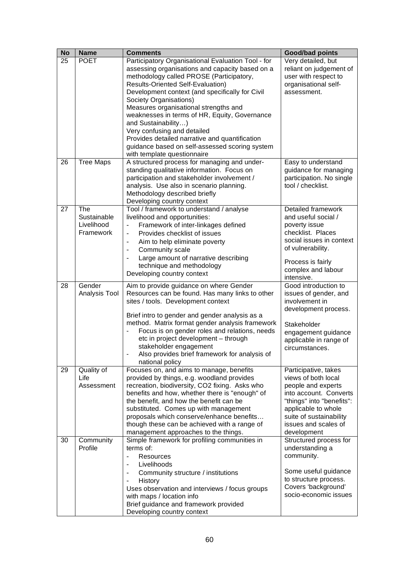| <b>No</b> | <b>Name</b>                                   | <b>Comments</b>                                                                                                                                                                                                                                                                                                                                                                                                                                                                                                                                               | <b>Good/bad points</b>                                                                                                                                                                                            |
|-----------|-----------------------------------------------|---------------------------------------------------------------------------------------------------------------------------------------------------------------------------------------------------------------------------------------------------------------------------------------------------------------------------------------------------------------------------------------------------------------------------------------------------------------------------------------------------------------------------------------------------------------|-------------------------------------------------------------------------------------------------------------------------------------------------------------------------------------------------------------------|
| 25        | <b>POET</b>                                   | Participatory Organisational Evaluation Tool - for<br>assessing organisations and capacity based on a<br>methodology called PROSE (Participatory,<br><b>Results-Oriented Self-Evaluation)</b><br>Development context (and specifically for Civil<br>Society Organisations)<br>Measures organisational strengths and<br>weaknesses in terms of HR, Equity, Governance<br>and Sustainability)<br>Very confusing and detailed<br>Provides detailed narrative and quantification<br>guidance based on self-assessed scoring system<br>with template questionnaire | Very detailed, but<br>reliant on judgement of<br>user with respect to<br>organisational self-<br>assessment.                                                                                                      |
| 26        | <b>Tree Maps</b>                              | A structured process for managing and under-<br>standing qualitative information. Focus on<br>participation and stakeholder involvement /<br>analysis. Use also in scenario planning.<br>Methodology described briefly<br>Developing country context                                                                                                                                                                                                                                                                                                          | Easy to understand<br>guidance for managing<br>participation. No single<br>tool / checklist.                                                                                                                      |
| 27        | The<br>Sustainable<br>Livelihood<br>Framework | Tool / framework to understand / analyse<br>livelihood and opportunities:<br>Framework of inter-linkages defined<br>Provides checklist of issues<br>$\overline{\phantom{m}}$<br>Aim to help eliminate poverty<br>$\overline{\phantom{a}}$<br>Community scale<br>$\overline{\phantom{a}}$<br>Large amount of narrative describing<br>technique and methodology<br>Developing country context                                                                                                                                                                   | Detailed framework<br>and useful social /<br>poverty issue<br>checklist. Places<br>social issues in context<br>of vulnerability.<br>Process is fairly<br>complex and labour<br>intensive.                         |
| 28        | Gender<br>Analysis Tool                       | Aim to provide guidance on where Gender<br>Resources can be found. Has many links to other<br>sites / tools. Development context<br>Brief intro to gender and gender analysis as a<br>method. Matrix format gender analysis framework<br>Focus is on gender roles and relations, needs<br>etc in project development - through<br>stakeholder engagement<br>Also provides brief framework for analysis of<br>national policy                                                                                                                                  | Good introduction to<br>issues of gender, and<br>involvement in<br>development process.<br>Stakeholder<br>engagement guidance<br>applicable in range of<br>circumstances.                                         |
| 29        | Quality of<br>Life<br>Assessment              | Focuses on, and aims to manage, benefits<br>provided by things, e.g. woodland provides<br>recreation, biodiversity, CO2 fixing. Asks who<br>benefits and how, whether there is "enough" of<br>the benefit, and how the benefit can be<br>substituted. Comes up with management<br>proposals which conserve/enhance benefits<br>though these can be achieved with a range of<br>management approaches to the things.                                                                                                                                           | Participative, takes<br>views of both local<br>people and experts<br>into account. Converts<br>"things" into "benefits":<br>applicable to whole<br>suite of sustainability<br>issues and scales of<br>development |
| 30        | Community<br>Profile                          | Simple framework for profiling communities in<br>terms of:<br>Resources<br>$\overline{\phantom{m}}$<br>Livelihoods<br>$\overline{a}$<br>Community structure / institutions<br>$\overline{\phantom{0}}$<br>History<br>Uses observation and interviews / focus groups<br>with maps / location info<br>Brief guidance and framework provided<br>Developing country context                                                                                                                                                                                       | Structured process for<br>understanding a<br>community.<br>Some useful guidance<br>to structure process.<br>Covers 'background'<br>socio-economic issues                                                          |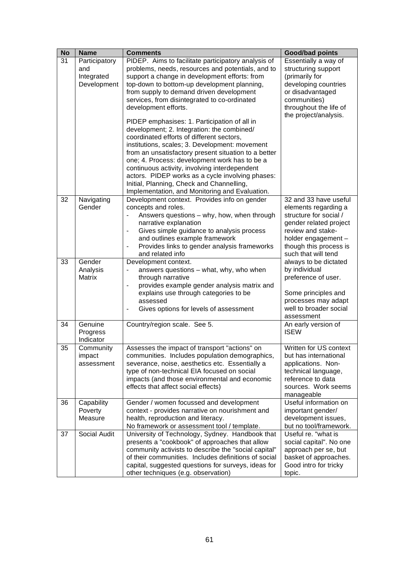| <b>No</b> | <b>Name</b>                                       | <b>Comments</b>                                                                                                                                                                                                                                                                                                                                                                                                                                                                                                                                                                                                                                                                                                                                                                                                                        | <b>Good/bad points</b>                                                                                                                                                                         |
|-----------|---------------------------------------------------|----------------------------------------------------------------------------------------------------------------------------------------------------------------------------------------------------------------------------------------------------------------------------------------------------------------------------------------------------------------------------------------------------------------------------------------------------------------------------------------------------------------------------------------------------------------------------------------------------------------------------------------------------------------------------------------------------------------------------------------------------------------------------------------------------------------------------------------|------------------------------------------------------------------------------------------------------------------------------------------------------------------------------------------------|
| 31        | Participatory<br>and<br>Integrated<br>Development | PIDEP. Aims to facilitate participatory analysis of<br>problems, needs, resources and potentials, and to<br>support a change in development efforts: from<br>top-down to bottom-up development planning,<br>from supply to demand driven development<br>services, from disintegrated to co-ordinated<br>development efforts.<br>PIDEP emphasises: 1. Participation of all in<br>development; 2. Integration: the combined/<br>coordinated efforts of different sectors,<br>institutions, scales; 3. Development: movement<br>from an unsatisfactory present situation to a better<br>one; 4. Process: development work has to be a<br>continuous activity, involving interdependent<br>actors. PIDEP works as a cycle involving phases:<br>Initial, Planning, Check and Channelling,<br>Implementation, and Monitoring and Evaluation. | Essentially a way of<br>structuring support<br>(primarily for<br>developing countries<br>or disadvantaged<br>communities)<br>throughout the life of<br>the project/analysis.                   |
| 32        | Navigating<br>Gender                              | Development context. Provides info on gender<br>concepts and roles.<br>Answers questions - why, how, when through<br>$\blacksquare$<br>narrative explanation<br>Gives simple guidance to analysis process<br>$\qquad \qquad \blacksquare$<br>and outlines example framework<br>Provides links to gender analysis frameworks<br>and related info                                                                                                                                                                                                                                                                                                                                                                                                                                                                                        | 32 and 33 have useful<br>elements regarding a<br>structure for social /<br>gender related project<br>review and stake-<br>holder engagement -<br>though this process is<br>such that will tend |
| 33        | Gender<br>Analysis<br><b>Matrix</b>               | Development context.<br>answers questions - what, why, who when<br>through narrative<br>provides example gender analysis matrix and<br>$\qquad \qquad \blacksquare$<br>explains use through categories to be<br>assessed<br>Gives options for levels of assessment<br>$\qquad \qquad \blacksquare$                                                                                                                                                                                                                                                                                                                                                                                                                                                                                                                                     | always to be dictated<br>by individual<br>preference of user.<br>Some principles and<br>processes may adapt<br>well to broader social<br>assessment                                            |
| 34        | Genuine<br>Progress<br>Indicator                  | Country/region scale. See 5.                                                                                                                                                                                                                                                                                                                                                                                                                                                                                                                                                                                                                                                                                                                                                                                                           | An early version of<br><b>ISEW</b>                                                                                                                                                             |
| 35        | Community<br>impact<br>assessment                 | Assesses the impact of transport "actions" on<br>communities. Includes population demographics,<br>severance, noise, aesthetics etc. Essentially a<br>type of non-technical EIA focused on social<br>impacts (and those environmental and economic<br>effects that affect social effects)                                                                                                                                                                                                                                                                                                                                                                                                                                                                                                                                              | Written for US context<br>but has international<br>applications. Non-<br>technical language,<br>reference to data<br>sources. Work seems<br>manageable                                         |
| 36        | Capability<br>Poverty<br>Measure                  | Gender / women focussed and development<br>context - provides narrative on nourishment and<br>health, reproduction and literacy.<br>No framework or assessment tool / template.                                                                                                                                                                                                                                                                                                                                                                                                                                                                                                                                                                                                                                                        | Useful information on<br>important gender/<br>development issues,<br>but no tool/framework.                                                                                                    |
| 37        | Social Audit                                      | University of Technology, Sydney. Handbook that<br>presents a "cookbook" of approaches that allow<br>community activists to describe the "social capital"<br>of their communities. Includes definitions of social<br>capital, suggested questions for surveys, ideas for<br>other techniques (e.g. observation)                                                                                                                                                                                                                                                                                                                                                                                                                                                                                                                        | Useful re. "what is<br>social capital". No one<br>approach per se, but<br>basket of approaches.<br>Good intro for tricky<br>topic.                                                             |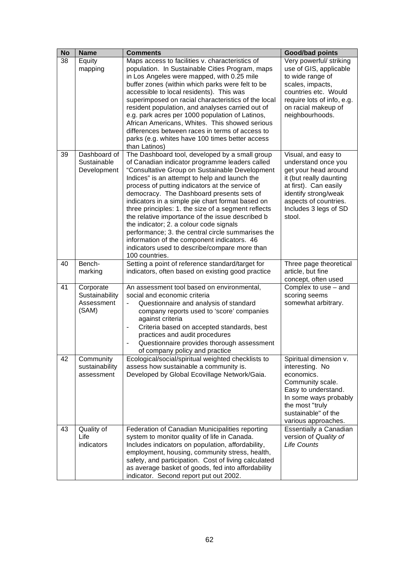| <b>No</b> | <b>Name</b>                                        | <b>Comments</b>                                                                                                                                                                                                                                                                                                                                                                                                                                                                                                                                                                                                                                                                      | Good/bad points                                                                                                                                                                                            |
|-----------|----------------------------------------------------|--------------------------------------------------------------------------------------------------------------------------------------------------------------------------------------------------------------------------------------------------------------------------------------------------------------------------------------------------------------------------------------------------------------------------------------------------------------------------------------------------------------------------------------------------------------------------------------------------------------------------------------------------------------------------------------|------------------------------------------------------------------------------------------------------------------------------------------------------------------------------------------------------------|
| 38        | Equity<br>mapping                                  | Maps access to facilities v. characteristics of<br>population. In Sustainable Cities Program, maps<br>in Los Angeles were mapped, with 0.25 mile<br>buffer zones (within which parks were felt to be<br>accessible to local residents). This was<br>superimposed on racial characteristics of the local<br>resident population, and analyses carried out of<br>e.g. park acres per 1000 population of Latinos,<br>African Americans, Whites. This showed serious<br>differences between races in terms of access to<br>parks (e.g. whites have 100 times better access<br>than Latinos)                                                                                              | Very powerful/ striking<br>use of GIS, applicable<br>to wide range of<br>scales, impacts,<br>countries etc. Would<br>require lots of info, e.g.<br>on racial makeup of<br>neighbourhoods.                  |
| 39        | Dashboard of<br>Sustainable<br>Development         | The Dashboard tool, developed by a small group<br>of Canadian indicator programme leaders called<br>"Consultative Group on Sustainable Development<br>Indices" is an attempt to help and launch the<br>process of putting indicators at the service of<br>democracy. The Dashboard presents sets of<br>indicators in a simple pie chart format based on<br>three principles: 1. the size of a segment reflects<br>the relative importance of the issue described b<br>the indicator; 2. a colour code signals<br>performance; 3. the central circle summarises the<br>information of the component indicators. 46<br>indicators used to describe/compare more than<br>100 countries. | Visual, and easy to<br>understand once you<br>get your head around<br>it (but really daunting<br>at first). Can easily<br>identify strong/weak<br>aspects of countries.<br>Includes 3 legs of SD<br>stool. |
| 40        | Bench-<br>marking                                  | Setting a point of reference standard/target for<br>indicators, often based on existing good practice                                                                                                                                                                                                                                                                                                                                                                                                                                                                                                                                                                                | Three page theoretical<br>article, but fine<br>concept, often used                                                                                                                                         |
| 41        | Corporate<br>Sustainability<br>Assessment<br>(SAM) | An assessment tool based on environmental,<br>social and economic criteria<br>Questionnaire and analysis of standard<br>company reports used to 'score' companies<br>against criteria<br>Criteria based on accepted standards, best<br>practices and audit procedures<br>Questionnaire provides thorough assessment<br>of company policy and practice                                                                                                                                                                                                                                                                                                                                | Complex to use - and<br>scoring seems<br>somewhat arbitrary.                                                                                                                                               |
| 42        | Community<br>sustainability<br>assessment          | Ecological/social/spiritual weighted checklists to<br>assess how sustainable a community is.<br>Developed by Global Ecovillage Network/Gaia.                                                                                                                                                                                                                                                                                                                                                                                                                                                                                                                                         | Spiritual dimension v.<br>interesting. No<br>economics.<br>Community scale.<br>Easy to understand.<br>In some ways probably<br>the most "truly<br>sustainable" of the<br>various approaches.               |
| 43        | Quality of<br>Life<br>indicators                   | Federation of Canadian Municipalities reporting<br>system to monitor quality of life in Canada.<br>Includes indicators on population, affordability,<br>employment, housing, community stress, health,<br>safety, and participation. Cost of living calculated<br>as average basket of goods, fed into affordability<br>indicator. Second report put out 2002.                                                                                                                                                                                                                                                                                                                       | Essentially a Canadian<br>version of Quality of<br><b>Life Counts</b>                                                                                                                                      |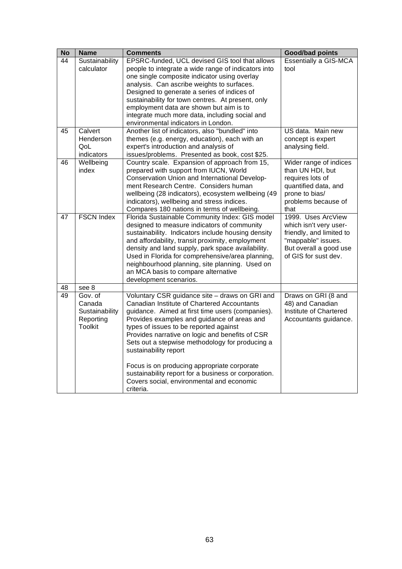| <b>No</b> | <b>Name</b>       | <b>Comments</b>                                      | Good/bad points                         |
|-----------|-------------------|------------------------------------------------------|-----------------------------------------|
| 44        | Sustainability    | EPSRC-funded, UCL devised GIS tool that allows       | <b>Essentially a GIS-MCA</b>            |
|           | calculator        | people to integrate a wide range of indicators into  | tool                                    |
|           |                   | one single composite indicator using overlay         |                                         |
|           |                   | analysis. Can ascribe weights to surfaces.           |                                         |
|           |                   | Designed to generate a series of indices of          |                                         |
|           |                   | sustainability for town centres. At present, only    |                                         |
|           |                   | employment data are shown but aim is to              |                                         |
|           |                   | integrate much more data, including social and       |                                         |
|           |                   | environmental indicators in London.                  |                                         |
| 45        | Calvert           | Another list of indicators, also "bundled" into      | US data. Main new                       |
|           | Henderson         | themes (e.g. energy, education), each with an        | concept is expert                       |
|           | QoL               | expert's introduction and analysis of                | analysing field.                        |
|           | indicators        | issues/problems. Presented as book, cost \$25.       |                                         |
| 46        | Wellbeing         | Country scale. Expansion of approach from 15,        | Wider range of indices                  |
|           | index             | prepared with support from IUCN, World               | than UN HDI, but                        |
|           |                   | Conservation Union and International Develop-        | requires lots of                        |
|           |                   | ment Research Centre. Considers human                | quantified data, and                    |
|           |                   | wellbeing (28 indicators), ecosystem wellbeing (49   | prone to bias/                          |
|           |                   | indicators), wellbeing and stress indices.           | problems because of                     |
|           |                   | Compares 180 nations in terms of wellbeing.          | that                                    |
| 47        | <b>FSCN Index</b> | Florida Sustainable Community Index: GIS model       | 1999. Uses ArcView                      |
|           |                   | designed to measure indicators of community          | which isn't very user-                  |
|           |                   | sustainability. Indicators include housing density   | friendly, and limited to                |
|           |                   | and affordability, transit proximity, employment     | "mappable" issues.                      |
|           |                   | density and land supply, park space availability.    | But overall a good use                  |
|           |                   | Used in Florida for comprehensive/area planning,     | of GIS for sust dev.                    |
|           |                   | neighbourhood planning, site planning. Used on       |                                         |
|           |                   | an MCA basis to compare alternative                  |                                         |
|           |                   | development scenarios.                               |                                         |
| 48<br>49  | see 8<br>Gov. of  | Voluntary CSR guidance site - draws on GRI and       |                                         |
|           | Canada            | Canadian Institute of Chartered Accountants          | Draws on GRI (8 and<br>48) and Canadian |
|           | Sustainability    | guidance. Aimed at first time users (companies).     | Institute of Chartered                  |
|           | Reporting         | Provides examples and guidance of areas and          | Accountants guidance.                   |
|           | <b>Toolkit</b>    | types of issues to be reported against               |                                         |
|           |                   | Provides narrative on logic and benefits of CSR      |                                         |
|           |                   | Sets out a stepwise methodology for producing a      |                                         |
|           |                   | sustainability report                                |                                         |
|           |                   |                                                      |                                         |
|           |                   | Focus is on producing appropriate corporate          |                                         |
|           |                   | sustainability report for a business or corporation. |                                         |
|           |                   | Covers social, environmental and economic            |                                         |
|           |                   | criteria.                                            |                                         |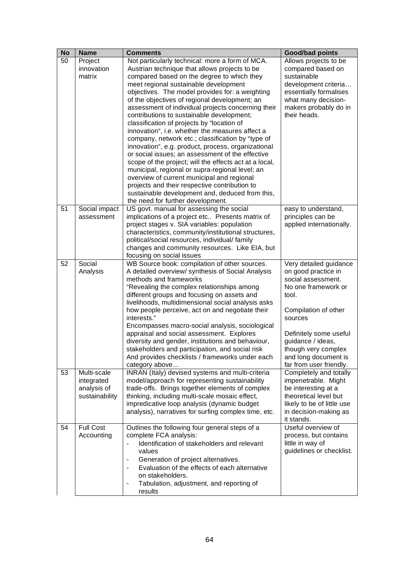| <b>No</b> | <b>Name</b>                                                | <b>Comments</b>                                                                                                                                                                                                                                                                                                                                                                                                                                                                                                                                                                                                                                                                                                                                                                                                                                                                                                                                                    | <b>Good/bad points</b>                                                                                                                                                                                                                                          |
|-----------|------------------------------------------------------------|--------------------------------------------------------------------------------------------------------------------------------------------------------------------------------------------------------------------------------------------------------------------------------------------------------------------------------------------------------------------------------------------------------------------------------------------------------------------------------------------------------------------------------------------------------------------------------------------------------------------------------------------------------------------------------------------------------------------------------------------------------------------------------------------------------------------------------------------------------------------------------------------------------------------------------------------------------------------|-----------------------------------------------------------------------------------------------------------------------------------------------------------------------------------------------------------------------------------------------------------------|
| 50        | Project<br>innovation<br>matrix                            | Not particularly technical: more a form of MCA.<br>Austrian technique that allows projects to be<br>compared based on the degree to which they<br>meet regional sustainable development<br>objectives. The model provides for: a weighting<br>of the objectives of regional development; an<br>assessment of individual projects concerning their<br>contributions to sustainable development;<br>classification of projects by "location of<br>innovation", i.e. whether the measures affect a<br>company, network etc.; classification by "type of<br>innovation", e.g. product, process, organizational<br>or social issues; an assessment of the effective<br>scope of the project; will the effects act at a local,<br>municipal, regional or supra-regional level; an<br>overview of current municipal and regional<br>projects and their respective contribution to<br>sustainable development and, deduced from this,<br>the need for further development. | Allows projects to be<br>compared based on<br>sustainable<br>development criteria<br>essentially formalises<br>what many decision-<br>makers probably do in<br>their heads.                                                                                     |
| 51        | Social impact<br>assessment                                | US govt. manual for assessing the social<br>implications of a project etc Presents matrix of<br>project stages v. SIA variables: population<br>characteristics, community/institutional structures,<br>political/social resources, individual/ family<br>changes and community resources. Like EIA, but<br>focusing on social issues                                                                                                                                                                                                                                                                                                                                                                                                                                                                                                                                                                                                                               | easy to understand,<br>principles can be<br>applied internationally.                                                                                                                                                                                            |
| 52        | Social<br>Analysis                                         | WB Source book: compilation of other sources.<br>A detailed overview/ synthesis of Social Analysis<br>methods and frameworks<br>"Revealing the complex relationships among<br>different groups and focusing on assets and<br>livelihoods, multidimensional social analysis asks<br>how people perceive, act on and negotiate their<br>interests."<br>Encompasses macro-social analysis, sociological<br>appraisal and social assessment. Explores<br>diversity and gender, institutions and behaviour,<br>stakeholders and participation, and social risk<br>And provides checklists / frameworks under each<br>category above                                                                                                                                                                                                                                                                                                                                     | Very detailed guidance<br>on good practice in<br>social assessment.<br>No one framework or<br>tool.<br>Compilation of other<br>sources<br>Definitely some useful<br>guidance / ideas,<br>though very complex<br>and long document is<br>far from user friendly. |
| 53        | Multi-scale<br>integrated<br>analysis of<br>sustainability | INRAN (Italy) devised systems and multi-criteria<br>model/approach for representing sustainability<br>trade-offs. Brings together elements of complex<br>thinking, including multi-scale mosaic effect,<br>impredicative loop analysis (dynamic budget<br>analysis), narratives for surfing complex time, etc.                                                                                                                                                                                                                                                                                                                                                                                                                                                                                                                                                                                                                                                     | Completely and totally<br>impenetrable. Might<br>be interesting at a<br>theoretical level but<br>likely to be of little use<br>in decision-making as<br>it stands.                                                                                              |
| 54        | <b>Full Cost</b><br>Accounting                             | Outlines the following four general steps of a<br>complete FCA analysis:<br>Identification of stakeholders and relevant<br>$\overline{\phantom{a}}$<br>values<br>Generation of project alternatives.<br>$\overline{\phantom{a}}$<br>Evaluation of the effects of each alternative<br>$\overline{\phantom{a}}$<br>on stakeholders.<br>Tabulation, adjustment, and reporting of<br>$\overline{\phantom{a}}$<br>results                                                                                                                                                                                                                                                                                                                                                                                                                                                                                                                                               | Useful overview of<br>process, but contains<br>little in way of<br>guidelines or checklist.                                                                                                                                                                     |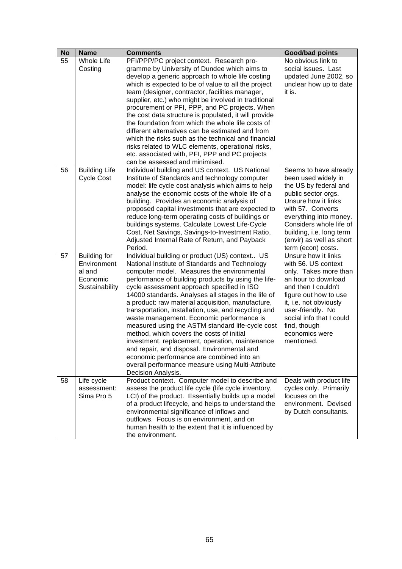| <b>No</b> | <b>Name</b>                                                                | <b>Comments</b>                                                                                                                                                                                                                                                                                                                                                                                                                                                                                                                                                                                                                                                                                                                                                                                 | Good/bad points                                                                                                                                                                                                                                                             |
|-----------|----------------------------------------------------------------------------|-------------------------------------------------------------------------------------------------------------------------------------------------------------------------------------------------------------------------------------------------------------------------------------------------------------------------------------------------------------------------------------------------------------------------------------------------------------------------------------------------------------------------------------------------------------------------------------------------------------------------------------------------------------------------------------------------------------------------------------------------------------------------------------------------|-----------------------------------------------------------------------------------------------------------------------------------------------------------------------------------------------------------------------------------------------------------------------------|
| 55        | Whole Life<br>Costing                                                      | PFI/PPP/PC project context. Research pro-<br>gramme by University of Dundee which aims to<br>develop a generic approach to whole life costing<br>which is expected to be of value to all the project<br>team (designer, contractor, facilities manager,<br>supplier, etc.) who might be involved in traditional<br>procurement or PFI, PPP, and PC projects. When<br>the cost data structure is populated, it will provide<br>the foundation from which the whole life costs of<br>different alternatives can be estimated and from<br>which the risks such as the technical and financial<br>risks related to WLC elements, operational risks,<br>etc. associated with, PFI, PPP and PC projects<br>can be assessed and minimised.                                                             | No obvious link to<br>social issues. Last<br>updated June 2002, so<br>unclear how up to date<br>it is.                                                                                                                                                                      |
| 56        | <b>Building Life</b><br><b>Cycle Cost</b>                                  | Individual building and US context. US National<br>Institute of Standards and technology computer<br>model: life cycle cost analysis which aims to help<br>analyse the economic costs of the whole life of a<br>building. Provides an economic analysis of<br>proposed capital investments that are expected to<br>reduce long-term operating costs of buildings or<br>buildings systems. Calculate Lowest Life-Cycle<br>Cost, Net Savings, Savings-to-Investment Ratio,<br>Adjusted Internal Rate of Return, and Payback<br>Period.                                                                                                                                                                                                                                                            | Seems to have already<br>been used widely in<br>the US by federal and<br>public sector orgs.<br>Unsure how it links<br>with 57. Converts<br>everything into money.<br>Considers whole life of<br>building, i.e. long term<br>(envir) as well as short<br>term (econ) costs. |
| 57        | <b>Building for</b><br>Environment<br>al and<br>Economic<br>Sustainability | Individual building or product (US) context US<br>National Institute of Standards and Technology<br>computer model. Measures the environmental<br>performance of building products by using the life-<br>cycle assessment approach specified in ISO<br>14000 standards. Analyses all stages in the life of<br>a product: raw material acquisition, manufacture,<br>transportation, installation, use, and recycling and<br>waste management. Economic performance is<br>measured using the ASTM standard life-cycle cost<br>method, which covers the costs of initial<br>investment, replacement, operation, maintenance<br>and repair, and disposal. Environmental and<br>economic performance are combined into an<br>overall performance measure using Multi-Attribute<br>Decision Analysis. | Unsure how it links<br>with 56. US context<br>only. Takes more than<br>an hour to download<br>and then I couldn't<br>figure out how to use<br>it, i.e. not obviously<br>user-friendly. No<br>social info that I could<br>find, though<br>economics were<br>mentioned.       |
| 58        | Life cycle<br>assessment:<br>Sima Pro 5                                    | Product context. Computer model to describe and<br>assess the product life cycle (life cycle inventory,<br>LCI) of the product. Essentially builds up a model<br>of a product lifecycle, and helps to understand the<br>environmental significance of inflows and<br>outflows. Focus is on environment, and on<br>human health to the extent that it is influenced by<br>the environment.                                                                                                                                                                                                                                                                                                                                                                                                       | Deals with product life<br>cycles only. Primarily<br>focuses on the<br>environment. Devised<br>by Dutch consultants.                                                                                                                                                        |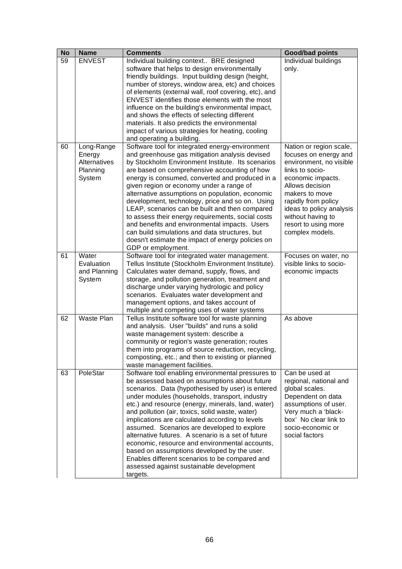| <b>No</b> | <b>Name</b>                                                | <b>Comments</b>                                                                                                                                                                                                                                                                                                                                                                                                                                                                                                                                                                                                                                                                                  | <b>Good/bad points</b>                                                                                                                                                                                                                                                      |
|-----------|------------------------------------------------------------|--------------------------------------------------------------------------------------------------------------------------------------------------------------------------------------------------------------------------------------------------------------------------------------------------------------------------------------------------------------------------------------------------------------------------------------------------------------------------------------------------------------------------------------------------------------------------------------------------------------------------------------------------------------------------------------------------|-----------------------------------------------------------------------------------------------------------------------------------------------------------------------------------------------------------------------------------------------------------------------------|
| 59        | <b>ENVEST</b>                                              | Individual building context BRE designed<br>software that helps to design environmentally<br>friendly buildings. Input building design (height,<br>number of storeys, window area, etc) and choices                                                                                                                                                                                                                                                                                                                                                                                                                                                                                              | Individual buildings<br>only.                                                                                                                                                                                                                                               |
|           |                                                            | of elements (external wall, roof covering, etc), and<br>ENVEST identifies those elements with the most<br>influence on the building's environmental impact,<br>and shows the effects of selecting different<br>materials. It also predicts the environmental                                                                                                                                                                                                                                                                                                                                                                                                                                     |                                                                                                                                                                                                                                                                             |
|           |                                                            | impact of various strategies for heating, cooling<br>and operating a building.                                                                                                                                                                                                                                                                                                                                                                                                                                                                                                                                                                                                                   |                                                                                                                                                                                                                                                                             |
| 60        | Long-Range<br>Energy<br>Alternatives<br>Planning<br>System | Software tool for integrated energy-environment<br>and greenhouse gas mitigation analysis devised<br>by Stockholm Environment Institute. Its scenarios<br>are based on comprehensive accounting of how<br>energy is consumed, converted and produced in a<br>given region or economy under a range of<br>alternative assumptions on population, economic<br>development, technology, price and so on. Using<br>LEAP, scenarios can be built and then compared<br>to assess their energy requirements, social costs<br>and benefits and environmental impacts. Users<br>can build simulations and data structures, but<br>doesn't estimate the impact of energy policies on<br>GDP or employment. | Nation or region scale,<br>focuses on energy and<br>environment, no visible<br>links to socio-<br>economic impacts.<br>Allows decision<br>makers to move<br>rapidly from policy<br>ideas to policy analysis<br>without having to<br>resort to using more<br>complex models. |
| 61        | Water<br>Evaluation<br>and Planning<br>System              | Software tool for integrated water management.<br>Tellus Institute (Stockholm Environment Institute).<br>Calculates water demand, supply, flows, and<br>storage, and pollution generation, treatment and<br>discharge under varying hydrologic and policy<br>scenarios. Evaluates water development and<br>management options, and takes account of<br>multiple and competing uses of water systems                                                                                                                                                                                                                                                                                              | Focuses on water, no<br>visible links to socio-<br>economic impacts                                                                                                                                                                                                         |
| 62        | Waste Plan                                                 | Tellus Institute software tool for waste planning<br>and analysis. User "builds" and runs a solid<br>waste management system: describe a<br>community or region's waste generation; routes<br>them into programs of source reduction, recycling,<br>composting, etc.; and then to existing or planned<br>waste management facilities.                                                                                                                                                                                                                                                                                                                                                            | As above                                                                                                                                                                                                                                                                    |
| 63        | PoleStar                                                   | Software tool enabling environmental pressures to<br>be assessed based on assumptions about future<br>scenarios. Data (hypothesised by user) is entered<br>under modules (households, transport, industry<br>etc.) and resource (energy, minerals, land, water)<br>and pollution (air, toxics, solid waste, water)<br>implications are calculated according to levels<br>assumed. Scenarios are developed to explore<br>alternative futures. A scenario is a set of future<br>economic, resource and environmental accounts,<br>based on assumptions developed by the user.<br>Enables different scenarios to be compared and<br>assessed against sustainable development<br>targets.            | Can be used at<br>regional, national and<br>global scales.<br>Dependent on data<br>assumptions of user.<br>Very much a 'black-<br>box' No clear link to<br>socio-economic or<br>social factors                                                                              |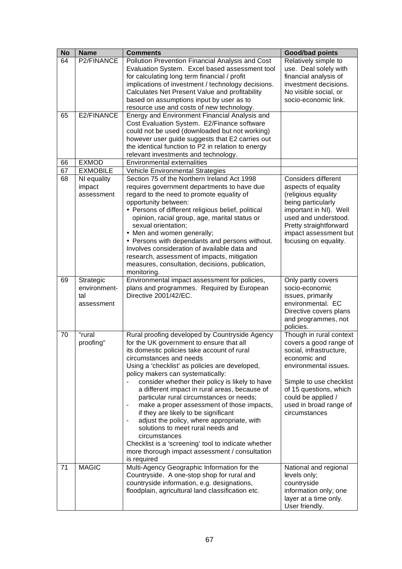| <b>No</b> | <b>Name</b>     | <b>Comments</b>                                                             | Good/bad points                      |
|-----------|-----------------|-----------------------------------------------------------------------------|--------------------------------------|
| 64        | P2/FINANCE      | Pollution Prevention Financial Analysis and Cost                            | Relatively simple to                 |
|           |                 | Evaluation System. Excel based assessment tool                              | use. Deal solely with                |
|           |                 | for calculating long term financial / profit                                | financial analysis of                |
|           |                 | implications of investment / technology decisions.                          | investment decisions.                |
|           |                 | Calculates Net Present Value and profitability                              | No visible social, or                |
|           |                 | based on assumptions input by user as to                                    | socio-economic link.                 |
|           |                 | resource use and costs of new technology.                                   |                                      |
| 65        | E2/FINANCE      | Energy and Environment Financial Analysis and                               |                                      |
|           |                 | Cost Evaluation System. E2/Finance software                                 |                                      |
|           |                 | could not be used (downloaded but not working)                              |                                      |
|           |                 | however user guide suggests that E2 carries out                             |                                      |
|           |                 | the identical function to P2 in relation to energy                          |                                      |
|           |                 | relevant investments and technology.                                        |                                      |
| 66        | <b>EXMOD</b>    | <b>Environmental externalities</b>                                          |                                      |
| 67        | <b>EXMOBILE</b> | Vehicle Environmental Strategies                                            |                                      |
| 68        | NI equality     | Section 75 of the Northern Ireland Act 1998                                 | Considers different                  |
|           | impact          | requires government departments to have due                                 | aspects of equality                  |
|           | assessment      | regard to the need to promote equality of                                   | (religious equality                  |
|           |                 | opportunity between:                                                        | being particularly                   |
|           |                 | • Persons of different religious belief, political                          | important in NI). Well               |
|           |                 | opinion, racial group, age, marital status or                               | used and understood.                 |
|           |                 | sexual orientation;                                                         | Pretty straightforward               |
|           |                 | • Men and women generally;                                                  | impact assessment but                |
|           |                 | • Persons with dependants and persons without.                              | focusing on equality.                |
|           |                 | Involves consideration of available data and                                |                                      |
|           |                 | research, assessment of impacts, mitigation                                 |                                      |
|           |                 | measures, consultation, decisions, publication,                             |                                      |
| 69        | Strategic       | monitoring.<br>Environmental impact assessment for policies,                |                                      |
|           | environment-    | plans and programmes. Required by European                                  | Only partly covers<br>socio-economic |
|           | tal             | Directive 2001/42/EC.                                                       | issues, primarily                    |
|           | assessment      |                                                                             | environmental. EC                    |
|           |                 |                                                                             | Directive covers plans               |
|           |                 |                                                                             | and programmes, not                  |
|           |                 |                                                                             | policies.                            |
| 70        | "rural          | Rural proofing developed by Countryside Agency                              | Though in rural context              |
|           | proofing"       | for the UK government to ensure that all                                    | covers a good range of               |
|           |                 | its domestic policies take account of rural                                 | social, infrastructure,              |
|           |                 | circumstances and needs                                                     | economic and                         |
|           |                 | Using a 'checklist' as policies are developed,                              | environmental issues.                |
|           |                 | policy makers can systematically:                                           |                                      |
|           |                 | consider whether their policy is likely to have<br>$\overline{\phantom{a}}$ | Simple to use checklist              |
|           |                 | a different impact in rural areas, because of                               | of 15 questions, which               |
|           |                 | particular rural circumstances or needs;                                    | could be applied /                   |
|           |                 | make a proper assessment of those impacts,<br>$\blacksquare$                | used in broad range of               |
|           |                 | if they are likely to be significant                                        | circumstances                        |
|           |                 | adjust the policy, where appropriate, with                                  |                                      |
|           |                 | solutions to meet rural needs and                                           |                                      |
|           |                 | circumstances                                                               |                                      |
|           |                 | Checklist is a 'screening' tool to indicate whether                         |                                      |
|           |                 | more thorough impact assessment / consultation                              |                                      |
|           |                 | is required                                                                 |                                      |
| 71        | <b>MAGIC</b>    | Multi-Agency Geographic Information for the                                 | National and regional                |
|           |                 | Countryside. A one-stop shop for rural and                                  | levels only;                         |
|           |                 | countryside information, e.g. designations,                                 | countryside                          |
|           |                 | floodplain, agricultural land classification etc.                           | information only; one                |
|           |                 |                                                                             | layer at a time only.                |
|           |                 |                                                                             | User friendly.                       |